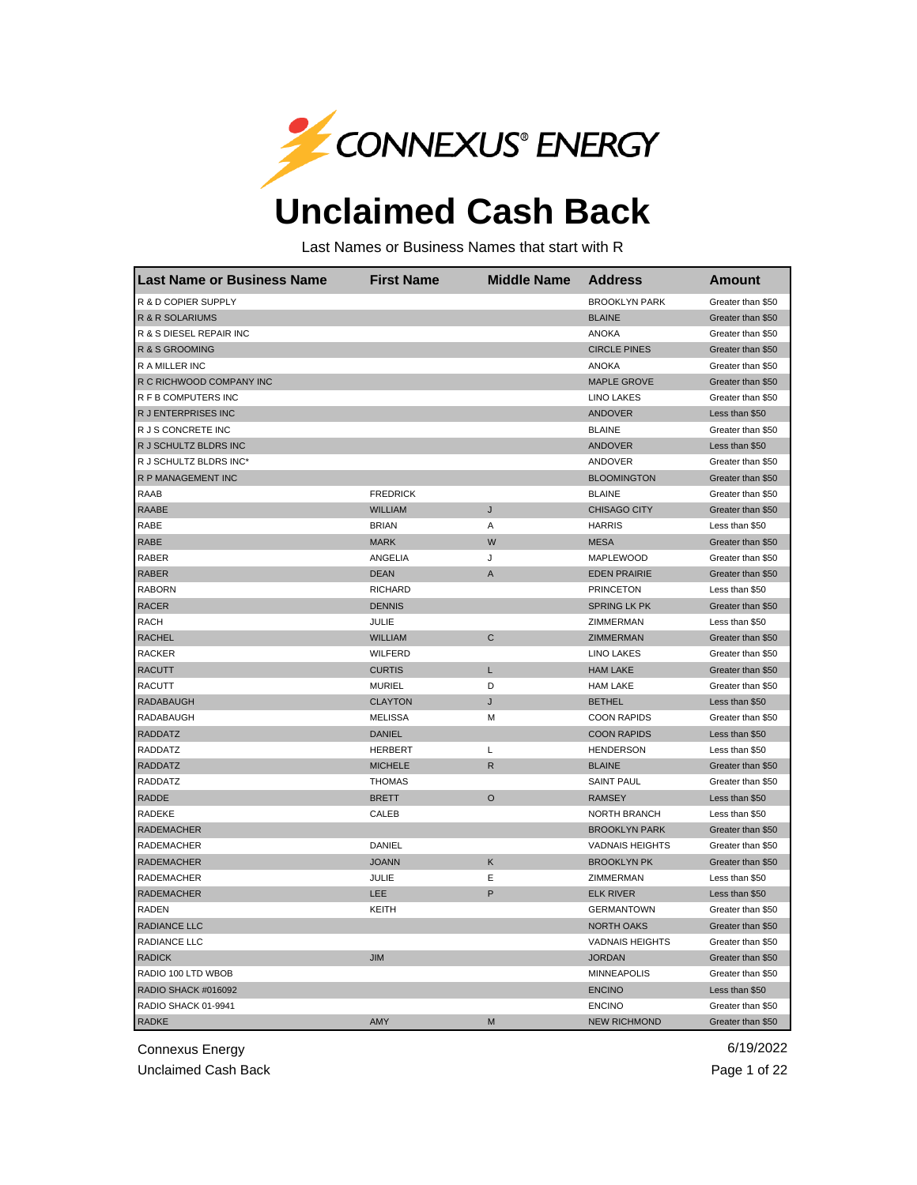

## **Unclaimed Cash Back**

Last Names or Business Names that start with R

| <b>Last Name or Business Name</b> | <b>First Name</b> | <b>Middle Name</b> | <b>Address</b>         | <b>Amount</b>     |
|-----------------------------------|-------------------|--------------------|------------------------|-------------------|
| R & D COPIER SUPPLY               |                   |                    | <b>BROOKLYN PARK</b>   | Greater than \$50 |
| R & R SOLARIUMS                   |                   |                    | <b>BLAINE</b>          | Greater than \$50 |
| R & S DIESEL REPAIR INC           |                   |                    | <b>ANOKA</b>           | Greater than \$50 |
| R & S GROOMING                    |                   |                    | <b>CIRCLE PINES</b>    | Greater than \$50 |
| <b>RAMILLERING</b>                |                   |                    | <b>ANOKA</b>           | Greater than \$50 |
| R C RICHWOOD COMPANY INC          |                   |                    | <b>MAPLE GROVE</b>     | Greater than \$50 |
| R F B COMPUTERS INC               |                   |                    | <b>LINO LAKES</b>      | Greater than \$50 |
| R J ENTERPRISES INC               |                   |                    | <b>ANDOVER</b>         | Less than \$50    |
| R J S CONCRETE INC                |                   |                    | <b>BLAINE</b>          | Greater than \$50 |
| R J SCHULTZ BLDRS INC             |                   |                    | <b>ANDOVER</b>         | Less than \$50    |
| R J SCHULTZ BLDRS INC*            |                   |                    | ANDOVER                | Greater than \$50 |
| R P MANAGEMENT INC                |                   |                    | <b>BLOOMINGTON</b>     | Greater than \$50 |
| <b>RAAB</b>                       | <b>FREDRICK</b>   |                    | <b>BLAINE</b>          | Greater than \$50 |
| <b>RAABE</b>                      | <b>WILLIAM</b>    | J                  | <b>CHISAGO CITY</b>    | Greater than \$50 |
| RABE                              | <b>BRIAN</b>      | Α                  | <b>HARRIS</b>          | Less than \$50    |
| RABE                              | <b>MARK</b>       | W                  | <b>MESA</b>            | Greater than \$50 |
| RABER                             | ANGELIA           | J                  | <b>MAPLEWOOD</b>       | Greater than \$50 |
| <b>RABER</b>                      | <b>DEAN</b>       | Α                  | <b>EDEN PRAIRIE</b>    | Greater than \$50 |
| <b>RABORN</b>                     | <b>RICHARD</b>    |                    | <b>PRINCETON</b>       | Less than \$50    |
| <b>RACER</b>                      | <b>DENNIS</b>     |                    | <b>SPRING LK PK</b>    | Greater than \$50 |
| <b>RACH</b>                       | JULIE             |                    | ZIMMERMAN              | Less than \$50    |
| <b>RACHEL</b>                     | <b>WILLIAM</b>    | C                  | ZIMMERMAN              | Greater than \$50 |
| <b>RACKER</b>                     | <b>WILFERD</b>    |                    | <b>LINO LAKES</b>      | Greater than \$50 |
| <b>RACUTT</b>                     | <b>CURTIS</b>     | L                  | <b>HAM LAKE</b>        | Greater than \$50 |
| RACUTT                            | <b>MURIEL</b>     | D                  | <b>HAM LAKE</b>        | Greater than \$50 |
| RADABAUGH                         | <b>CLAYTON</b>    | J                  | <b>BETHEL</b>          | Less than \$50    |
| RADABAUGH                         | <b>MELISSA</b>    | М                  | <b>COON RAPIDS</b>     | Greater than \$50 |
| <b>RADDATZ</b>                    | <b>DANIEL</b>     |                    | <b>COON RAPIDS</b>     | Less than \$50    |
| <b>RADDATZ</b>                    | <b>HERBERT</b>    | L                  | <b>HENDERSON</b>       | Less than \$50    |
| <b>RADDATZ</b>                    | <b>MICHELE</b>    | R                  | <b>BLAINE</b>          | Greater than \$50 |
| <b>RADDATZ</b>                    | <b>THOMAS</b>     |                    | <b>SAINT PAUL</b>      | Greater than \$50 |
| <b>RADDE</b>                      | <b>BRETT</b>      | O                  | <b>RAMSEY</b>          | Less than \$50    |
| RADEKE                            | <b>CALEB</b>      |                    | NORTH BRANCH           | Less than \$50    |
| <b>RADEMACHER</b>                 |                   |                    | <b>BROOKLYN PARK</b>   | Greater than \$50 |
| RADEMACHER                        | DANIEL            |                    | <b>VADNAIS HEIGHTS</b> | Greater than \$50 |
| <b>RADEMACHER</b>                 | <b>JOANN</b>      | Κ                  | <b>BROOKLYN PK</b>     | Greater than \$50 |
| RADEMACHER                        | JULIE             | E                  | ZIMMERMAN              | Less than \$50    |
| <b>RADEMACHER</b>                 | LEE               | P                  | <b>ELK RIVER</b>       | Less than \$50    |
| RADEN                             | KEITH             |                    | <b>GERMANTOWN</b>      | Greater than \$50 |
| RADIANCE LLC                      |                   |                    | <b>NORTH OAKS</b>      | Greater than \$50 |
| RADIANCE LLC                      |                   |                    | <b>VADNAIS HEIGHTS</b> | Greater than \$50 |
| <b>RADICK</b>                     | <b>JIM</b>        |                    | <b>JORDAN</b>          | Greater than \$50 |
| RADIO 100 LTD WBOB                |                   |                    | <b>MINNEAPOLIS</b>     | Greater than \$50 |
| RADIO SHACK #016092               |                   |                    | <b>ENCINO</b>          | Less than \$50    |
| RADIO SHACK 01-9941               |                   |                    | <b>ENCINO</b>          | Greater than \$50 |
| <b>RADKE</b>                      | AMY               | M                  | <b>NEW RICHMOND</b>    | Greater than \$50 |

Connexus Energy 6/19/2022

Unclaimed Cash Back **Page 1 of 22**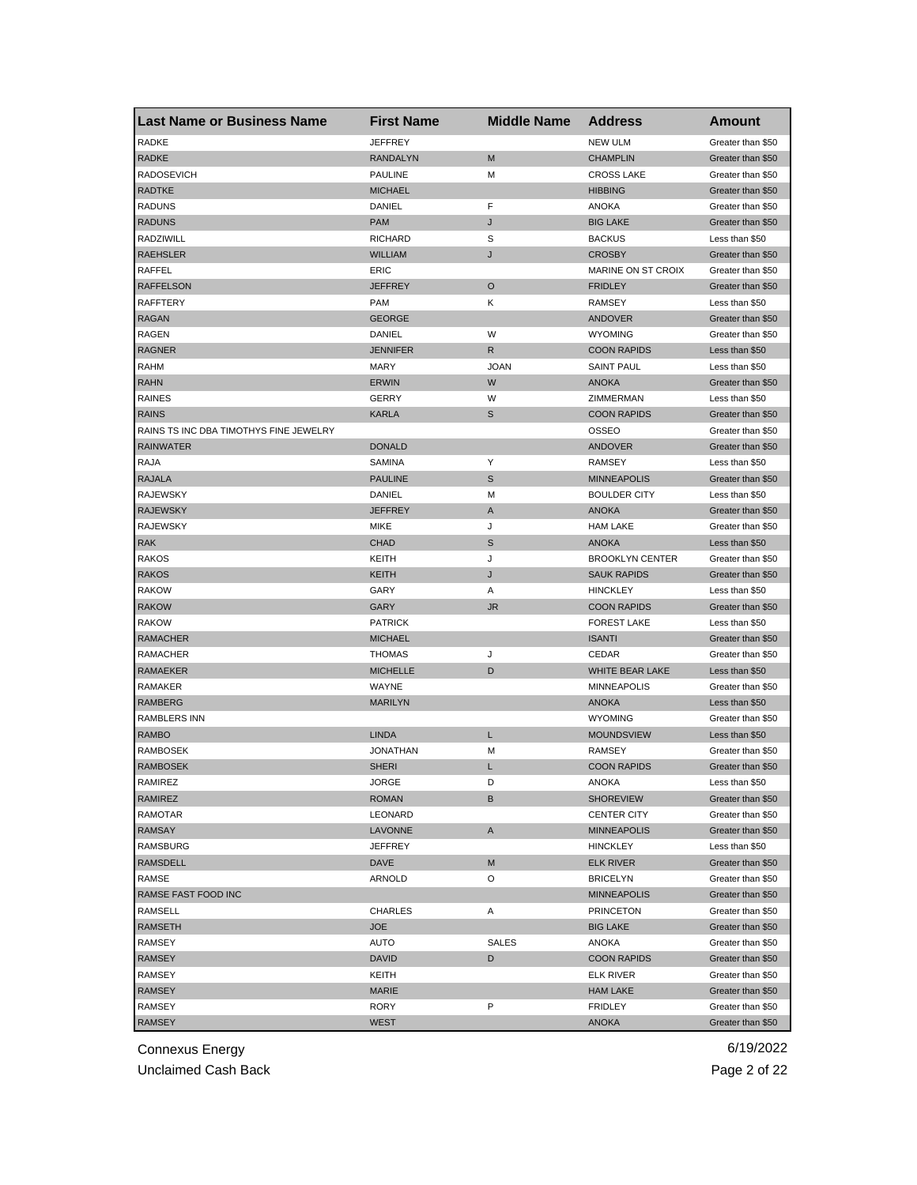| <b>Last Name or Business Name</b>      | <b>First Name</b> | <b>Middle Name</b> | <b>Address</b>         | Amount                              |
|----------------------------------------|-------------------|--------------------|------------------------|-------------------------------------|
| <b>RADKE</b>                           | <b>JEFFREY</b>    |                    | <b>NEW ULM</b>         | Greater than \$50                   |
| <b>RADKE</b>                           | <b>RANDALYN</b>   | M                  | <b>CHAMPLIN</b>        | Greater than \$50                   |
| <b>RADOSEVICH</b>                      | <b>PAULINE</b>    | M                  | <b>CROSS LAKE</b>      | Greater than \$50                   |
| <b>RADTKE</b>                          | <b>MICHAEL</b>    |                    | <b>HIBBING</b>         | Greater than \$50                   |
| <b>RADUNS</b>                          | DANIEL            | F                  | <b>ANOKA</b>           | Greater than \$50                   |
| <b>RADUNS</b>                          | <b>PAM</b>        | J                  | <b>BIG LAKE</b>        | Greater than \$50                   |
| RADZIWILL                              | <b>RICHARD</b>    | S                  | <b>BACKUS</b>          | Less than \$50                      |
| <b>RAEHSLER</b>                        | <b>WILLIAM</b>    | J                  | <b>CROSBY</b>          | Greater than \$50                   |
| RAFFEL                                 | ERIC              |                    | MARINE ON ST CROIX     | Greater than \$50                   |
| <b>RAFFELSON</b>                       | <b>JEFFREY</b>    | $\circ$            | <b>FRIDLEY</b>         | Greater than \$50                   |
| <b>RAFFTERY</b>                        | <b>PAM</b>        | Κ                  | RAMSEY                 | Less than \$50                      |
| <b>RAGAN</b>                           | <b>GEORGE</b>     |                    | ANDOVER                | Greater than \$50                   |
| <b>RAGEN</b>                           | DANIEL            | W                  | <b>WYOMING</b>         | Greater than \$50                   |
| <b>RAGNER</b>                          | <b>JENNIFER</b>   | R                  | <b>COON RAPIDS</b>     | Less than \$50                      |
| <b>RAHM</b>                            | <b>MARY</b>       | <b>JOAN</b>        | <b>SAINT PAUL</b>      | Less than \$50                      |
| <b>RAHN</b>                            | <b>ERWIN</b>      | W                  | <b>ANOKA</b>           | Greater than \$50                   |
| <b>RAINES</b>                          | GERRY             | W                  | ZIMMERMAN              | Less than \$50                      |
| <b>RAINS</b>                           | <b>KARLA</b>      | $\mathbb S$        | <b>COON RAPIDS</b>     | Greater than \$50                   |
| RAINS TS INC DBA TIMOTHYS FINE JEWELRY |                   |                    | <b>OSSEO</b>           | Greater than \$50                   |
| <b>RAINWATER</b>                       | <b>DONALD</b>     |                    | ANDOVER                | Greater than \$50                   |
| RAJA                                   | <b>SAMINA</b>     | Υ                  | <b>RAMSEY</b>          | Less than \$50                      |
| <b>RAJALA</b>                          | <b>PAULINE</b>    | S                  | <b>MINNEAPOLIS</b>     | Greater than \$50                   |
| <b>RAJEWSKY</b>                        | DANIEL            | М                  | <b>BOULDER CITY</b>    | Less than \$50                      |
| <b>RAJEWSKY</b>                        | <b>JEFFREY</b>    | A                  | <b>ANOKA</b>           | Greater than \$50                   |
| <b>RAJEWSKY</b>                        | <b>MIKE</b>       | J                  | <b>HAM LAKE</b>        | Greater than \$50                   |
| <b>RAK</b>                             | <b>CHAD</b>       | S                  | <b>ANOKA</b>           | Less than \$50                      |
| <b>RAKOS</b>                           | KEITH             | J                  | <b>BROOKLYN CENTER</b> | Greater than \$50                   |
| RAKOS                                  | <b>KEITH</b>      | J                  | <b>SAUK RAPIDS</b>     | Greater than \$50                   |
| <b>RAKOW</b>                           | GARY              | Α                  | <b>HINCKLEY</b>        | Less than \$50                      |
| <b>RAKOW</b>                           | GARY              | <b>JR</b>          | <b>COON RAPIDS</b>     | Greater than \$50                   |
| <b>RAKOW</b>                           | <b>PATRICK</b>    |                    | <b>FOREST LAKE</b>     | Less than \$50                      |
| <b>RAMACHER</b>                        | <b>MICHAEL</b>    |                    | <b>ISANTI</b>          | Greater than \$50                   |
| RAMACHER                               | <b>THOMAS</b>     | J                  | CEDAR                  | Greater than \$50                   |
| <b>RAMAEKER</b>                        | <b>MICHELLE</b>   | D                  | WHITE BEAR LAKE        | Less than \$50                      |
| RAMAKER                                | WAYNE             |                    | <b>MINNEAPOLIS</b>     |                                     |
| <b>RAMBERG</b>                         | <b>MARILYN</b>    |                    | <b>ANOKA</b>           | Greater than \$50<br>Less than \$50 |
|                                        |                   |                    | <b>WYOMING</b>         |                                     |
| RAMBLERS INN                           |                   |                    |                        | Greater than \$50                   |
| RAMBO                                  | <b>LINDA</b>      | L                  | <b>MOUNDSVIEW</b>      | Less than \$50                      |
| RAMBOSEK                               | <b>JONATHAN</b>   | М                  | <b>RAMSEY</b>          | Greater than \$50                   |
| <b>RAMBOSEK</b>                        | <b>SHERI</b>      | L                  | <b>COON RAPIDS</b>     | Greater than \$50                   |
| RAMIREZ                                | JORGE             | D                  | ANOKA                  | Less than \$50                      |
| RAMIREZ                                | <b>ROMAN</b>      | В                  | <b>SHOREVIEW</b>       | Greater than \$50                   |
| RAMOTAR                                | LEONARD           |                    | <b>CENTER CITY</b>     | Greater than \$50                   |
| RAMSAY                                 | LAVONNE           | A                  | <b>MINNEAPOLIS</b>     | Greater than \$50                   |
| <b>RAMSBURG</b>                        | JEFFREY           |                    | <b>HINCKLEY</b>        | Less than \$50                      |
| RAMSDELL                               | <b>DAVE</b>       | M                  | <b>ELK RIVER</b>       | Greater than \$50                   |
| <b>RAMSE</b>                           | ARNOLD            | O                  | <b>BRICELYN</b>        | Greater than \$50                   |
| RAMSE FAST FOOD INC                    |                   |                    | <b>MINNEAPOLIS</b>     | Greater than \$50                   |
| <b>RAMSELL</b>                         | <b>CHARLES</b>    | Α                  | <b>PRINCETON</b>       | Greater than \$50                   |
| <b>RAMSETH</b>                         | <b>JOE</b>        |                    | <b>BIG LAKE</b>        | Greater than \$50                   |
| RAMSEY                                 | AUTO              | <b>SALES</b>       | ANOKA                  | Greater than \$50                   |
| <b>RAMSEY</b>                          | <b>DAVID</b>      | D                  | <b>COON RAPIDS</b>     | Greater than \$50                   |
| RAMSEY                                 | KEITH             |                    | <b>ELK RIVER</b>       | Greater than \$50                   |
| RAMSEY                                 | <b>MARIE</b>      |                    | <b>HAM LAKE</b>        | Greater than \$50                   |
| RAMSEY                                 | <b>RORY</b>       | P                  | <b>FRIDLEY</b>         | Greater than \$50                   |
| <b>RAMSEY</b>                          | <b>WEST</b>       |                    | ANOKA                  | Greater than \$50                   |

Unclaimed Cash Back **Page 2 of 22**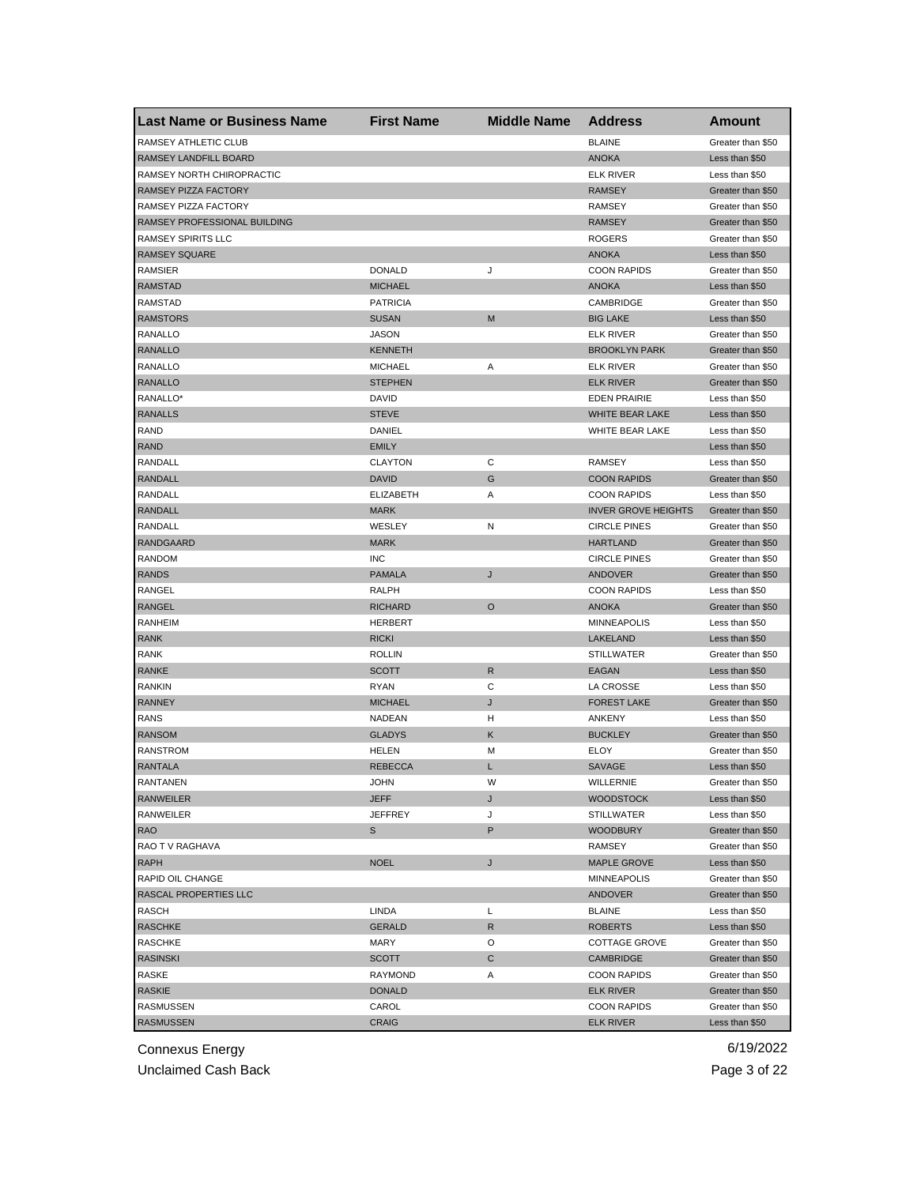| <b>Last Name or Business Name</b> | <b>First Name</b> | <b>Middle Name</b> | <b>Address</b>             | <b>Amount</b>                          |
|-----------------------------------|-------------------|--------------------|----------------------------|----------------------------------------|
| RAMSEY ATHLETIC CLUB              |                   |                    | <b>BLAINE</b>              | Greater than \$50                      |
| RAMSEY LANDFILL BOARD             |                   |                    | <b>ANOKA</b>               | Less than \$50                         |
| RAMSEY NORTH CHIROPRACTIC         |                   |                    | <b>ELK RIVER</b>           | Less than \$50                         |
| RAMSEY PIZZA FACTORY              |                   |                    | <b>RAMSEY</b>              | Greater than \$50                      |
| RAMSEY PIZZA FACTORY              |                   |                    | <b>RAMSEY</b>              | Greater than \$50                      |
| RAMSEY PROFESSIONAL BUILDING      |                   |                    | <b>RAMSEY</b>              | Greater than \$50                      |
| <b>RAMSEY SPIRITS LLC</b>         |                   |                    | <b>ROGERS</b>              | Greater than \$50                      |
| <b>RAMSEY SQUARE</b>              |                   |                    | <b>ANOKA</b>               | Less than \$50                         |
| RAMSIER                           | <b>DONALD</b>     | J                  | <b>COON RAPIDS</b>         | Greater than \$50                      |
| <b>RAMSTAD</b>                    | <b>MICHAEL</b>    |                    | <b>ANOKA</b>               | Less than \$50                         |
| RAMSTAD                           | <b>PATRICIA</b>   |                    | CAMBRIDGE                  | Greater than \$50                      |
| <b>RAMSTORS</b>                   | <b>SUSAN</b>      | M                  | <b>BIG LAKE</b>            | Less than \$50                         |
| RANALLO                           | JASON             |                    | <b>ELK RIVER</b>           | Greater than \$50                      |
| <b>RANALLO</b>                    | <b>KENNETH</b>    |                    | <b>BROOKLYN PARK</b>       | Greater than \$50                      |
| RANALLO                           | <b>MICHAEL</b>    | Α                  | ELK RIVER                  | Greater than \$50                      |
| <b>RANALLO</b>                    | <b>STEPHEN</b>    |                    | <b>ELK RIVER</b>           | Greater than \$50                      |
| RANALLO*                          | DAVID             |                    | <b>EDEN PRAIRIE</b>        | Less than \$50                         |
| <b>RANALLS</b>                    | <b>STEVE</b>      |                    | WHITE BEAR LAKE            | Less than \$50                         |
| RAND                              | DANIEL            |                    | WHITE BEAR LAKE            | Less than \$50                         |
| <b>RAND</b>                       | <b>EMILY</b>      |                    |                            | Less than \$50                         |
| <b>RANDALL</b>                    | <b>CLAYTON</b>    | C                  | <b>RAMSEY</b>              | Less than \$50                         |
| <b>RANDALL</b>                    | <b>DAVID</b>      | G                  | <b>COON RAPIDS</b>         | Greater than \$50                      |
| RANDALL                           | <b>ELIZABETH</b>  | Α                  | <b>COON RAPIDS</b>         | Less than \$50                         |
| <b>RANDALL</b>                    | <b>MARK</b>       |                    | <b>INVER GROVE HEIGHTS</b> | Greater than \$50                      |
| RANDALL                           | WESLEY            | N                  | <b>CIRCLE PINES</b>        | Greater than \$50                      |
| <b>RANDGAARD</b>                  | <b>MARK</b>       |                    | <b>HARTLAND</b>            | Greater than \$50                      |
| <b>RANDOM</b>                     | <b>INC</b>        |                    | <b>CIRCLE PINES</b>        | Greater than \$50                      |
| <b>RANDS</b>                      | <b>PAMALA</b>     | J                  | ANDOVER                    | Greater than \$50                      |
| RANGEL                            | RALPH             |                    | <b>COON RAPIDS</b>         | Less than \$50                         |
| <b>RANGEL</b>                     | RICHARD           | $\circ$            | <b>ANOKA</b>               | Greater than \$50                      |
| RANHEIM                           | <b>HERBERT</b>    |                    | <b>MINNEAPOLIS</b>         | Less than \$50                         |
| <b>RANK</b>                       | <b>RICKI</b>      |                    | LAKELAND                   | Less than \$50                         |
| RANK                              | <b>ROLLIN</b>     |                    | <b>STILLWATER</b>          | Greater than \$50                      |
| <b>RANKE</b>                      | <b>SCOTT</b>      | R                  | <b>EAGAN</b>               | Less than \$50                         |
| <b>RANKIN</b>                     | <b>RYAN</b>       | C                  | LA CROSSE                  | Less than \$50                         |
| <b>RANNEY</b>                     | <b>MICHAEL</b>    | J                  | <b>FOREST LAKE</b>         | Greater than \$50                      |
| RANS                              | NADEAN            | H                  | ANKENY                     | Less than \$50                         |
| <b>RANSOM</b>                     | <b>GLADYS</b>     | Κ                  | <b>BUCKLEY</b>             | Greater than \$50                      |
| <b>RANSTROM</b>                   | HELEN             | M                  | ELOY                       | Greater than \$50                      |
| <b>RANTALA</b>                    | <b>REBECCA</b>    | L                  | SAVAGE                     | Less than \$50                         |
| RANTANEN                          | JOHN              | W                  | WILLERNIE                  | Greater than \$50                      |
| <b>RANWEILER</b>                  | JEFF              | J                  | <b>WOODSTOCK</b>           | Less than \$50                         |
| RANWEILER                         | JEFFREY           | J                  | <b>STILLWATER</b>          | Less than \$50                         |
| <b>RAO</b>                        | s                 | P                  | <b>WOODBURY</b>            | Greater than \$50                      |
| RAO T V RAGHAVA                   |                   |                    | RAMSEY                     | Greater than \$50                      |
| <b>RAPH</b>                       | <b>NOEL</b>       | J                  | <b>MAPLE GROVE</b>         | Less than \$50                         |
| RAPID OIL CHANGE                  |                   |                    | MINNEAPOLIS                | Greater than \$50                      |
| RASCAL PROPERTIES LLC             |                   |                    | ANDOVER                    | Greater than \$50                      |
| RASCH                             | LINDA             | L                  | <b>BLAINE</b>              | Less than \$50                         |
| <b>RASCHKE</b>                    | <b>GERALD</b>     | $\mathsf{R}$       | <b>ROBERTS</b>             | Less than \$50                         |
|                                   | MARY              | O                  |                            |                                        |
| <b>RASCHKE</b>                    |                   |                    | <b>COTTAGE GROVE</b>       | Greater than \$50<br>Greater than \$50 |
| <b>RASINSKI</b>                   | <b>SCOTT</b>      | С                  | CAMBRIDGE                  |                                        |
| RASKE                             | RAYMOND           | Α                  | <b>COON RAPIDS</b>         | Greater than \$50                      |
| RASKIE                            | <b>DONALD</b>     |                    | <b>ELK RIVER</b>           | Greater than \$50                      |
| <b>RASMUSSEN</b>                  | CAROL             |                    | <b>COON RAPIDS</b>         | Greater than \$50                      |
| <b>RASMUSSEN</b>                  | <b>CRAIG</b>      |                    | <b>ELK RIVER</b>           | Less than \$50                         |

Unclaimed Cash Back **Page 3 of 22**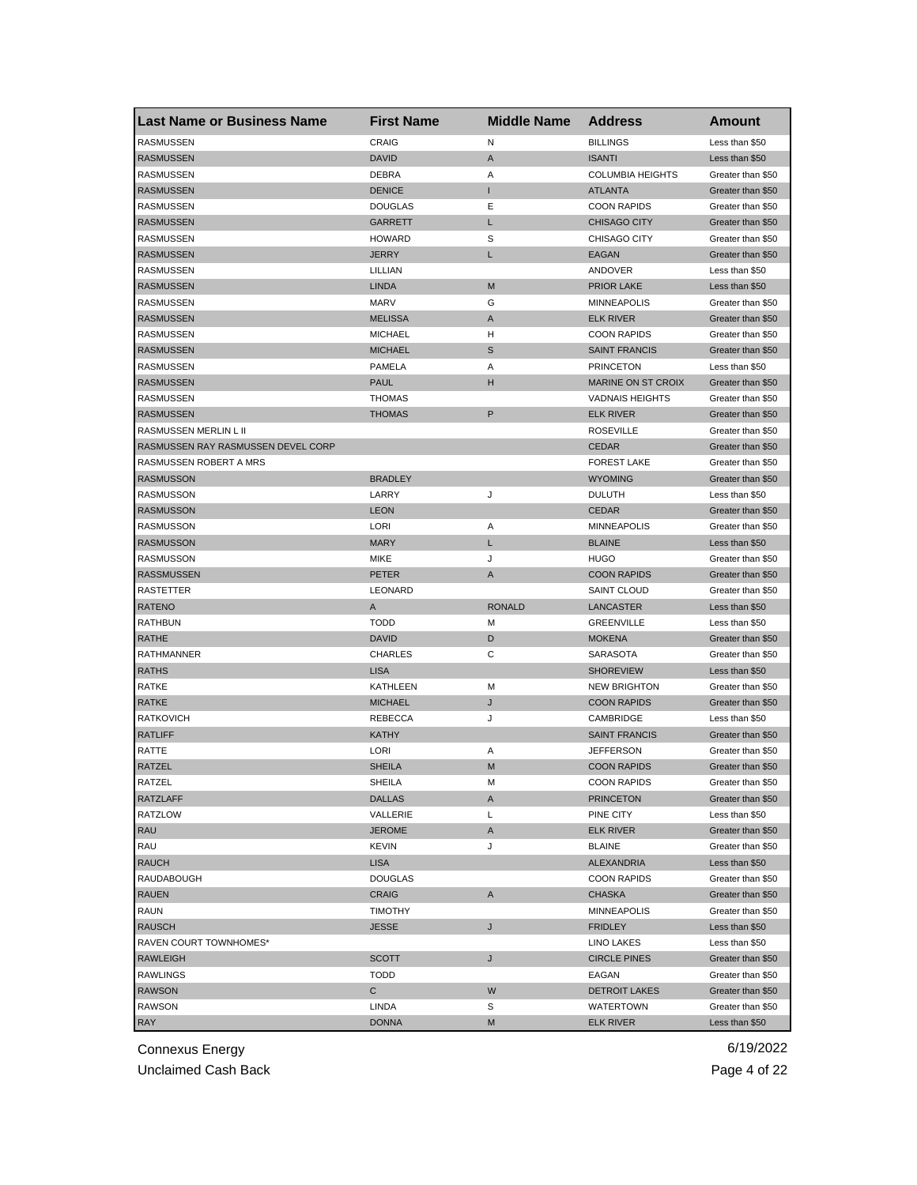| <b>Last Name or Business Name</b>  | <b>First Name</b> | <b>Middle Name</b> | <b>Address</b>          | Amount            |
|------------------------------------|-------------------|--------------------|-------------------------|-------------------|
| <b>RASMUSSEN</b>                   | <b>CRAIG</b>      | N                  | <b>BILLINGS</b>         | Less than \$50    |
| <b>RASMUSSEN</b>                   | <b>DAVID</b>      | A                  | <b>ISANTI</b>           | Less than \$50    |
| <b>RASMUSSEN</b>                   | <b>DEBRA</b>      | Α                  | <b>COLUMBIA HEIGHTS</b> | Greater than \$50 |
| <b>RASMUSSEN</b>                   | <b>DENICE</b>     | T                  | <b>ATLANTA</b>          | Greater than \$50 |
| RASMUSSEN                          | <b>DOUGLAS</b>    | Ε                  | <b>COON RAPIDS</b>      | Greater than \$50 |
| <b>RASMUSSEN</b>                   | <b>GARRETT</b>    | L                  | <b>CHISAGO CITY</b>     | Greater than \$50 |
| RASMUSSEN                          | <b>HOWARD</b>     | S                  | CHISAGO CITY            | Greater than \$50 |
| <b>RASMUSSEN</b>                   | <b>JERRY</b>      | L                  | <b>EAGAN</b>            | Greater than \$50 |
| RASMUSSEN                          | LILLIAN           |                    | ANDOVER                 | Less than \$50    |
| <b>RASMUSSEN</b>                   | <b>LINDA</b>      | M                  | <b>PRIOR LAKE</b>       | Less than \$50    |
| RASMUSSEN                          | <b>MARV</b>       | G                  | <b>MINNEAPOLIS</b>      | Greater than \$50 |
| <b>RASMUSSEN</b>                   | <b>MELISSA</b>    | A                  | <b>ELK RIVER</b>        | Greater than \$50 |
| <b>RASMUSSEN</b>                   | <b>MICHAEL</b>    | н                  | <b>COON RAPIDS</b>      | Greater than \$50 |
| <b>RASMUSSEN</b>                   | <b>MICHAEL</b>    | S                  | <b>SAINT FRANCIS</b>    | Greater than \$50 |
| <b>RASMUSSEN</b>                   | PAMELA            | Α                  | <b>PRINCETON</b>        | Less than \$50    |
| <b>RASMUSSEN</b>                   | <b>PAUL</b>       | н                  | MARINE ON ST CROIX      | Greater than \$50 |
| RASMUSSEN                          | <b>THOMAS</b>     |                    | <b>VADNAIS HEIGHTS</b>  | Greater than \$50 |
| <b>RASMUSSEN</b>                   | <b>THOMAS</b>     | $\mathsf P$        | <b>ELK RIVER</b>        | Greater than \$50 |
| RASMUSSEN MERLIN L II              |                   |                    | <b>ROSEVILLE</b>        | Greater than \$50 |
| RASMUSSEN RAY RASMUSSEN DEVEL CORP |                   |                    | <b>CEDAR</b>            | Greater than \$50 |
| RASMUSSEN ROBERT A MRS             |                   |                    | <b>FOREST LAKE</b>      | Greater than \$50 |
| <b>RASMUSSON</b>                   | <b>BRADLEY</b>    |                    | <b>WYOMING</b>          | Greater than \$50 |
| RASMUSSON                          | LARRY             | J                  | <b>DULUTH</b>           | Less than \$50    |
| <b>RASMUSSON</b>                   | <b>LEON</b>       |                    | <b>CEDAR</b>            | Greater than \$50 |
| RASMUSSON                          | LORI              | Α                  | <b>MINNEAPOLIS</b>      | Greater than \$50 |
| <b>RASMUSSON</b>                   | <b>MARY</b>       | L                  | <b>BLAINE</b>           | Less than \$50    |
| RASMUSSON                          | MIKE              | J                  | <b>HUGO</b>             | Greater than \$50 |
| <b>RASSMUSSEN</b>                  | <b>PETER</b>      | A                  | <b>COON RAPIDS</b>      | Greater than \$50 |
| RASTETTER                          | LEONARD           |                    | <b>SAINT CLOUD</b>      | Greater than \$50 |
| <b>RATENO</b>                      | Α                 | <b>RONALD</b>      | LANCASTER               | Less than \$50    |
| <b>RATHBUN</b>                     | <b>TODD</b>       | M                  | <b>GREENVILLE</b>       | Less than \$50    |
| <b>RATHE</b>                       | <b>DAVID</b>      | D                  | <b>MOKENA</b>           | Greater than \$50 |
| <b>RATHMANNER</b>                  | <b>CHARLES</b>    | C                  | SARASOTA                | Greater than \$50 |
| <b>RATHS</b>                       | <b>LISA</b>       |                    | <b>SHOREVIEW</b>        | Less than \$50    |
| <b>RATKE</b>                       | <b>KATHLEEN</b>   | M                  | <b>NEW BRIGHTON</b>     | Greater than \$50 |
| <b>RATKE</b>                       | <b>MICHAEL</b>    | J                  | <b>COON RAPIDS</b>      | Greater than \$50 |
| <b>RATKOVICH</b>                   | <b>REBECCA</b>    | J                  | CAMBRIDGE               | Less than \$50    |
| <b>RATLIFF</b>                     | KATHY             |                    | <b>SAINT FRANCIS</b>    | Greater than \$50 |
| RATTE                              | <b>LORI</b>       | Α                  | <b>JEFFERSON</b>        | Greater than \$50 |
| <b>RATZEL</b>                      | <b>SHEILA</b>     | M                  | <b>COON RAPIDS</b>      | Greater than \$50 |
| RATZEL                             | SHEILA            | м                  | <b>COON RAPIDS</b>      | Greater than \$50 |
| <b>RATZLAFF</b>                    | DALLAS            | A                  | <b>PRINCETON</b>        | Greater than \$50 |
| RATZLOW                            | VALLERIE          | L                  | PINE CITY               | Less than \$50    |
| RAU                                | <b>JEROME</b>     | Α                  | <b>ELK RIVER</b>        | Greater than \$50 |
| RAU                                | KEVIN             | J                  | <b>BLAINE</b>           | Greater than \$50 |
| <b>RAUCH</b>                       | <b>LISA</b>       |                    | ALEXANDRIA              | Less than \$50    |
| RAUDABOUGH                         | <b>DOUGLAS</b>    |                    | <b>COON RAPIDS</b>      | Greater than \$50 |
| <b>RAUEN</b>                       | <b>CRAIG</b>      | A                  | <b>CHASKA</b>           | Greater than \$50 |
| <b>RAUN</b>                        | <b>TIMOTHY</b>    |                    | <b>MINNEAPOLIS</b>      | Greater than \$50 |
| RAUSCH                             | <b>JESSE</b>      | J                  | <b>FRIDLEY</b>          | Less than \$50    |
| RAVEN COURT TOWNHOMES*             |                   |                    | LINO LAKES              | Less than \$50    |
| <b>RAWLEIGH</b>                    | <b>SCOTT</b>      | J                  | <b>CIRCLE PINES</b>     | Greater than \$50 |
| RAWLINGS                           | <b>TODD</b>       |                    | EAGAN                   | Greater than \$50 |
| <b>RAWSON</b>                      | С                 | W                  | <b>DETROIT LAKES</b>    | Greater than \$50 |
| <b>RAWSON</b>                      | LINDA             | S                  | <b>WATERTOWN</b>        | Greater than \$50 |
| <b>RAY</b>                         | <b>DONNA</b>      | М                  | <b>ELK RIVER</b>        | Less than \$50    |

Unclaimed Cash Back **Page 4 of 22**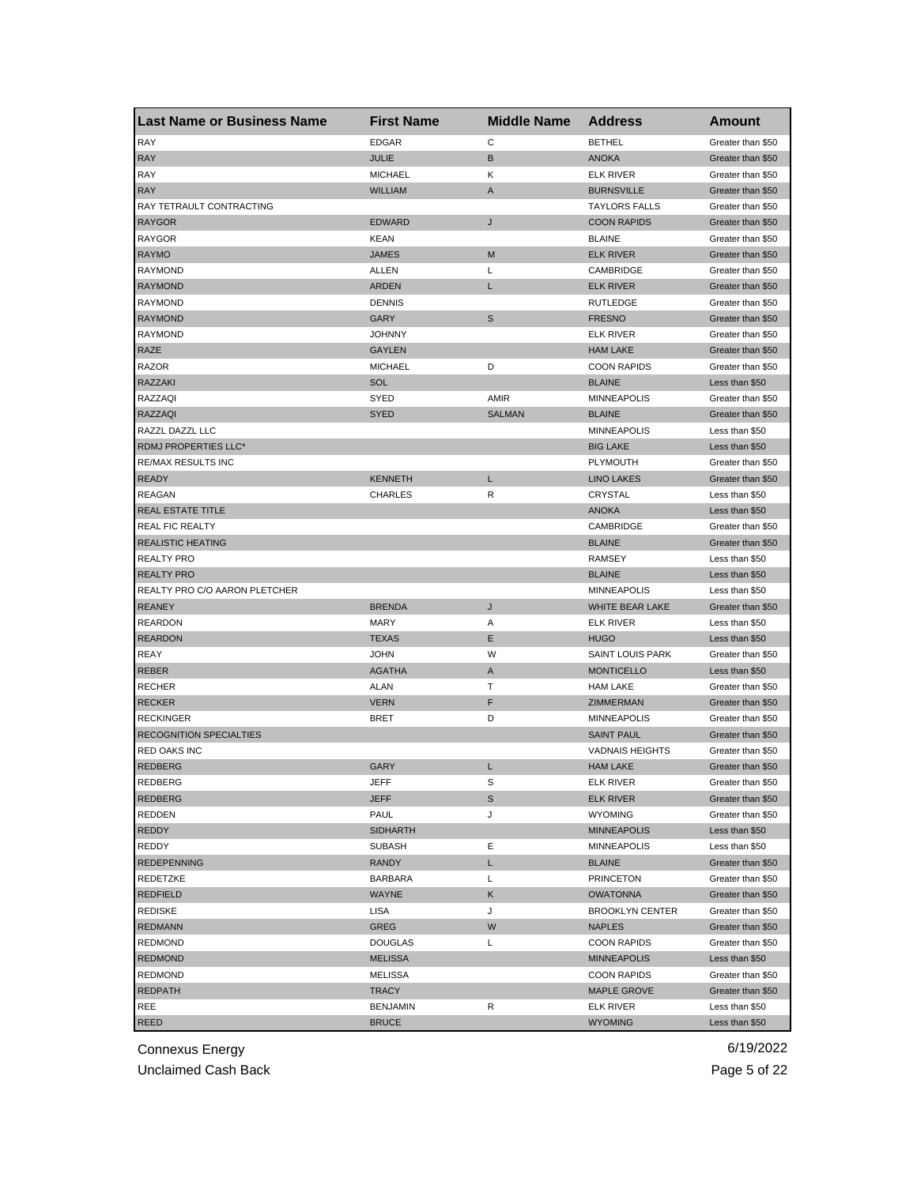| Last Name or Business Name     | <b>First Name</b> | <b>Middle Name</b> | <b>Address</b>         | Amount            |
|--------------------------------|-------------------|--------------------|------------------------|-------------------|
| <b>RAY</b>                     | <b>EDGAR</b>      | C                  | <b>BETHEL</b>          | Greater than \$50 |
| <b>RAY</b>                     | <b>JULIE</b>      | B                  | <b>ANOKA</b>           | Greater than \$50 |
| RAY                            | <b>MICHAEL</b>    | κ                  | <b>ELK RIVER</b>       | Greater than \$50 |
| <b>RAY</b>                     | <b>WILLIAM</b>    | A                  | <b>BURNSVILLE</b>      | Greater than \$50 |
| RAY TETRAULT CONTRACTING       |                   |                    | <b>TAYLORS FALLS</b>   | Greater than \$50 |
| <b>RAYGOR</b>                  | <b>EDWARD</b>     | J                  | <b>COON RAPIDS</b>     | Greater than \$50 |
| <b>RAYGOR</b>                  | <b>KEAN</b>       |                    | <b>BLAINE</b>          | Greater than \$50 |
| <b>RAYMO</b>                   | <b>JAMES</b>      | M                  | <b>ELK RIVER</b>       | Greater than \$50 |
| <b>RAYMOND</b>                 | ALLEN             | Г                  | CAMBRIDGE              | Greater than \$50 |
| <b>RAYMOND</b>                 | <b>ARDEN</b>      | L                  | <b>ELK RIVER</b>       | Greater than \$50 |
| <b>RAYMOND</b>                 | <b>DENNIS</b>     |                    | <b>RUTLEDGE</b>        | Greater than \$50 |
| <b>RAYMOND</b>                 | GARY              | S                  | <b>FRESNO</b>          | Greater than \$50 |
| <b>RAYMOND</b>                 | <b>JOHNNY</b>     |                    | <b>ELK RIVER</b>       | Greater than \$50 |
| <b>RAZE</b>                    | <b>GAYLEN</b>     |                    | <b>HAM LAKE</b>        | Greater than \$50 |
| <b>RAZOR</b>                   | <b>MICHAEL</b>    | D                  | <b>COON RAPIDS</b>     | Greater than \$50 |
| RAZZAKI                        | SOL               |                    | <b>BLAINE</b>          | Less than \$50    |
| RAZZAQI                        | SYED              | AMIR               | <b>MINNEAPOLIS</b>     | Greater than \$50 |
| RAZZAQI                        | <b>SYED</b>       | <b>SALMAN</b>      | <b>BLAINE</b>          | Greater than \$50 |
| RAZZL DAZZL LLC                |                   |                    | <b>MINNEAPOLIS</b>     | Less than \$50    |
| RDMJ PROPERTIES LLC*           |                   |                    | <b>BIG LAKE</b>        | Less than \$50    |
| <b>RE/MAX RESULTS INC</b>      |                   |                    | <b>PLYMOUTH</b>        | Greater than \$50 |
| <b>READY</b>                   | <b>KENNETH</b>    | L                  | <b>LINO LAKES</b>      | Greater than \$50 |
| <b>REAGAN</b>                  | <b>CHARLES</b>    | R                  | CRYSTAL                | Less than \$50    |
| <b>REAL ESTATE TITLE</b>       |                   |                    | <b>ANOKA</b>           | Less than \$50    |
| <b>REAL FIC REALTY</b>         |                   |                    | CAMBRIDGE              | Greater than \$50 |
| <b>REALISTIC HEATING</b>       |                   |                    | <b>BLAINE</b>          | Greater than \$50 |
| <b>REALTY PRO</b>              |                   |                    | <b>RAMSEY</b>          | Less than \$50    |
| <b>REALTY PRO</b>              |                   |                    | <b>BLAINE</b>          | Less than \$50    |
| REALTY PRO C/O AARON PLETCHER  |                   |                    | <b>MINNEAPOLIS</b>     | Less than \$50    |
| <b>REANEY</b>                  | <b>BRENDA</b>     | J                  | WHITE BEAR LAKE        | Greater than \$50 |
| <b>REARDON</b>                 | <b>MARY</b>       | Α                  | <b>ELK RIVER</b>       | Less than \$50    |
| <b>REARDON</b>                 | <b>TEXAS</b>      | Ε                  | <b>HUGO</b>            | Less than \$50    |
| <b>REAY</b>                    | <b>JOHN</b>       | W                  | SAINT LOUIS PARK       | Greater than \$50 |
| <b>REBER</b>                   | <b>AGATHA</b>     | Α                  | <b>MONTICELLO</b>      | Less than \$50    |
| <b>RECHER</b>                  | <b>ALAN</b>       | Т                  | <b>HAM LAKE</b>        | Greater than \$50 |
| <b>RECKER</b>                  | <b>VERN</b>       | F                  | ZIMMERMAN              | Greater than \$50 |
| <b>RECKINGER</b>               | <b>BRET</b>       | D                  | <b>MINNEAPOLIS</b>     | Greater than \$50 |
| <b>RECOGNITION SPECIALTIES</b> |                   |                    | <b>SAINT PAUL</b>      | Greater than \$50 |
| RED OAKS INC                   |                   |                    | <b>VADNAIS HEIGHTS</b> | Greater than \$50 |
| <b>REDBERG</b>                 | GARY              | L                  | <b>HAM LAKE</b>        | Greater than \$50 |
| REDBERG                        | JEFF              | S                  | ELK RIVER              | Greater than \$50 |
| <b>REDBERG</b>                 | JEFF              | S                  | <b>ELK RIVER</b>       | Greater than \$50 |
| <b>REDDEN</b>                  | PAUL              | J                  | <b>WYOMING</b>         | Greater than \$50 |
| REDDY                          | <b>SIDHARTH</b>   |                    | <b>MINNEAPOLIS</b>     | Less than \$50    |
| REDDY                          | <b>SUBASH</b>     | Ε                  | <b>MINNEAPOLIS</b>     | Less than \$50    |
| <b>REDEPENNING</b>             | <b>RANDY</b>      | L.                 | <b>BLAINE</b>          | Greater than \$50 |
| REDETZKE                       | <b>BARBARA</b>    | L                  | <b>PRINCETON</b>       | Greater than \$50 |
| <b>REDFIELD</b>                | <b>WAYNE</b>      | Κ                  | <b>OWATONNA</b>        | Greater than \$50 |
| <b>REDISKE</b>                 | LISA              | J                  | <b>BROOKLYN CENTER</b> | Greater than \$50 |
| <b>REDMANN</b>                 | <b>GREG</b>       | W                  | <b>NAPLES</b>          | Greater than \$50 |
| <b>REDMOND</b>                 | <b>DOUGLAS</b>    | L                  | <b>COON RAPIDS</b>     | Greater than \$50 |
| <b>REDMOND</b>                 | <b>MELISSA</b>    |                    | <b>MINNEAPOLIS</b>     | Less than \$50    |
| <b>REDMOND</b>                 | MELISSA           |                    | <b>COON RAPIDS</b>     | Greater than \$50 |
| <b>REDPATH</b>                 | <b>TRACY</b>      |                    | <b>MAPLE GROVE</b>     | Greater than \$50 |
| REE                            | BENJAMIN          | R                  | ELK RIVER              | Less than \$50    |
| REED                           | <b>BRUCE</b>      |                    | <b>WYOMING</b>         | Less than \$50    |

Unclaimed Cash Back **Page 5 of 22**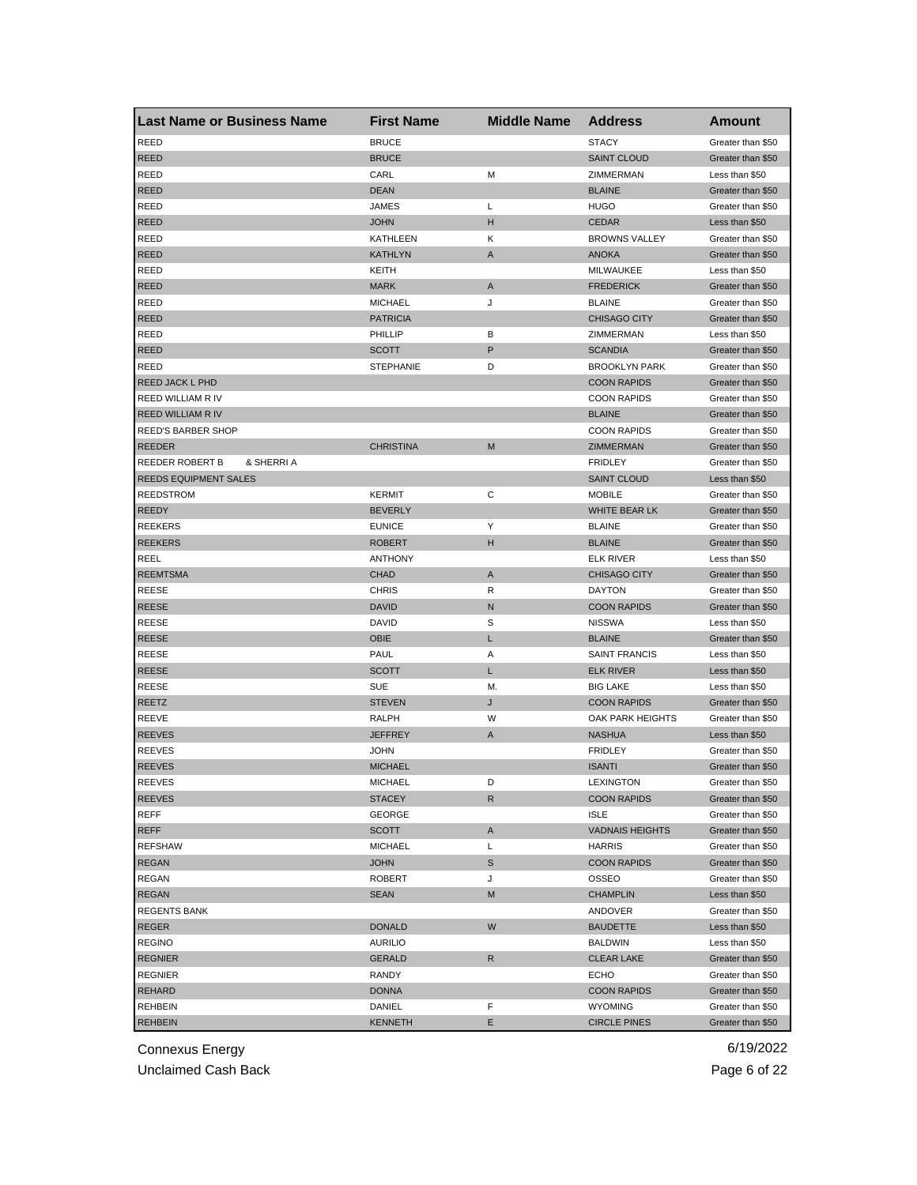| Last Name or Business Name    | <b>First Name</b> | <b>Middle Name</b> | <b>Address</b>                 | <b>Amount</b>                       |
|-------------------------------|-------------------|--------------------|--------------------------------|-------------------------------------|
| <b>REED</b>                   | <b>BRUCE</b>      |                    | <b>STACY</b>                   | Greater than \$50                   |
| <b>REED</b>                   | <b>BRUCE</b>      |                    | <b>SAINT CLOUD</b>             | Greater than \$50                   |
| REED                          | CARL              | M                  | ZIMMERMAN                      | Less than \$50                      |
| <b>REED</b>                   | <b>DEAN</b>       |                    | <b>BLAINE</b>                  | Greater than \$50                   |
| REED                          | JAMES             | L                  | <b>HUGO</b>                    | Greater than \$50                   |
| <b>REED</b>                   | <b>JOHN</b>       | н                  | <b>CEDAR</b>                   | Less than \$50                      |
| REED                          | KATHLEEN          | Κ                  | <b>BROWNS VALLEY</b>           | Greater than \$50                   |
| <b>REED</b>                   | <b>KATHLYN</b>    | A                  | <b>ANOKA</b>                   | Greater than \$50                   |
| REED                          | KEITH             |                    | MILWAUKEE                      | Less than \$50                      |
| <b>REED</b>                   | <b>MARK</b>       | A                  | <b>FREDERICK</b>               | Greater than \$50                   |
| <b>REED</b>                   | <b>MICHAEL</b>    | J                  | <b>BLAINE</b>                  | Greater than \$50                   |
| <b>REED</b>                   | <b>PATRICIA</b>   |                    | <b>CHISAGO CITY</b>            | Greater than \$50                   |
| <b>REED</b>                   | PHILLIP           | В                  | ZIMMERMAN                      | Less than \$50                      |
| <b>REED</b>                   | <b>SCOTT</b>      | P                  | <b>SCANDIA</b>                 | Greater than \$50                   |
| REED                          | <b>STEPHANIE</b>  | D                  | <b>BROOKLYN PARK</b>           | Greater than \$50                   |
| <b>REED JACK L PHD</b>        |                   |                    | <b>COON RAPIDS</b>             | Greater than \$50                   |
| REED WILLIAM R IV             |                   |                    | <b>COON RAPIDS</b>             | Greater than \$50                   |
| <b>REED WILLIAM R IV</b>      |                   |                    | <b>BLAINE</b>                  | Greater than \$50                   |
| REED'S BARBER SHOP            |                   |                    | <b>COON RAPIDS</b>             | Greater than \$50                   |
| <b>REEDER</b>                 | <b>CHRISTINA</b>  | M                  | ZIMMERMAN                      | Greater than \$50                   |
| REEDER ROBERT B<br>& SHERRI A |                   |                    | <b>FRIDLEY</b>                 | Greater than \$50                   |
| REEDS EQUIPMENT SALES         |                   |                    | <b>SAINT CLOUD</b>             | Less than \$50                      |
| <b>REEDSTROM</b>              | <b>KERMIT</b>     | С                  | <b>MOBILE</b>                  | Greater than \$50                   |
| <b>REEDY</b>                  | <b>BEVERLY</b>    |                    | <b>WHITE BEAR LK</b>           | Greater than \$50                   |
| <b>REEKERS</b>                | <b>EUNICE</b>     | Υ                  | <b>BLAINE</b>                  | Greater than \$50                   |
| <b>REEKERS</b>                | <b>ROBERT</b>     | н                  | <b>BLAINE</b>                  | Greater than \$50                   |
| REEL                          | <b>ANTHONY</b>    |                    | <b>ELK RIVER</b>               | Less than \$50                      |
| <b>REEMTSMA</b>               | <b>CHAD</b>       | A                  | <b>CHISAGO CITY</b>            | Greater than \$50                   |
| REESE                         | <b>CHRIS</b>      | R                  | <b>DAYTON</b>                  | Greater than \$50                   |
| <b>REESE</b>                  | <b>DAVID</b>      | N                  | <b>COON RAPIDS</b>             | Greater than \$50                   |
|                               | <b>DAVID</b>      | S                  |                                |                                     |
| REESE<br><b>REESE</b>         | <b>OBIE</b>       | L                  | <b>NISSWA</b><br><b>BLAINE</b> | Less than \$50<br>Greater than \$50 |
|                               |                   |                    |                                |                                     |
| REESE                         | <b>PAUL</b>       | Α                  | <b>SAINT FRANCIS</b>           | Less than \$50                      |
| REESE                         | <b>SCOTT</b>      | L                  | <b>ELK RIVER</b>               | Less than \$50                      |
| REESE                         | <b>SUE</b>        | М.                 | <b>BIG LAKE</b>                | Less than \$50                      |
| REETZ                         | <b>STEVEN</b>     | J                  | <b>COON RAPIDS</b>             | Greater than \$50                   |
| REEVE                         | RALPH             | W                  | OAK PARK HEIGHTS               | Greater than \$50                   |
| <b>REEVES</b>                 | <b>JEFFREY</b>    | A                  | <b>NASHUA</b>                  | Less than \$50                      |
| <b>REEVES</b>                 | <b>JOHN</b>       |                    | <b>FRIDLEY</b>                 | Greater than \$50                   |
| <b>REEVES</b>                 | <b>MICHAEL</b>    |                    | <b>ISANTI</b>                  | Greater than \$50                   |
| <b>REEVES</b>                 | MICHAEL           | D                  | LEXINGTON                      | Greater than \$50                   |
| <b>REEVES</b>                 | <b>STACEY</b>     | R                  | <b>COON RAPIDS</b>             | Greater than \$50                   |
| <b>REFF</b>                   | GEORGE            |                    | <b>ISLE</b>                    | Greater than \$50                   |
| REFF                          | <b>SCOTT</b>      | Α                  | <b>VADNAIS HEIGHTS</b>         | Greater than \$50                   |
| <b>REFSHAW</b>                | <b>MICHAEL</b>    | Г                  | <b>HARRIS</b>                  | Greater than \$50                   |
| <b>REGAN</b>                  | <b>JOHN</b>       | S                  | <b>COON RAPIDS</b>             | Greater than \$50                   |
| REGAN                         | ROBERT            | J                  | OSSEO                          | Greater than \$50                   |
| <b>REGAN</b>                  | <b>SEAN</b>       | M                  | <b>CHAMPLIN</b>                | Less than \$50                      |
| <b>REGENTS BANK</b>           |                   |                    | ANDOVER                        | Greater than \$50                   |
| <b>REGER</b>                  | <b>DONALD</b>     | W                  | <b>BAUDETTE</b>                | Less than \$50                      |
| <b>REGINO</b>                 | <b>AURILIO</b>    |                    | BALDWIN                        | Less than \$50                      |
| <b>REGNIER</b>                | <b>GERALD</b>     | R                  | <b>CLEAR LAKE</b>              | Greater than \$50                   |
| <b>REGNIER</b>                | RANDY             |                    | ECHO                           | Greater than \$50                   |
| REHARD                        | <b>DONNA</b>      |                    | <b>COON RAPIDS</b>             | Greater than \$50                   |
| REHBEIN                       | DANIEL            | F                  | <b>WYOMING</b>                 | Greater than \$50                   |
| <b>REHBEIN</b>                | <b>KENNETH</b>    | Е                  | <b>CIRCLE PINES</b>            | Greater than \$50                   |

Unclaimed Cash Back **Page 6 of 22**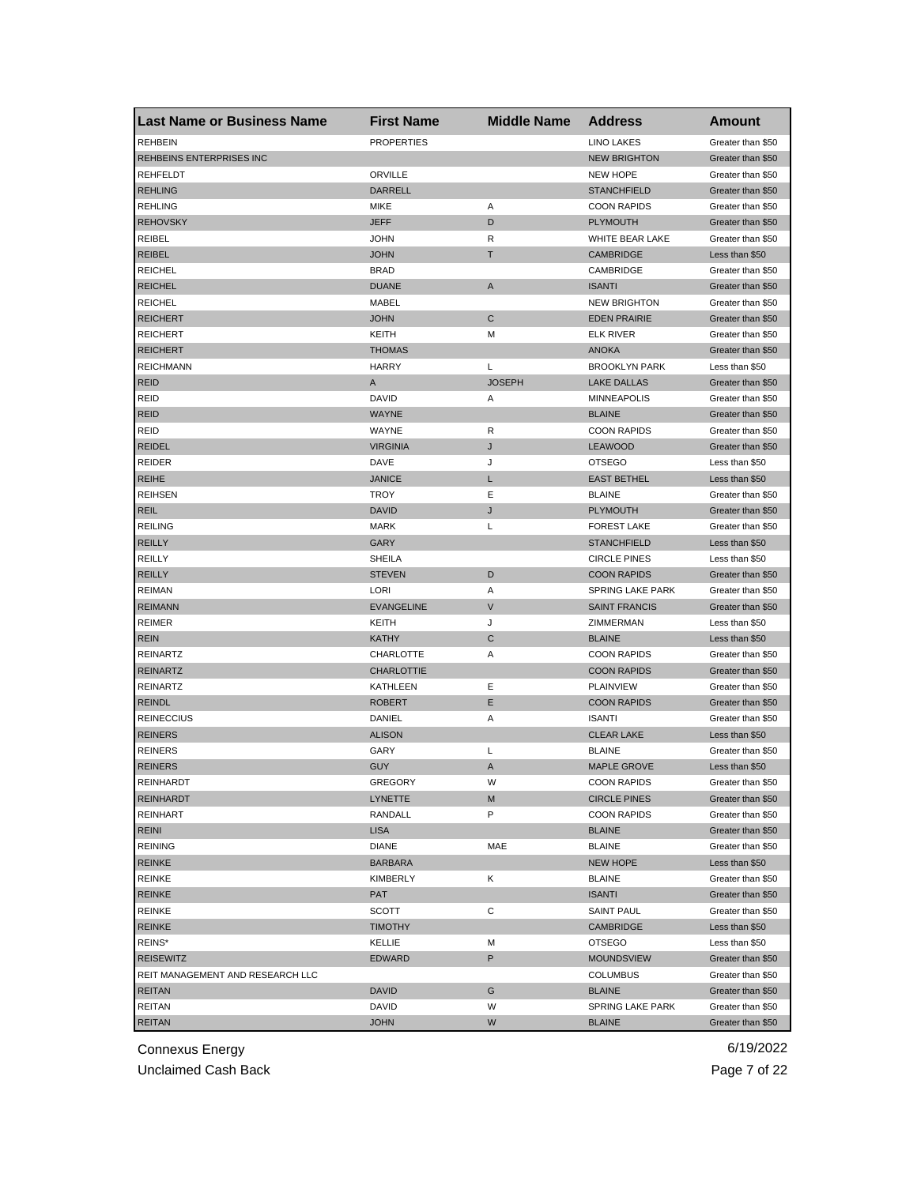| <b>Last Name or Business Name</b> | <b>First Name</b> | <b>Middle Name</b> | <b>Address</b>          | Amount            |
|-----------------------------------|-------------------|--------------------|-------------------------|-------------------|
| <b>REHBEIN</b>                    | <b>PROPERTIES</b> |                    | <b>LINO LAKES</b>       | Greater than \$50 |
| REHBEINS ENTERPRISES INC          |                   |                    | <b>NEW BRIGHTON</b>     | Greater than \$50 |
| REHFELDT                          | ORVILLE           |                    | <b>NEW HOPE</b>         | Greater than \$50 |
| <b>REHLING</b>                    | DARRELL           |                    | <b>STANCHFIELD</b>      | Greater than \$50 |
| <b>REHLING</b>                    | <b>MIKE</b>       | Α                  | <b>COON RAPIDS</b>      | Greater than \$50 |
| <b>REHOVSKY</b>                   | <b>JEFF</b>       | D                  | <b>PLYMOUTH</b>         | Greater than \$50 |
| REIBEL                            | <b>JOHN</b>       | R                  | WHITE BEAR LAKE         | Greater than \$50 |
| <b>REIBEL</b>                     | <b>JOHN</b>       | Т                  | <b>CAMBRIDGE</b>        | Less than \$50    |
| <b>REICHEL</b>                    | <b>BRAD</b>       |                    | CAMBRIDGE               | Greater than \$50 |
| <b>REICHEL</b>                    | <b>DUANE</b>      | A                  | <b>ISANTI</b>           | Greater than \$50 |
| <b>REICHEL</b>                    | MABEL             |                    | <b>NEW BRIGHTON</b>     | Greater than \$50 |
| <b>REICHERT</b>                   | <b>JOHN</b>       | C                  | <b>EDEN PRAIRIE</b>     | Greater than \$50 |
| <b>REICHERT</b>                   | KEITH             | M                  | <b>ELK RIVER</b>        | Greater than \$50 |
| <b>REICHERT</b>                   | <b>THOMAS</b>     |                    | <b>ANOKA</b>            | Greater than \$50 |
| <b>REICHMANN</b>                  | <b>HARRY</b>      | L                  | <b>BROOKLYN PARK</b>    | Less than \$50    |
| <b>REID</b>                       | Α                 | <b>JOSEPH</b>      | <b>LAKE DALLAS</b>      | Greater than \$50 |
| <b>REID</b>                       | <b>DAVID</b>      | Α                  | <b>MINNEAPOLIS</b>      | Greater than \$50 |
| <b>REID</b>                       | <b>WAYNE</b>      |                    | <b>BLAINE</b>           | Greater than \$50 |
| <b>REID</b>                       | WAYNE             | R                  | <b>COON RAPIDS</b>      | Greater than \$50 |
| <b>REIDEL</b>                     | <b>VIRGINIA</b>   | J                  | <b>LEAWOOD</b>          | Greater than \$50 |
| <b>REIDER</b>                     | DAVE              | J                  | <b>OTSEGO</b>           | Less than \$50    |
| <b>REIHE</b>                      | <b>JANICE</b>     | L                  | <b>EAST BETHEL</b>      | Less than \$50    |
| <b>REIHSEN</b>                    | <b>TROY</b>       | Ε                  | <b>BLAINE</b>           | Greater than \$50 |
| <b>REIL</b>                       | <b>DAVID</b>      | J                  | <b>PLYMOUTH</b>         | Greater than \$50 |
| <b>REILING</b>                    | <b>MARK</b>       | L                  | <b>FOREST LAKE</b>      | Greater than \$50 |
| <b>REILLY</b>                     | GARY              |                    | <b>STANCHFIELD</b>      | Less than \$50    |
| REILLY                            | <b>SHEILA</b>     |                    | <b>CIRCLE PINES</b>     | Less than \$50    |
| <b>REILLY</b>                     | <b>STEVEN</b>     | D                  | <b>COON RAPIDS</b>      | Greater than \$50 |
| <b>REIMAN</b>                     | LORI              | Α                  | <b>SPRING LAKE PARK</b> | Greater than \$50 |
| <b>REIMANN</b>                    | <b>EVANGELINE</b> | $\vee$             | <b>SAINT FRANCIS</b>    | Greater than \$50 |
| <b>REIMER</b>                     | KEITH             | J                  | ZIMMERMAN               | Less than \$50    |
| <b>REIN</b>                       | <b>KATHY</b>      | C                  | <b>BLAINE</b>           | Less than \$50    |
| <b>REINARTZ</b>                   | CHARLOTTE         | Α                  | <b>COON RAPIDS</b>      | Greater than \$50 |
| <b>REINARTZ</b>                   | <b>CHARLOTTIE</b> |                    | <b>COON RAPIDS</b>      | Greater than \$50 |
| <b>REINARTZ</b>                   | KATHLEEN          | Ε                  | <b>PLAINVIEW</b>        | Greater than \$50 |
| <b>REINDL</b>                     | <b>ROBERT</b>     | Ε                  | <b>COON RAPIDS</b>      | Greater than \$50 |
|                                   |                   |                    |                         |                   |
| <b>REINECCIUS</b>                 | DANIEL            | Α                  | <b>ISANTI</b>           | Greater than \$50 |
| <b>REINERS</b>                    | <b>ALISON</b>     |                    | <b>CLEAR LAKE</b>       | Less than \$50    |
| <b>REINERS</b>                    | GARY              | Г                  | <b>BLAINE</b>           | Greater than \$50 |
| <b>REINERS</b>                    | <b>GUY</b>        | A                  | <b>MAPLE GROVE</b>      | Less than \$50    |
| REINHARDT                         | GREGORY           | w                  | <b>COON RAPIDS</b>      | Greater than \$50 |
| <b>REINHARDT</b>                  | LYNETTE           | M                  | <b>CIRCLE PINES</b>     | Greater than \$50 |
| <b>REINHART</b>                   | RANDALL           | P                  | <b>COON RAPIDS</b>      | Greater than \$50 |
| REINI                             | <b>LISA</b>       |                    | <b>BLAINE</b>           | Greater than \$50 |
| <b>REINING</b>                    | <b>DIANE</b>      | MAE                | <b>BLAINE</b>           | Greater than \$50 |
| <b>REINKE</b>                     | <b>BARBARA</b>    |                    | <b>NEW HOPE</b>         | Less than \$50    |
| REINKE                            | KIMBERLY          | Κ                  | <b>BLAINE</b>           | Greater than \$50 |
| <b>REINKE</b>                     | PAT               |                    | <b>ISANTI</b>           | Greater than \$50 |
| <b>REINKE</b>                     | SCOTT             | С                  | <b>SAINT PAUL</b>       | Greater than \$50 |
| <b>REINKE</b>                     | <b>TIMOTHY</b>    |                    | <b>CAMBRIDGE</b>        | Less than \$50    |
| REINS*                            | KELLIE            | М                  | <b>OTSEGO</b>           | Less than \$50    |
| <b>REISEWITZ</b>                  | <b>EDWARD</b>     | P                  | <b>MOUNDSVIEW</b>       | Greater than \$50 |
| REIT MANAGEMENT AND RESEARCH LLC  |                   |                    | <b>COLUMBUS</b>         | Greater than \$50 |
| <b>REITAN</b>                     | <b>DAVID</b>      | G                  | <b>BLAINE</b>           | Greater than \$50 |
| REITAN                            | DAVID             | W                  | SPRING LAKE PARK        | Greater than \$50 |
| <b>REITAN</b>                     | <b>JOHN</b>       | W                  | <b>BLAINE</b>           | Greater than \$50 |

Unclaimed Cash Back **Page 7 of 22**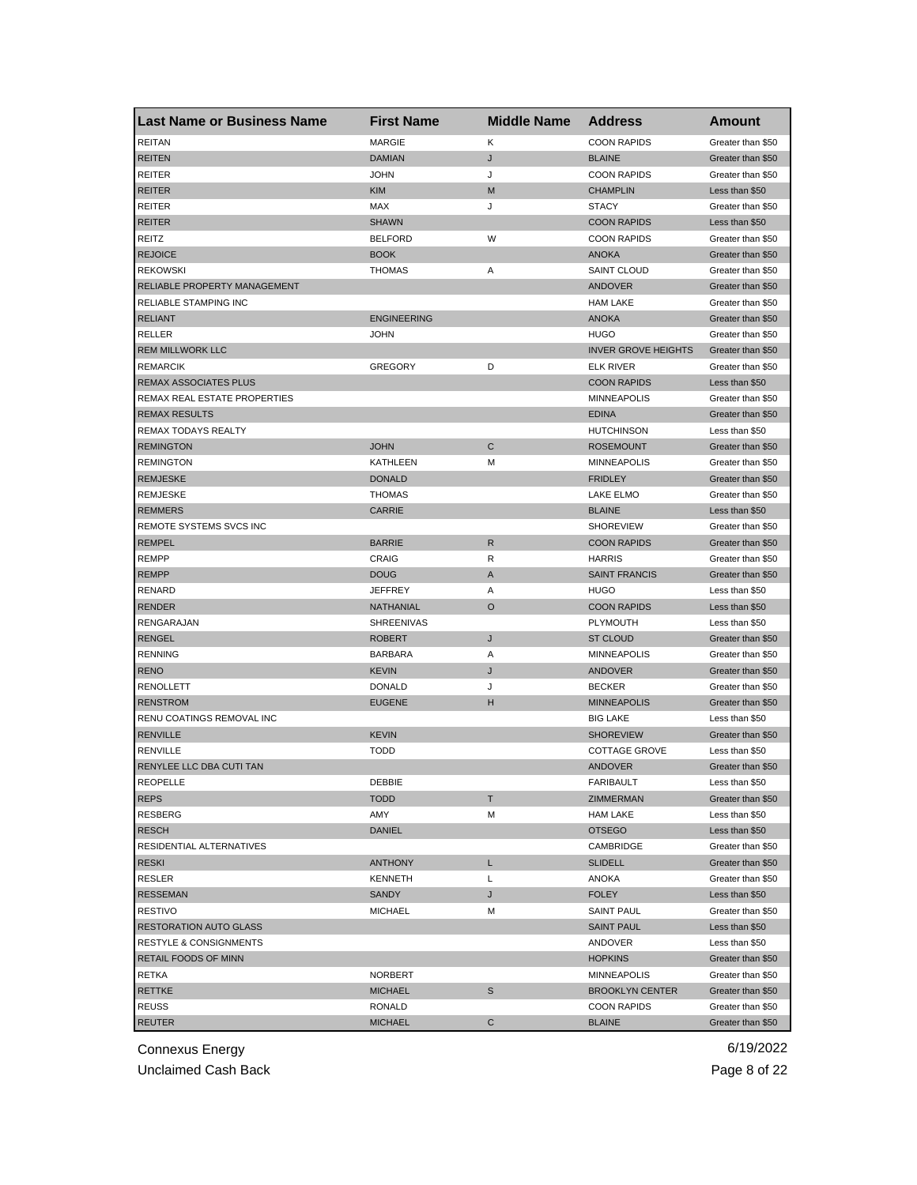| <b>Last Name or Business Name</b> | <b>First Name</b>  | <b>Middle Name</b> | <b>Address</b>             | <b>Amount</b>     |
|-----------------------------------|--------------------|--------------------|----------------------------|-------------------|
| <b>REITAN</b>                     | <b>MARGIE</b>      | Κ                  | <b>COON RAPIDS</b>         | Greater than \$50 |
| <b>REITEN</b>                     | <b>DAMIAN</b>      | J                  | <b>BLAINE</b>              | Greater than \$50 |
| <b>REITER</b>                     | <b>JOHN</b>        | J                  | <b>COON RAPIDS</b>         | Greater than \$50 |
| <b>REITER</b>                     | <b>KIM</b>         | M                  | <b>CHAMPLIN</b>            | Less than \$50    |
| <b>REITER</b>                     | MAX                | J                  | <b>STACY</b>               | Greater than \$50 |
| <b>REITER</b>                     | <b>SHAWN</b>       |                    | <b>COON RAPIDS</b>         | Less than \$50    |
| REITZ                             | <b>BELFORD</b>     | W                  | <b>COON RAPIDS</b>         | Greater than \$50 |
| <b>REJOICE</b>                    | <b>BOOK</b>        |                    | <b>ANOKA</b>               | Greater than \$50 |
| <b>REKOWSKI</b>                   | <b>THOMAS</b>      | Α                  | <b>SAINT CLOUD</b>         | Greater than \$50 |
| RELIABLE PROPERTY MANAGEMENT      |                    |                    | ANDOVER                    | Greater than \$50 |
| RELIABLE STAMPING INC             |                    |                    | <b>HAM LAKE</b>            | Greater than \$50 |
| <b>RELIANT</b>                    | <b>ENGINEERING</b> |                    | <b>ANOKA</b>               | Greater than \$50 |
| <b>RELLER</b>                     | JOHN               |                    | <b>HUGO</b>                | Greater than \$50 |
| <b>REM MILLWORK LLC</b>           |                    |                    | <b>INVER GROVE HEIGHTS</b> | Greater than \$50 |
| <b>REMARCIK</b>                   | <b>GREGORY</b>     | D                  | <b>ELK RIVER</b>           | Greater than \$50 |
| REMAX ASSOCIATES PLUS             |                    |                    | <b>COON RAPIDS</b>         | Less than \$50    |
| REMAX REAL ESTATE PROPERTIES      |                    |                    | <b>MINNEAPOLIS</b>         | Greater than \$50 |
| <b>REMAX RESULTS</b>              |                    |                    | <b>EDINA</b>               | Greater than \$50 |
| REMAX TODAYS REALTY               |                    |                    | <b>HUTCHINSON</b>          | Less than \$50    |
| <b>REMINGTON</b>                  | <b>JOHN</b>        | $\mathsf{C}$       | <b>ROSEMOUNT</b>           | Greater than \$50 |
| <b>REMINGTON</b>                  | <b>KATHLEEN</b>    | M                  | <b>MINNEAPOLIS</b>         | Greater than \$50 |
| <b>REMJESKE</b>                   | <b>DONALD</b>      |                    | <b>FRIDLEY</b>             | Greater than \$50 |
| <b>REMJESKE</b>                   | <b>THOMAS</b>      |                    | <b>LAKE ELMO</b>           | Greater than \$50 |
| <b>REMMERS</b>                    | <b>CARRIE</b>      |                    | <b>BLAINE</b>              | Less than \$50    |
| REMOTE SYSTEMS SVCS INC           |                    |                    | <b>SHOREVIEW</b>           | Greater than \$50 |
| <b>REMPEL</b>                     | <b>BARRIE</b>      | R                  | <b>COON RAPIDS</b>         | Greater than \$50 |
| <b>REMPP</b>                      | CRAIG              | R                  | <b>HARRIS</b>              | Greater than \$50 |
| <b>REMPP</b>                      | <b>DOUG</b>        | A                  | <b>SAINT FRANCIS</b>       | Greater than \$50 |
| RENARD                            | <b>JEFFREY</b>     | Α                  | <b>HUGO</b>                | Less than \$50    |
| <b>RENDER</b>                     | NATHANIAL          | $\circ$            | <b>COON RAPIDS</b>         | Less than \$50    |
| RENGARAJAN                        | SHREENIVAS         |                    | <b>PLYMOUTH</b>            | Less than \$50    |
| <b>RENGEL</b>                     | <b>ROBERT</b>      | J                  | <b>ST CLOUD</b>            | Greater than \$50 |
| <b>RENNING</b>                    | <b>BARBARA</b>     | Α                  | <b>MINNEAPOLIS</b>         | Greater than \$50 |
| <b>RENO</b>                       | <b>KEVIN</b>       | J                  | ANDOVER                    | Greater than \$50 |
| <b>RENOLLETT</b>                  | <b>DONALD</b>      | J                  | <b>BECKER</b>              | Greater than \$50 |
| <b>RENSTROM</b>                   | <b>EUGENE</b>      | н                  | <b>MINNEAPOLIS</b>         | Greater than \$50 |
| RENU COATINGS REMOVAL INC         |                    |                    | <b>BIG LAKE</b>            | Less than \$50    |
| <b>RENVILLE</b>                   | <b>KEVIN</b>       |                    | <b>SHOREVIEW</b>           | Greater than \$50 |
| <b>RENVILLE</b>                   | <b>TODD</b>        |                    | <b>COTTAGE GROVE</b>       | Less than \$50    |
| RENYLEE LLC DBA CUTI TAN          |                    |                    | <b>ANDOVER</b>             | Greater than \$50 |
| KFOLFLTF                          | DEBBIE             |                    | <b>FARIBAULI</b>           | Less than \$50    |
| <b>REPS</b>                       | <b>TODD</b>        | т                  | ZIMMERMAN                  | Greater than \$50 |
| RESBERG                           | AMY                | M                  | <b>HAM LAKE</b>            | Less than \$50    |
| <b>RESCH</b>                      | <b>DANIEL</b>      |                    | <b>OTSEGO</b>              | Less than \$50    |
| RESIDENTIAL ALTERNATIVES          |                    |                    | CAMBRIDGE                  | Greater than \$50 |
| <b>RESKI</b>                      | <b>ANTHONY</b>     | L                  | <b>SLIDELL</b>             | Greater than \$50 |
| <b>RESLER</b>                     | <b>KENNETH</b>     | L                  | <b>ANOKA</b>               | Greater than \$50 |
| <b>RESSEMAN</b>                   | SANDY              | J                  | <b>FOLEY</b>               | Less than \$50    |
| <b>RESTIVO</b>                    | <b>MICHAEL</b>     | M                  | <b>SAINT PAUL</b>          | Greater than \$50 |
| <b>RESTORATION AUTO GLASS</b>     |                    |                    | <b>SAINT PAUL</b>          | Less than \$50    |
| <b>RESTYLE &amp; CONSIGNMENTS</b> |                    |                    | ANDOVER                    | Less than \$50    |
| RETAIL FOODS OF MINN              |                    |                    | <b>HOPKINS</b>             | Greater than \$50 |
| RETKA                             | <b>NORBERT</b>     |                    | <b>MINNEAPOLIS</b>         | Greater than \$50 |
| RETTKE                            | <b>MICHAEL</b>     | S                  | <b>BROOKLYN CENTER</b>     | Greater than \$50 |
| <b>REUSS</b>                      | RONALD             |                    | <b>COON RAPIDS</b>         | Greater than \$50 |
| <b>REUTER</b>                     | <b>MICHAEL</b>     | C                  | <b>BLAINE</b>              | Greater than \$50 |

Unclaimed Cash Back **Page 8 of 22**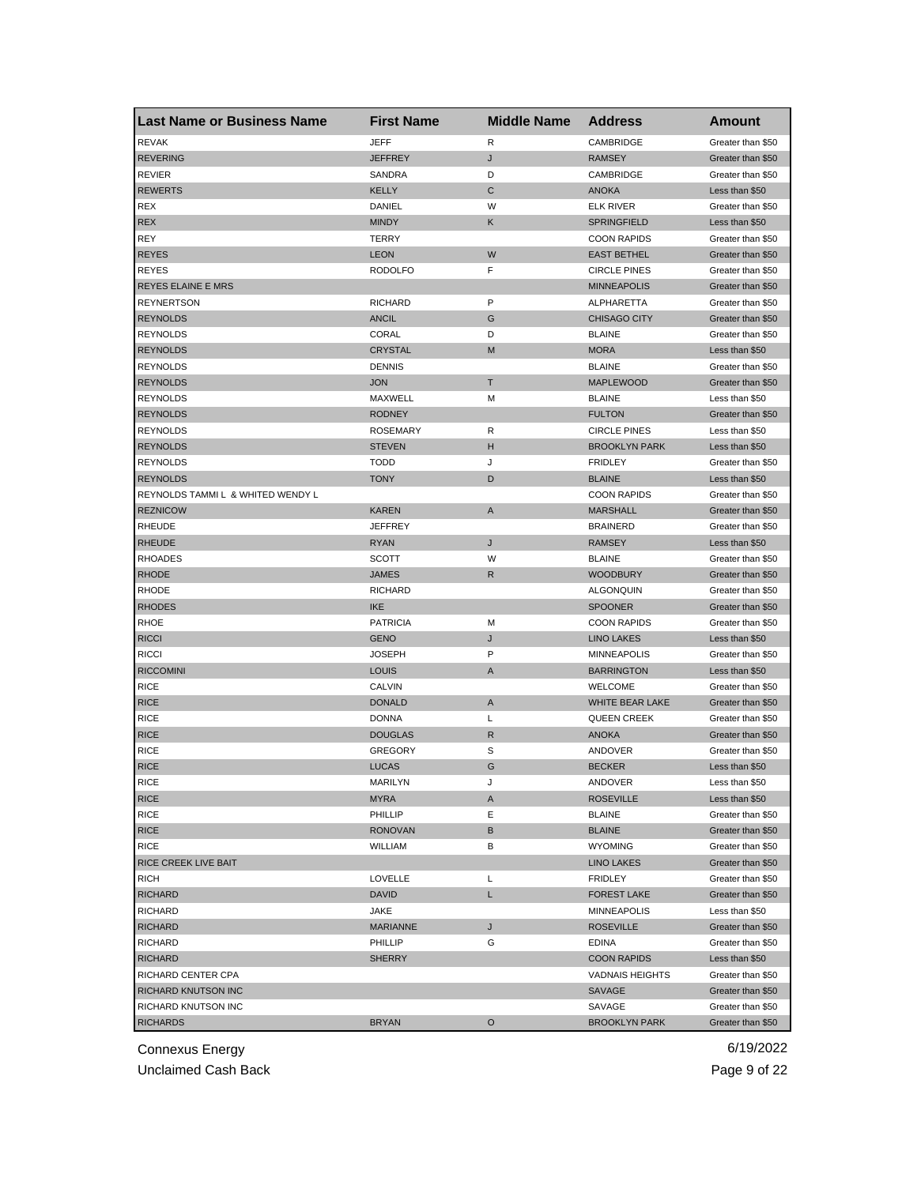| <b>Last Name or Business Name</b> | <b>First Name</b> | <b>Middle Name</b> | <b>Address</b>         | <b>Amount</b>                          |
|-----------------------------------|-------------------|--------------------|------------------------|----------------------------------------|
| <b>REVAK</b>                      | JEFF              | R                  | CAMBRIDGE              | Greater than \$50                      |
| <b>REVERING</b>                   | JEFFREY           | J                  | <b>RAMSEY</b>          | Greater than \$50                      |
| <b>REVIER</b>                     | SANDRA            | D                  | CAMBRIDGE              | Greater than \$50                      |
| <b>REWERTS</b>                    | <b>KELLY</b>      | C                  | <b>ANOKA</b>           | Less than \$50                         |
| <b>REX</b>                        | DANIEL            | W                  | <b>ELK RIVER</b>       | Greater than \$50                      |
| <b>REX</b>                        | <b>MINDY</b>      | Κ                  | <b>SPRINGFIELD</b>     | Less than \$50                         |
| <b>REY</b>                        | <b>TERRY</b>      |                    | <b>COON RAPIDS</b>     | Greater than \$50                      |
| <b>REYES</b>                      | <b>LEON</b>       | W                  | <b>EAST BETHEL</b>     | Greater than \$50                      |
| <b>REYES</b>                      | <b>RODOLFO</b>    | F                  | <b>CIRCLE PINES</b>    | Greater than \$50                      |
| <b>REYES ELAINE E MRS</b>         |                   |                    | <b>MINNEAPOLIS</b>     | Greater than \$50                      |
| <b>REYNERTSON</b>                 | <b>RICHARD</b>    | P                  | ALPHARETTA             | Greater than \$50                      |
| <b>REYNOLDS</b>                   | <b>ANCIL</b>      | G                  | <b>CHISAGO CITY</b>    | Greater than \$50                      |
| <b>REYNOLDS</b>                   | CORAL             | D                  | <b>BLAINE</b>          | Greater than \$50                      |
| <b>REYNOLDS</b>                   | <b>CRYSTAL</b>    | M                  | <b>MORA</b>            | Less than \$50                         |
| <b>REYNOLDS</b>                   | <b>DENNIS</b>     |                    | <b>BLAINE</b>          | Greater than \$50                      |
| <b>REYNOLDS</b>                   | JON               | т                  | <b>MAPLEWOOD</b>       | Greater than \$50                      |
| <b>REYNOLDS</b>                   | MAXWELL           | M                  | <b>BLAINE</b>          | Less than \$50                         |
| <b>REYNOLDS</b>                   | <b>RODNEY</b>     |                    | <b>FULTON</b>          | Greater than \$50                      |
| <b>REYNOLDS</b>                   | <b>ROSEMARY</b>   | R                  | <b>CIRCLE PINES</b>    | Less than \$50                         |
| <b>REYNOLDS</b>                   | <b>STEVEN</b>     | н                  | <b>BROOKLYN PARK</b>   | Less than \$50                         |
| <b>REYNOLDS</b>                   | <b>TODD</b>       | J                  | <b>FRIDLEY</b>         | Greater than \$50                      |
| <b>REYNOLDS</b>                   | TONY              | D                  | <b>BLAINE</b>          | Less than \$50                         |
| REYNOLDS TAMMI L & WHITED WENDY L |                   |                    | <b>COON RAPIDS</b>     | Greater than \$50                      |
| <b>REZNICOW</b>                   | KAREN             | A                  | <b>MARSHALL</b>        | Greater than \$50                      |
| <b>RHEUDE</b>                     | JEFFREY           |                    | <b>BRAINERD</b>        | Greater than \$50                      |
| <b>RHEUDE</b>                     | <b>RYAN</b>       | J                  | <b>RAMSEY</b>          | Less than \$50                         |
| <b>RHOADES</b>                    | <b>SCOTT</b>      | W                  | <b>BLAINE</b>          | Greater than \$50                      |
| <b>RHODE</b>                      | JAMES             | R                  | <b>WOODBURY</b>        | Greater than \$50                      |
| <b>RHODE</b>                      | RICHARD           |                    | <b>ALGONQUIN</b>       | Greater than \$50                      |
| <b>RHODES</b>                     | <b>IKE</b>        |                    | <b>SPOONER</b>         | Greater than \$50                      |
| RHOE                              | <b>PATRICIA</b>   | M                  | <b>COON RAPIDS</b>     | Greater than \$50                      |
| <b>RICCI</b>                      | GENO              | J                  | <b>LINO LAKES</b>      | Less than \$50                         |
| <b>RICCI</b>                      | JOSEPH            | P                  | <b>MINNEAPOLIS</b>     | Greater than \$50                      |
| <b>RICCOMINI</b>                  | <b>LOUIS</b>      | A                  | <b>BARRINGTON</b>      | Less than \$50                         |
| <b>RICE</b>                       | <b>CALVIN</b>     |                    | <b>WELCOME</b>         |                                        |
| <b>RICE</b>                       | <b>DONALD</b>     | A                  | WHITE BEAR LAKE        | Greater than \$50                      |
|                                   |                   | Г                  |                        | Greater than \$50<br>Greater than \$50 |
| <b>RICE</b>                       | <b>DONNA</b>      |                    | <b>QUEEN CREEK</b>     |                                        |
| <b>RICE</b>                       | <b>DOUGLAS</b>    | R                  | <b>ANOKA</b>           | Greater than \$50                      |
| <b>RICE</b>                       | <b>GREGORY</b>    | S                  | ANDOVER                | Greater than \$50                      |
| <b>RICE</b>                       | LUCAS             | G                  | <b>BECKER</b>          | Less than \$50                         |
| <b>KICE</b>                       | MARILYN           | J                  | ANDOVER                | Less than \$50                         |
| <b>RICE</b>                       | <b>MYRA</b>       | A                  | <b>ROSEVILLE</b>       | Less than \$50                         |
| <b>RICE</b>                       | PHILLIP           | Е                  | <b>BLAINE</b>          | Greater than \$50                      |
| <b>RICE</b>                       | RONOVAN           | В                  | <b>BLAINE</b>          | Greater than \$50                      |
| <b>RICE</b>                       | <b>WILLIAM</b>    | В                  | <b>WYOMING</b>         | Greater than \$50                      |
| RICE CREEK LIVE BAIT              |                   |                    | <b>LINO LAKES</b>      | Greater than \$50                      |
| <b>RICH</b>                       | LOVELLE           | Г                  | <b>FRIDLEY</b>         | Greater than \$50                      |
| <b>RICHARD</b>                    | <b>DAVID</b>      | L.                 | <b>FOREST LAKE</b>     | Greater than \$50                      |
| <b>RICHARD</b>                    | JAKE              |                    | <b>MINNEAPOLIS</b>     | Less than \$50                         |
| <b>RICHARD</b>                    | <b>MARIANNE</b>   | J                  | <b>ROSEVILLE</b>       | Greater than \$50                      |
| <b>RICHARD</b>                    | PHILLIP           | G                  | EDINA                  | Greater than \$50                      |
| <b>RICHARD</b>                    | <b>SHERRY</b>     |                    | <b>COON RAPIDS</b>     | Less than \$50                         |
| RICHARD CENTER CPA                |                   |                    | <b>VADNAIS HEIGHTS</b> | Greater than \$50                      |
| RICHARD KNUTSON INC               |                   |                    | SAVAGE                 | Greater than \$50                      |
| RICHARD KNUTSON INC               |                   |                    | SAVAGE                 | Greater than \$50                      |
| <b>RICHARDS</b>                   | <b>BRYAN</b>      | O                  | <b>BROOKLYN PARK</b>   | Greater than \$50                      |

Unclaimed Cash Back **Page 9 of 22**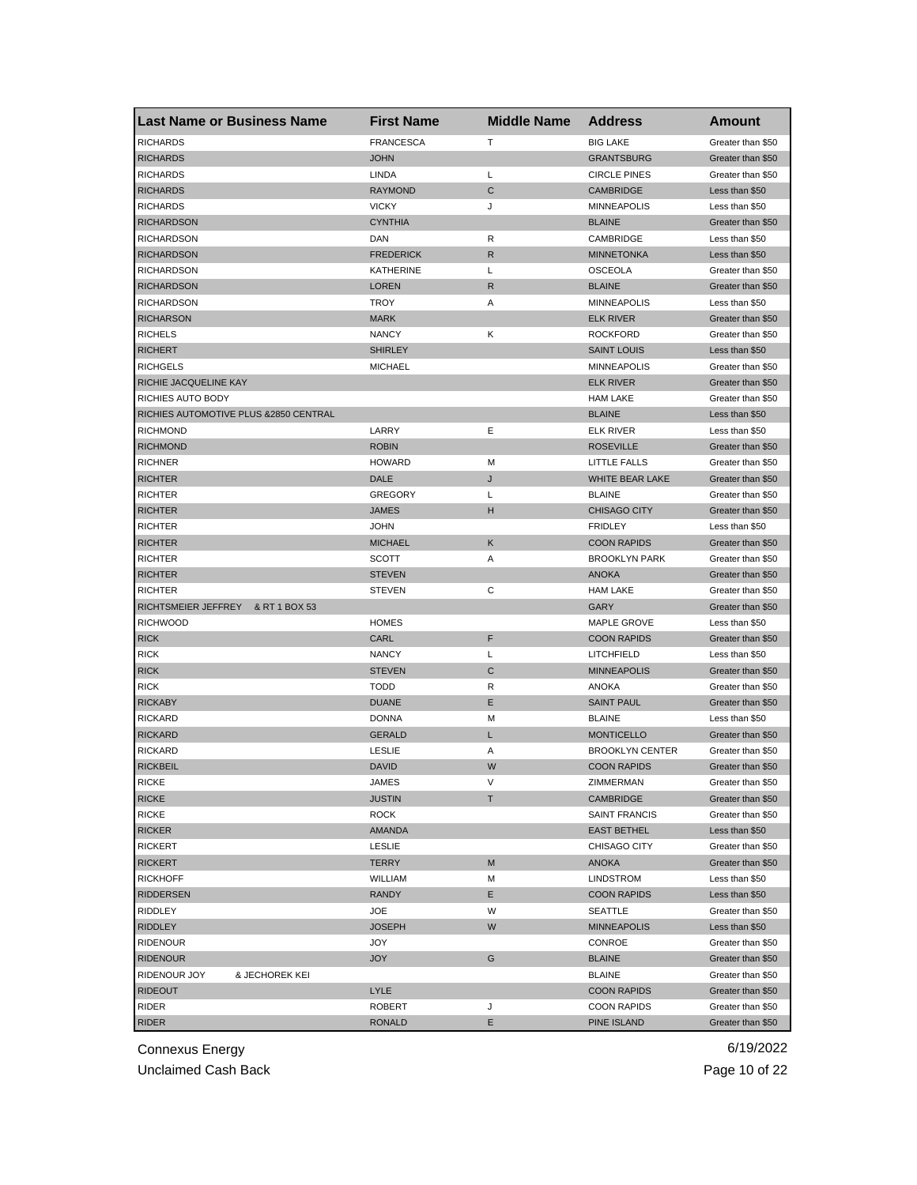| <b>Last Name or Business Name</b>     | <b>First Name</b>             | <b>Middle Name</b> | <b>Address</b>                               | Amount                                 |
|---------------------------------------|-------------------------------|--------------------|----------------------------------------------|----------------------------------------|
| <b>RICHARDS</b>                       | <b>FRANCESCA</b>              | т                  | <b>BIG LAKE</b>                              | Greater than \$50                      |
| <b>RICHARDS</b>                       | <b>JOHN</b>                   |                    | <b>GRANTSBURG</b>                            | Greater than \$50                      |
| <b>RICHARDS</b>                       | LINDA                         | L                  | <b>CIRCLE PINES</b>                          | Greater than \$50                      |
| <b>RICHARDS</b>                       | <b>RAYMOND</b>                | С                  | <b>CAMBRIDGE</b>                             | Less than \$50                         |
| <b>RICHARDS</b>                       | <b>VICKY</b>                  | J                  | <b>MINNEAPOLIS</b>                           | Less than \$50                         |
| <b>RICHARDSON</b>                     | <b>CYNTHIA</b>                |                    | <b>BLAINE</b>                                | Greater than \$50                      |
| <b>RICHARDSON</b>                     | DAN                           | R                  | CAMBRIDGE                                    | Less than \$50                         |
| <b>RICHARDSON</b>                     | <b>FREDERICK</b>              | R                  | <b>MINNETONKA</b>                            | Less than \$50                         |
| <b>RICHARDSON</b>                     | <b>KATHERINE</b>              | Г                  | <b>OSCEOLA</b>                               | Greater than \$50                      |
| <b>RICHARDSON</b>                     | <b>LOREN</b>                  | R                  | <b>BLAINE</b>                                | Greater than \$50                      |
| <b>RICHARDSON</b>                     | <b>TROY</b>                   | Α                  | <b>MINNEAPOLIS</b>                           | Less than \$50                         |
| <b>RICHARSON</b>                      | <b>MARK</b>                   |                    | <b>ELK RIVER</b>                             | Greater than \$50                      |
| <b>RICHELS</b>                        | <b>NANCY</b>                  | Κ                  | <b>ROCKFORD</b>                              | Greater than \$50                      |
| <b>RICHERT</b>                        | <b>SHIRLEY</b>                |                    | <b>SAINT LOUIS</b>                           | Less than \$50                         |
| <b>RICHGELS</b>                       | <b>MICHAEL</b>                |                    | <b>MINNEAPOLIS</b>                           | Greater than \$50                      |
| RICHIE JACQUELINE KAY                 |                               |                    | <b>ELK RIVER</b>                             | Greater than \$50                      |
| RICHIES AUTO BODY                     |                               |                    | <b>HAM LAKE</b>                              | Greater than \$50                      |
| RICHIES AUTOMOTIVE PLUS &2850 CENTRAL |                               |                    | <b>BLAINE</b>                                | Less than \$50                         |
| <b>RICHMOND</b>                       | LARRY                         | Е                  | <b>ELK RIVER</b>                             | Less than \$50                         |
| <b>RICHMOND</b>                       | <b>ROBIN</b>                  |                    | <b>ROSEVILLE</b>                             | Greater than \$50                      |
| <b>RICHNER</b>                        | <b>HOWARD</b>                 | м                  | LITTLE FALLS                                 | Greater than \$50                      |
| <b>RICHTER</b>                        | DALE                          | J                  | <b>WHITE BEAR LAKE</b>                       | Greater than \$50                      |
| <b>RICHTER</b>                        | <b>GREGORY</b>                | Г                  | <b>BLAINE</b>                                | Greater than \$50                      |
| <b>RICHTER</b>                        | <b>JAMES</b>                  | н                  | <b>CHISAGO CITY</b>                          | Greater than \$50                      |
| <b>RICHTER</b>                        | <b>JOHN</b>                   |                    | <b>FRIDLEY</b>                               | Less than \$50                         |
| <b>RICHTER</b>                        | <b>MICHAEL</b>                | Κ                  | <b>COON RAPIDS</b>                           | Greater than \$50                      |
| <b>RICHTER</b>                        | <b>SCOTT</b>                  | Α                  | <b>BROOKLYN PARK</b>                         | Greater than \$50                      |
| <b>RICHTER</b>                        | <b>STEVEN</b>                 |                    | <b>ANOKA</b>                                 | Greater than \$50                      |
| <b>RICHTER</b>                        | <b>STEVEN</b>                 | С                  | <b>HAM LAKE</b>                              | Greater than \$50                      |
| RICHTSMEIER JEFFREY<br>& RT 1 BOX 53  |                               |                    | GARY                                         | Greater than \$50                      |
| <b>RICHWOOD</b>                       | <b>HOMES</b>                  |                    | <b>MAPLE GROVE</b>                           | Less than \$50                         |
| <b>RICK</b>                           | CARL                          | F                  | <b>COON RAPIDS</b>                           | Greater than \$50                      |
| <b>RICK</b>                           | <b>NANCY</b>                  | L                  | LITCHFIELD                                   | Less than \$50                         |
| <b>RICK</b>                           | <b>STEVEN</b>                 | С                  | <b>MINNEAPOLIS</b>                           | Greater than \$50                      |
| <b>RICK</b>                           | <b>TODD</b>                   | R                  | <b>ANOKA</b>                                 | Greater than \$50                      |
| <b>RICKABY</b>                        | <b>DUANE</b>                  | Ε                  | <b>SAINT PAUL</b>                            | Greater than \$50                      |
| <b>RICKARD</b>                        | <b>DONNA</b>                  | м                  | <b>BLAINE</b>                                | Less than \$50                         |
| <b>RICKARD</b>                        | <b>GERALD</b>                 | L                  | <b>MONTICELLO</b>                            | Greater than \$50                      |
| <b>RICKARD</b>                        |                               |                    |                                              |                                        |
| <b>RICKBEIL</b>                       | <b>LESLIE</b><br><b>DAVID</b> | Α<br>W             | <b>BROOKLYN CENTER</b><br><b>COON RAPIDS</b> | Greater than \$50<br>Greater than \$50 |
|                                       |                               |                    |                                              |                                        |
| <b>RICKE</b>                          | JAMES                         |                    | ZIMMERMAN                                    | Greater than \$50                      |
| <b>RICKE</b>                          | <b>JUSTIN</b>                 | т                  | CAMBRIDGE                                    | Greater than \$50                      |
| <b>RICKE</b>                          | ROCK                          |                    | <b>SAINT FRANCIS</b>                         | Greater than \$50                      |
| <b>RICKER</b>                         | AMANDA                        |                    | <b>EAST BETHEL</b>                           | Less than \$50                         |
| <b>RICKERT</b>                        | <b>LESLIE</b>                 |                    | CHISAGO CITY                                 | Greater than \$50                      |
| <b>RICKERT</b>                        | <b>TERRY</b>                  | M                  | ANOKA                                        | Greater than \$50                      |
| <b>RICKHOFF</b>                       | WILLIAM                       | М                  | LINDSTROM                                    | Less than \$50                         |
| <b>RIDDERSEN</b>                      | <b>RANDY</b>                  | Е                  | <b>COON RAPIDS</b>                           | Less than \$50                         |
| RIDDLEY                               | JOE                           | W                  | SEATTLE                                      | Greater than \$50                      |
| <b>RIDDLEY</b>                        | <b>JOSEPH</b>                 | W                  | <b>MINNEAPOLIS</b>                           | Less than \$50                         |
| <b>RIDENOUR</b>                       | JOY                           |                    | CONROE                                       | Greater than \$50                      |
| <b>RIDENOUR</b>                       | <b>JOY</b>                    | G                  | <b>BLAINE</b>                                | Greater than \$50                      |
| RIDENOUR JOY<br>& JECHOREK KEI        |                               |                    | <b>BLAINE</b>                                | Greater than \$50                      |
| <b>RIDEOUT</b>                        | LYLE                          |                    | <b>COON RAPIDS</b>                           | Greater than \$50                      |
| RIDER                                 | <b>ROBERT</b>                 | J                  | <b>COON RAPIDS</b>                           | Greater than \$50                      |
| <b>RIDER</b>                          | <b>RONALD</b>                 | Е                  | PINE ISLAND                                  | Greater than \$50                      |

Unclaimed Cash Back **Page 10 of 22**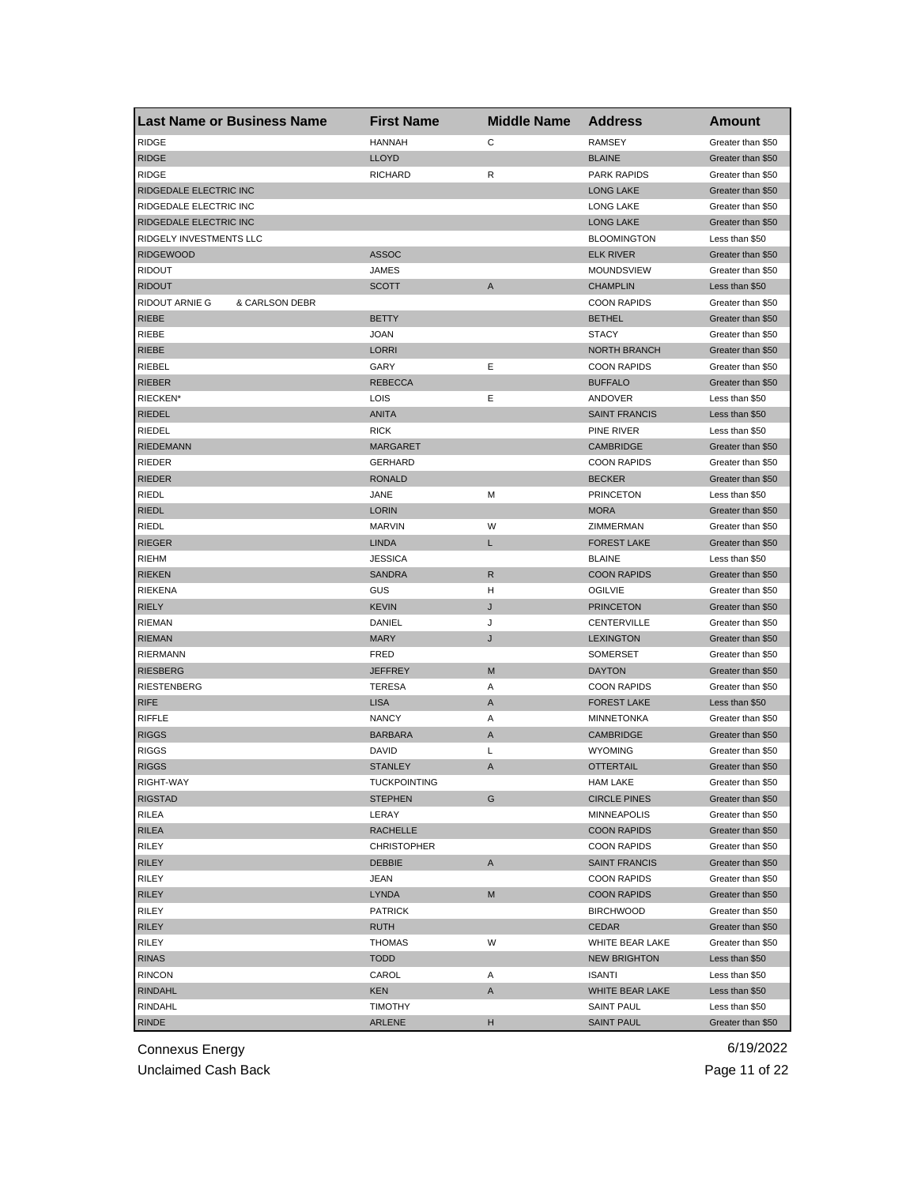| Last Name or Business Name       | <b>First Name</b>     | <b>Middle Name</b> | <b>Address</b>       | Amount            |
|----------------------------------|-----------------------|--------------------|----------------------|-------------------|
| <b>RIDGE</b>                     | <b>HANNAH</b>         | C                  | <b>RAMSEY</b>        | Greater than \$50 |
| <b>RIDGE</b>                     | <b>LLOYD</b>          |                    | <b>BLAINE</b>        | Greater than \$50 |
| <b>RIDGE</b>                     | <b>RICHARD</b>        | R                  | <b>PARK RAPIDS</b>   | Greater than \$50 |
| RIDGEDALE ELECTRIC INC           |                       |                    | <b>LONG LAKE</b>     | Greater than \$50 |
| RIDGEDALE ELECTRIC INC           |                       |                    | LONG LAKE            | Greater than \$50 |
| <b>RIDGEDALE ELECTRIC INC</b>    |                       |                    | <b>LONG LAKE</b>     | Greater than \$50 |
| RIDGELY INVESTMENTS LLC          |                       |                    | <b>BLOOMINGTON</b>   | Less than \$50    |
| <b>RIDGEWOOD</b>                 | <b>ASSOC</b>          |                    | <b>ELK RIVER</b>     | Greater than \$50 |
| <b>RIDOUT</b>                    | JAMES                 |                    | MOUNDSVIEW           | Greater than \$50 |
| <b>RIDOUT</b>                    | <b>SCOTT</b>          | A                  | <b>CHAMPLIN</b>      | Less than \$50    |
| RIDOUT ARNIE G<br>& CARLSON DEBR |                       |                    | <b>COON RAPIDS</b>   | Greater than \$50 |
| <b>RIEBE</b>                     | <b>BETTY</b>          |                    | <b>BETHEL</b>        | Greater than \$50 |
| RIEBE                            | <b>JOAN</b>           |                    | <b>STACY</b>         | Greater than \$50 |
| <b>RIEBE</b>                     | <b>LORRI</b>          |                    | <b>NORTH BRANCH</b>  | Greater than \$50 |
| RIEBEL                           | GARY                  | Ε                  | <b>COON RAPIDS</b>   | Greater than \$50 |
| <b>RIEBER</b>                    | <b>REBECCA</b>        |                    | <b>BUFFALO</b>       | Greater than \$50 |
| RIECKEN*                         | LOIS                  | Ε                  | ANDOVER              | Less than \$50    |
| <b>RIEDEL</b>                    | <b>ANITA</b>          |                    | <b>SAINT FRANCIS</b> | Less than \$50    |
| RIEDEL                           | <b>RICK</b>           |                    | PINE RIVER           | Less than \$50    |
| <b>RIEDEMANN</b>                 | <b>MARGARET</b>       |                    | <b>CAMBRIDGE</b>     | Greater than \$50 |
| <b>RIEDER</b>                    | <b>GERHARD</b>        |                    | <b>COON RAPIDS</b>   | Greater than \$50 |
| <b>RIEDER</b>                    | <b>RONALD</b>         |                    | <b>BECKER</b>        | Greater than \$50 |
| <b>RIEDL</b>                     | JANE                  | М                  | <b>PRINCETON</b>     | Less than \$50    |
| <b>RIEDL</b>                     | <b>LORIN</b>          |                    | <b>MORA</b>          | Greater than \$50 |
| RIEDL                            | <b>MARVIN</b>         | W                  | ZIMMERMAN            | Greater than \$50 |
| <b>RIEGER</b>                    | <b>LINDA</b>          | L                  | <b>FOREST LAKE</b>   | Greater than \$50 |
| <b>RIEHM</b>                     | <b>JESSICA</b>        |                    | <b>BLAINE</b>        | Less than \$50    |
| <b>RIEKEN</b>                    | <b>SANDRA</b>         | R                  | <b>COON RAPIDS</b>   | Greater than \$50 |
| <b>RIEKENA</b>                   | GUS                   | н                  | <b>OGILVIE</b>       | Greater than \$50 |
| <b>RIELY</b>                     | <b>KEVIN</b>          | J                  | <b>PRINCETON</b>     | Greater than \$50 |
| <b>RIEMAN</b>                    | DANIEL                | J                  | CENTERVILLE          | Greater than \$50 |
| <b>RIEMAN</b>                    | <b>MARY</b>           | J                  | <b>LEXINGTON</b>     | Greater than \$50 |
| <b>RIERMANN</b>                  | FRED                  |                    | <b>SOMERSET</b>      | Greater than \$50 |
| <b>RIESBERG</b>                  | <b>JEFFREY</b>        | M                  | <b>DAYTON</b>        | Greater than \$50 |
| <b>RIESTENBERG</b>               | <b>TERESA</b>         | Α                  | <b>COON RAPIDS</b>   | Greater than \$50 |
| <b>RIFE</b>                      | <b>LISA</b>           | A                  | <b>FOREST LAKE</b>   | Less than \$50    |
| RIFFLE                           | <b>NANCY</b>          | Α                  | <b>MINNETONKA</b>    | Greater than \$50 |
| <b>RIGGS</b>                     | <b>BARBARA</b>        | Α                  | <b>CAMBRIDGE</b>     | Greater than \$50 |
| <b>RIGGS</b>                     | DAVID                 | Г                  | <b>WYOMING</b>       | Greater than \$50 |
| <b>RIGGS</b>                     | <b>STANLEY</b>        | A                  | <b>OTTERTAIL</b>     | Greater than \$50 |
| RIGHT-WAY                        | <b>I UCKPOIN LING</b> |                    | <b>HAM LAKE</b>      | Greater than \$50 |
| <b>RIGSTAD</b>                   | <b>STEPHEN</b>        | G                  | <b>CIRCLE PINES</b>  | Greater than \$50 |
| <b>RILEA</b>                     | LERAY                 |                    | <b>MINNEAPOLIS</b>   | Greater than \$50 |
| <b>RILEA</b>                     | <b>RACHELLE</b>       |                    | <b>COON RAPIDS</b>   | Greater than \$50 |
| RILEY                            | <b>CHRISTOPHER</b>    |                    | <b>COON RAPIDS</b>   | Greater than \$50 |
| <b>RILEY</b>                     | <b>DEBBIE</b>         | Α                  | <b>SAINT FRANCIS</b> | Greater than \$50 |
| RILEY                            | JEAN                  |                    | <b>COON RAPIDS</b>   | Greater than \$50 |
| <b>RILEY</b>                     | <b>LYNDA</b>          | M                  | <b>COON RAPIDS</b>   | Greater than \$50 |
| RILEY                            | <b>PATRICK</b>        |                    | <b>BIRCHWOOD</b>     | Greater than \$50 |
| <b>RILEY</b>                     |                       |                    |                      | Greater than \$50 |
|                                  | <b>RUTH</b>           | W                  | CEDAR                | Greater than \$50 |
| RILEY                            | <b>THOMAS</b>         |                    | WHITE BEAR LAKE      |                   |
| <b>RINAS</b>                     | <b>TODD</b>           |                    | <b>NEW BRIGHTON</b>  | Less than \$50    |
| <b>RINCON</b>                    | CAROL                 | Α                  | <b>ISANTI</b>        | Less than \$50    |
| <b>RINDAHL</b>                   | KEN                   | A                  | WHITE BEAR LAKE      | Less than \$50    |
| RINDAHL                          | <b>TIMOTHY</b>        |                    | <b>SAINT PAUL</b>    | Less than \$50    |
| <b>RINDE</b>                     | ARLENE                | н                  | <b>SAINT PAUL</b>    | Greater than \$50 |

Unclaimed Cash Back **Page 11 of 22**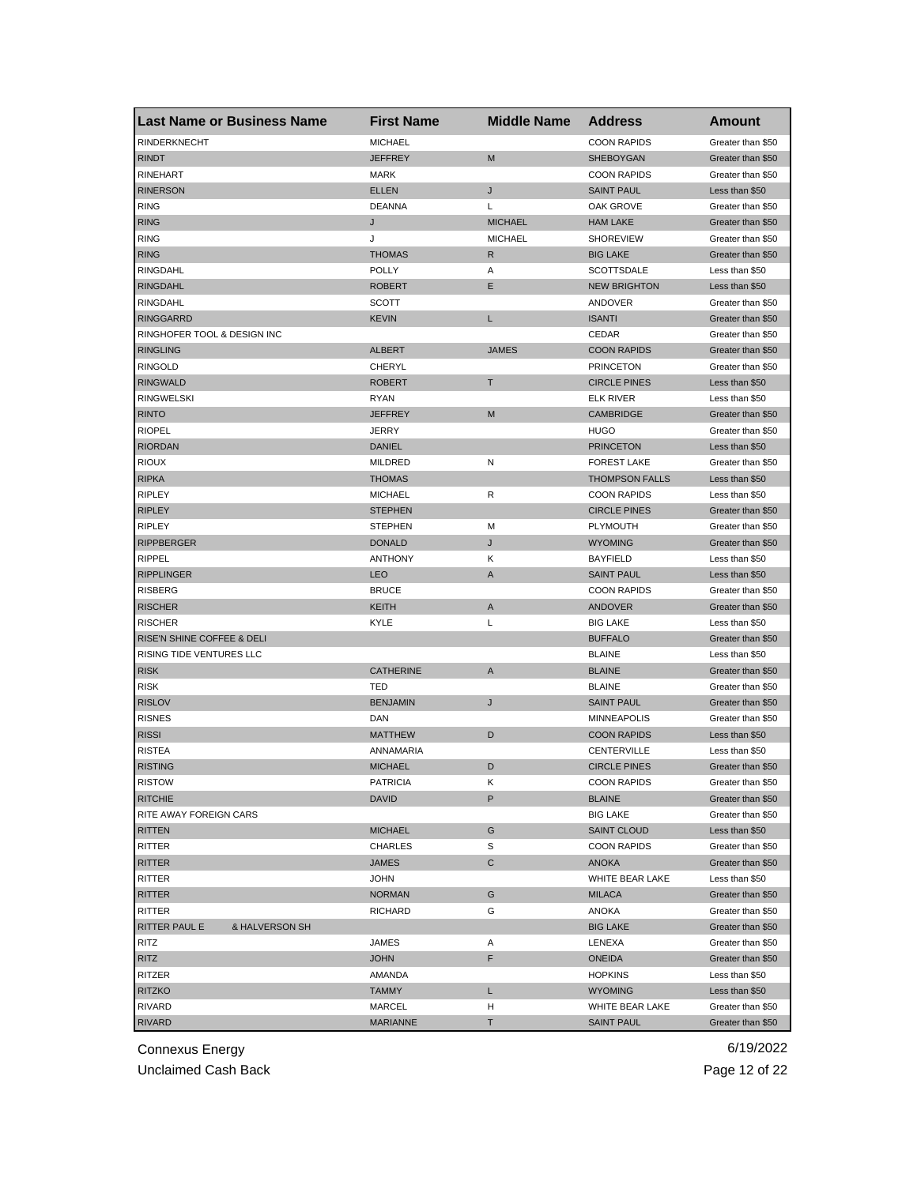|                             | <b>Last Name or Business Name</b> | <b>First Name</b> | <b>Middle Name</b> | <b>Address</b>        | Amount            |
|-----------------------------|-----------------------------------|-------------------|--------------------|-----------------------|-------------------|
| <b>RINDERKNECHT</b>         |                                   | <b>MICHAEL</b>    |                    | <b>COON RAPIDS</b>    | Greater than \$50 |
| <b>RINDT</b>                |                                   | <b>JEFFREY</b>    | M                  | SHEBOYGAN             | Greater than \$50 |
| <b>RINEHART</b>             |                                   | <b>MARK</b>       |                    | <b>COON RAPIDS</b>    | Greater than \$50 |
| <b>RINERSON</b>             |                                   | <b>ELLEN</b>      | J                  | <b>SAINT PAUL</b>     | Less than \$50    |
| <b>RING</b>                 |                                   | <b>DEANNA</b>     | Г                  | OAK GROVE             | Greater than \$50 |
| <b>RING</b>                 |                                   | J                 | <b>MICHAEL</b>     | <b>HAM LAKE</b>       | Greater than \$50 |
| <b>RING</b>                 |                                   | J                 | <b>MICHAEL</b>     | <b>SHOREVIEW</b>      | Greater than \$50 |
| <b>RING</b>                 |                                   | <b>THOMAS</b>     | R                  | <b>BIG LAKE</b>       | Greater than \$50 |
| <b>RINGDAHL</b>             |                                   | <b>POLLY</b>      | Α                  | <b>SCOTTSDALE</b>     | Less than \$50    |
| <b>RINGDAHL</b>             |                                   | <b>ROBERT</b>     | Ε                  | <b>NEW BRIGHTON</b>   | Less than \$50    |
| RINGDAHL                    |                                   | SCOTT             |                    | ANDOVER               | Greater than \$50 |
| <b>RINGGARRD</b>            |                                   | <b>KEVIN</b>      | L                  | <b>ISANTI</b>         | Greater than \$50 |
| RINGHOFER TOOL & DESIGN INC |                                   |                   |                    | CEDAR                 | Greater than \$50 |
| <b>RINGLING</b>             |                                   | <b>ALBERT</b>     | <b>JAMES</b>       | <b>COON RAPIDS</b>    | Greater than \$50 |
| <b>RINGOLD</b>              |                                   | <b>CHERYL</b>     |                    | <b>PRINCETON</b>      | Greater than \$50 |
| <b>RINGWALD</b>             |                                   | <b>ROBERT</b>     | T                  | <b>CIRCLE PINES</b>   | Less than \$50    |
| <b>RINGWELSKI</b>           |                                   | <b>RYAN</b>       |                    | <b>ELK RIVER</b>      | Less than \$50    |
| <b>RINTO</b>                |                                   | <b>JEFFREY</b>    | M                  | <b>CAMBRIDGE</b>      | Greater than \$50 |
| <b>RIOPEL</b>               |                                   | <b>JERRY</b>      |                    | HUGO                  | Greater than \$50 |
| <b>RIORDAN</b>              |                                   | <b>DANIEL</b>     |                    | <b>PRINCETON</b>      | Less than \$50    |
| <b>RIOUX</b>                |                                   | <b>MILDRED</b>    | Ν                  | <b>FOREST LAKE</b>    | Greater than \$50 |
|                             |                                   |                   |                    |                       |                   |
| <b>RIPKA</b>                |                                   | <b>THOMAS</b>     |                    | <b>THOMPSON FALLS</b> | Less than \$50    |
| <b>RIPLEY</b>               |                                   | <b>MICHAEL</b>    | R                  | <b>COON RAPIDS</b>    | Less than \$50    |
| <b>RIPLEY</b>               |                                   | <b>STEPHEN</b>    |                    | <b>CIRCLE PINES</b>   | Greater than \$50 |
| <b>RIPLEY</b>               |                                   | <b>STEPHEN</b>    | М                  | <b>PLYMOUTH</b>       | Greater than \$50 |
| <b>RIPPBERGER</b>           |                                   | <b>DONALD</b>     | J                  | <b>WYOMING</b>        | Greater than \$50 |
| RIPPEL                      |                                   | <b>ANTHONY</b>    | Κ                  | <b>BAYFIELD</b>       | Less than \$50    |
| <b>RIPPLINGER</b>           |                                   | <b>LEO</b>        | A                  | <b>SAINT PAUL</b>     | Less than \$50    |
| <b>RISBERG</b>              |                                   | <b>BRUCE</b>      |                    | <b>COON RAPIDS</b>    | Greater than \$50 |
| <b>RISCHER</b>              |                                   | KEITH             | A                  | ANDOVER               | Greater than \$50 |
| <b>RISCHER</b>              |                                   | KYLE              | L                  | <b>BIG LAKE</b>       | Less than \$50    |
| RISE'N SHINE COFFEE & DELI  |                                   |                   |                    | <b>BUFFALO</b>        | Greater than \$50 |
| RISING TIDE VENTURES LLC    |                                   |                   |                    | <b>BLAINE</b>         | Less than \$50    |
| <b>RISK</b>                 |                                   | <b>CATHERINE</b>  | A                  | <b>BLAINE</b>         | Greater than \$50 |
| <b>RISK</b>                 |                                   | TED               |                    | <b>BLAINE</b>         | Greater than \$50 |
| <b>RISLOV</b>               |                                   | <b>BENJAMIN</b>   | J                  | <b>SAINT PAUL</b>     | Greater than \$50 |
| <b>RISNES</b>               |                                   | DAN               |                    | <b>MINNEAPOLIS</b>    | Greater than \$50 |
| <b>RISSI</b>                |                                   | <b>MATTHEW</b>    | D                  | <b>COON RAPIDS</b>    | Less than \$50    |
| <b>RISTEA</b>               |                                   | ANNAMARIA         |                    | <b>CENTERVILLE</b>    | Less than \$50    |
| <b>RISTING</b>              |                                   | <b>MICHAEL</b>    | D                  | <b>CIRCLE PINES</b>   | Greater than \$50 |
| RISTOW                      |                                   | <b>PATRICIA</b>   | Κ                  | <b>COON RAPIDS</b>    | Greater than \$50 |
| <b>RITCHIE</b>              |                                   | <b>DAVID</b>      | P                  | <b>BLAINE</b>         | Greater than \$50 |
| RITE AWAY FOREIGN CARS      |                                   |                   |                    | <b>BIG LAKE</b>       | Greater than \$50 |
| <b>RITTEN</b>               |                                   | <b>MICHAEL</b>    | G                  | <b>SAINT CLOUD</b>    | Less than \$50    |
| RITTER                      |                                   | <b>CHARLES</b>    | S                  | <b>COON RAPIDS</b>    | Greater than \$50 |
| RITTER                      |                                   | <b>JAMES</b>      | C                  | ANOKA                 | Greater than \$50 |
| RITTER                      |                                   | <b>JOHN</b>       |                    | WHITE BEAR LAKE       | Less than \$50    |
| RITTER                      |                                   | <b>NORMAN</b>     | G                  | <b>MILACA</b>         | Greater than \$50 |
| RITTER                      |                                   | RICHARD           | G                  | ANOKA                 | Greater than \$50 |
| RITTER PAUL E               | & HALVERSON SH                    |                   |                    | <b>BIG LAKE</b>       | Greater than \$50 |
| RITZ                        |                                   | JAMES             | Α                  | LENEXA                | Greater than \$50 |
| RITZ                        |                                   | <b>JOHN</b>       | F                  | <b>ONEIDA</b>         | Greater than \$50 |
| RITZER                      |                                   | AMANDA            |                    | <b>HOPKINS</b>        | Less than \$50    |
| <b>RITZKO</b>               |                                   | <b>TAMMY</b>      |                    |                       | Less than \$50    |
|                             |                                   |                   | L                  | <b>WYOMING</b>        |                   |
| RIVARD                      |                                   | MARCEL            | н                  | WHITE BEAR LAKE       | Greater than \$50 |
| <b>RIVARD</b>               |                                   | <b>MARIANNE</b>   | Τ                  | <b>SAINT PAUL</b>     | Greater than \$50 |

Unclaimed Cash Back **Page 12 of 22**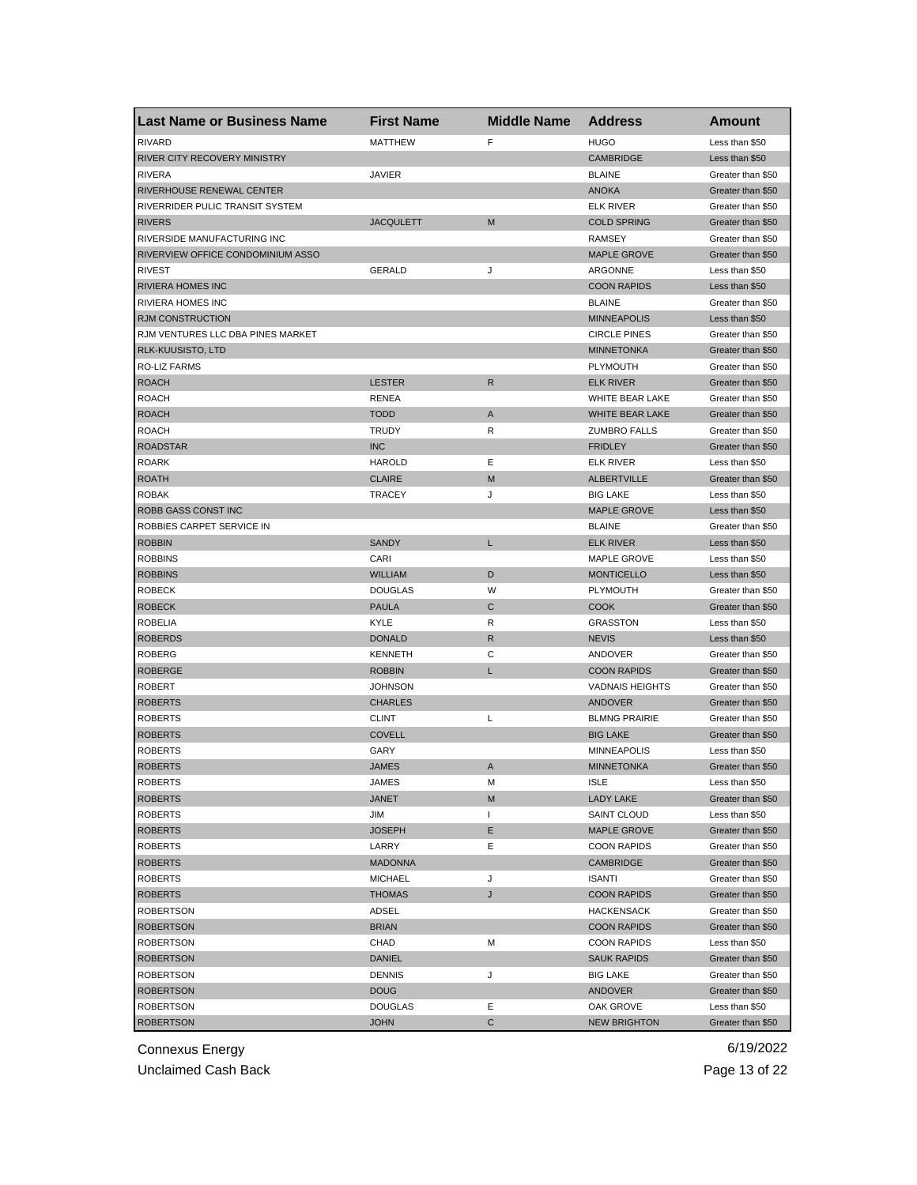| Last Name or Business Name        | <b>First Name</b> | <b>Middle Name</b> | <b>Address</b>         | <b>Amount</b>     |
|-----------------------------------|-------------------|--------------------|------------------------|-------------------|
| <b>RIVARD</b>                     | <b>MATTHEW</b>    | F                  | <b>HUGO</b>            | Less than \$50    |
| RIVER CITY RECOVERY MINISTRY      |                   |                    | <b>CAMBRIDGE</b>       | Less than \$50    |
| <b>RIVERA</b>                     | <b>JAVIER</b>     |                    | <b>BLAINE</b>          | Greater than \$50 |
| RIVERHOUSE RENEWAL CENTER         |                   |                    | <b>ANOKA</b>           | Greater than \$50 |
| RIVERRIDER PULIC TRANSIT SYSTEM   |                   |                    | <b>ELK RIVER</b>       | Greater than \$50 |
| <b>RIVERS</b>                     | <b>JACQULETT</b>  | M                  | <b>COLD SPRING</b>     | Greater than \$50 |
| RIVERSIDE MANUFACTURING INC       |                   |                    | <b>RAMSEY</b>          | Greater than \$50 |
| RIVERVIEW OFFICE CONDOMINIUM ASSO |                   |                    | <b>MAPLE GROVE</b>     | Greater than \$50 |
| <b>RIVEST</b>                     | <b>GERALD</b>     | J                  | ARGONNE                | Less than \$50    |
| <b>RIVIERA HOMES INC</b>          |                   |                    | <b>COON RAPIDS</b>     | Less than \$50    |
| RIVIERA HOMES INC                 |                   |                    | <b>BLAINE</b>          | Greater than \$50 |
| <b>RJM CONSTRUCTION</b>           |                   |                    | <b>MINNEAPOLIS</b>     | Less than \$50    |
| RJM VENTURES LLC DBA PINES MARKET |                   |                    | <b>CIRCLE PINES</b>    | Greater than \$50 |
| RLK-KUUSISTO, LTD                 |                   |                    | <b>MINNETONKA</b>      | Greater than \$50 |
| RO-LIZ FARMS                      |                   |                    | PLYMOUTH               | Greater than \$50 |
| <b>ROACH</b>                      | <b>LESTER</b>     | R                  | <b>ELK RIVER</b>       | Greater than \$50 |
| <b>ROACH</b>                      | <b>RENEA</b>      |                    | WHITE BEAR LAKE        | Greater than \$50 |
| <b>ROACH</b>                      | <b>TODD</b>       | A                  | WHITE BEAR LAKE        | Greater than \$50 |
| <b>ROACH</b>                      | <b>TRUDY</b>      | R                  | <b>ZUMBRO FALLS</b>    | Greater than \$50 |
| <b>ROADSTAR</b>                   | <b>INC</b>        |                    | <b>FRIDLEY</b>         | Greater than \$50 |
| <b>ROARK</b>                      | <b>HAROLD</b>     | Ε                  | <b>ELK RIVER</b>       | Less than \$50    |
| <b>ROATH</b>                      | <b>CLAIRE</b>     | M                  | <b>ALBERTVILLE</b>     | Greater than \$50 |
| <b>ROBAK</b>                      | <b>TRACEY</b>     | J                  | <b>BIG LAKE</b>        | Less than \$50    |
| ROBB GASS CONST INC               |                   |                    | <b>MAPLE GROVE</b>     | Less than \$50    |
| ROBBIES CARPET SERVICE IN         |                   |                    | <b>BLAINE</b>          | Greater than \$50 |
| <b>ROBBIN</b>                     | <b>SANDY</b>      | L                  | <b>ELK RIVER</b>       | Less than \$50    |
| <b>ROBBINS</b>                    | CARI              |                    | MAPLE GROVE            | Less than \$50    |
| <b>ROBBINS</b>                    | <b>WILLIAM</b>    | D                  | <b>MONTICELLO</b>      | Less than \$50    |
| <b>ROBECK</b>                     | <b>DOUGLAS</b>    | W                  | PLYMOUTH               | Greater than \$50 |
| <b>ROBECK</b>                     | <b>PAULA</b>      | C                  | <b>COOK</b>            | Greater than \$50 |
| <b>ROBELIA</b>                    | KYLE              | R                  | <b>GRASSTON</b>        | Less than \$50    |
| <b>ROBERDS</b>                    | <b>DONALD</b>     | R                  | <b>NEVIS</b>           | Less than \$50    |
| <b>ROBERG</b>                     | <b>KENNETH</b>    | C                  | ANDOVER                | Greater than \$50 |
| <b>ROBERGE</b>                    | <b>ROBBIN</b>     | L                  | <b>COON RAPIDS</b>     | Greater than \$50 |
| <b>ROBERT</b>                     | <b>JOHNSON</b>    |                    | <b>VADNAIS HEIGHTS</b> | Greater than \$50 |
| <b>ROBERTS</b>                    | <b>CHARLES</b>    |                    | ANDOVER                | Greater than \$50 |
| <b>ROBERTS</b>                    | <b>CLINT</b>      | Г                  | <b>BLMNG PRAIRIE</b>   | Greater than \$50 |
| <b>ROBERTS</b>                    | <b>COVELL</b>     |                    | <b>BIG LAKE</b>        | Greater than \$50 |
| <b>ROBERTS</b>                    | GARY              |                    | <b>MINNEAPOLIS</b>     | Less than \$50    |
| <b>ROBERTS</b>                    | <b>JAMES</b>      | A                  | <b>MINNETONKA</b>      | Greater than \$50 |
| <b>ROBERTS</b>                    | JAMES             | M                  | <b>ISLE</b>            | Less than \$50    |
| <b>ROBERTS</b>                    | JANET             | M                  | LADY LAKE              | Greater than \$50 |
| <b>ROBERTS</b>                    | JIM               | $\mathbf{I}$       | SAINT CLOUD            | Less than \$50    |
| <b>ROBERTS</b>                    | <b>JOSEPH</b>     | Е                  | <b>MAPLE GROVE</b>     | Greater than \$50 |
| <b>ROBERTS</b>                    | LARRY             | Ε                  | <b>COON RAPIDS</b>     | Greater than \$50 |
| <b>ROBERTS</b>                    | <b>MADONNA</b>    |                    | <b>CAMBRIDGE</b>       | Greater than \$50 |
| <b>ROBERTS</b>                    | <b>MICHAEL</b>    | J                  | <b>ISANTI</b>          | Greater than \$50 |
| <b>ROBERTS</b>                    | <b>THOMAS</b>     | J                  | <b>COON RAPIDS</b>     | Greater than \$50 |
| <b>ROBERTSON</b>                  | ADSEL             |                    | <b>HACKENSACK</b>      | Greater than \$50 |
| <b>ROBERTSON</b>                  | <b>BRIAN</b>      |                    | <b>COON RAPIDS</b>     | Greater than \$50 |
| <b>ROBERTSON</b>                  | CHAD              | M                  | <b>COON RAPIDS</b>     | Less than \$50    |
| <b>ROBERTSON</b>                  | <b>DANIEL</b>     |                    | <b>SAUK RAPIDS</b>     | Greater than \$50 |
| <b>ROBERTSON</b>                  | <b>DENNIS</b>     | J                  | <b>BIG LAKE</b>        | Greater than \$50 |
| <b>ROBERTSON</b>                  | <b>DOUG</b>       |                    | <b>ANDOVER</b>         | Greater than \$50 |
| <b>ROBERTSON</b>                  | <b>DOUGLAS</b>    | Е                  | OAK GROVE              | Less than \$50    |
| <b>ROBERTSON</b>                  | <b>JOHN</b>       | С                  | <b>NEW BRIGHTON</b>    | Greater than \$50 |

Unclaimed Cash Back **Page 13 of 22**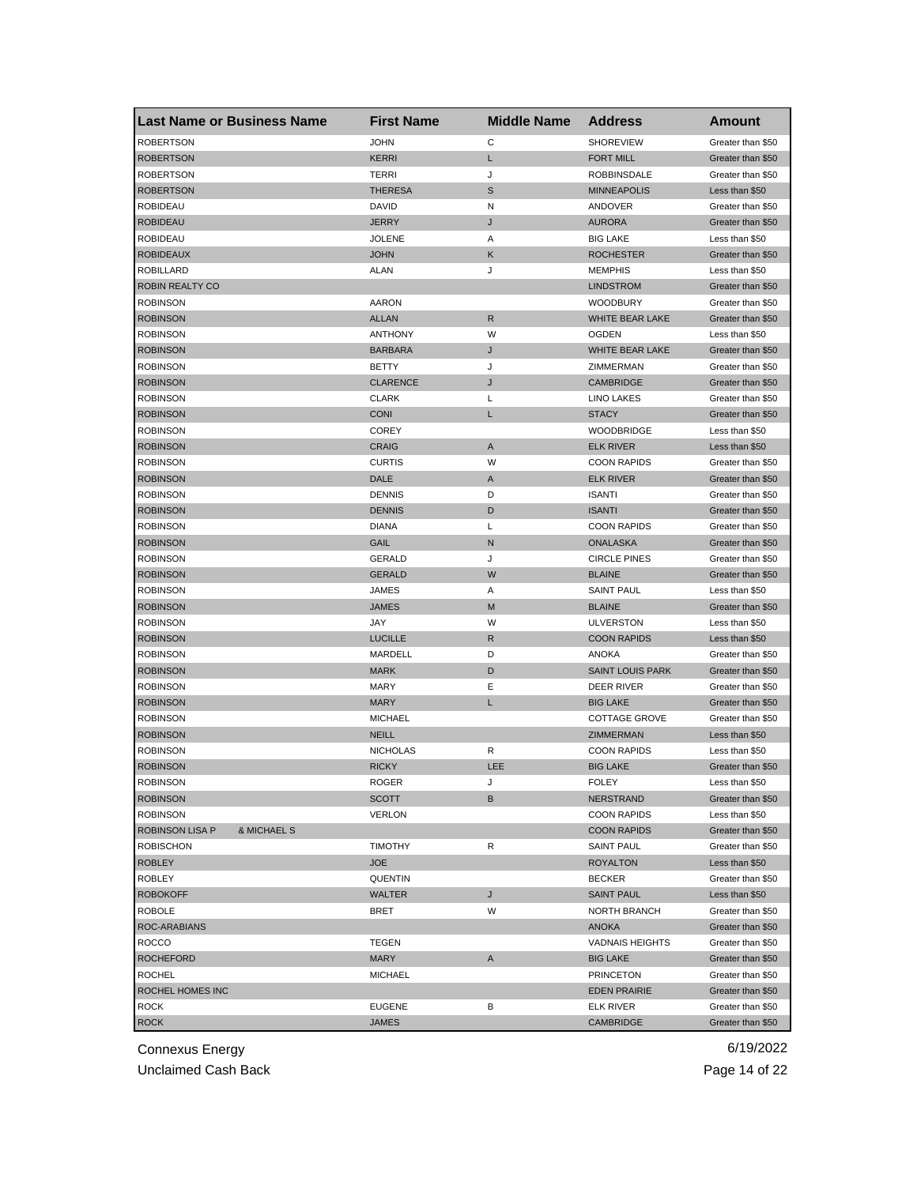| <b>Last Name or Business Name</b>  |             | <b>First Name</b> | <b>Middle Name</b> | <b>Address</b>                   | Amount                              |
|------------------------------------|-------------|-------------------|--------------------|----------------------------------|-------------------------------------|
| <b>ROBERTSON</b>                   |             | <b>JOHN</b>       | C                  | <b>SHOREVIEW</b>                 | Greater than \$50                   |
| <b>ROBERTSON</b>                   |             | <b>KERRI</b>      | L                  | <b>FORT MILL</b>                 | Greater than \$50                   |
| <b>ROBERTSON</b>                   |             | TERRI             | J                  | <b>ROBBINSDALE</b>               | Greater than \$50                   |
| <b>ROBERTSON</b>                   |             | <b>THERESA</b>    | $\mathbb S$        | <b>MINNEAPOLIS</b>               | Less than \$50                      |
| <b>ROBIDEAU</b>                    |             | DAVID             | N                  | ANDOVER                          | Greater than \$50                   |
| <b>ROBIDEAU</b>                    |             | <b>JERRY</b>      | J                  | <b>AURORA</b>                    | Greater than \$50                   |
| <b>ROBIDEAU</b>                    |             | <b>JOLENE</b>     | Α                  | <b>BIG LAKE</b>                  | Less than \$50                      |
| <b>ROBIDEAUX</b>                   |             | <b>JOHN</b>       | Κ                  | <b>ROCHESTER</b>                 | Greater than \$50                   |
| ROBILLARD                          |             | <b>ALAN</b>       | J                  | <b>MEMPHIS</b>                   | Less than \$50                      |
| ROBIN REALTY CO                    |             |                   |                    | <b>LINDSTROM</b>                 | Greater than \$50                   |
| ROBINSON                           |             | <b>AARON</b>      |                    | <b>WOODBURY</b>                  | Greater than \$50                   |
| <b>ROBINSON</b>                    |             | <b>ALLAN</b>      | R                  | WHITE BEAR LAKE                  | Greater than \$50                   |
| <b>ROBINSON</b>                    |             | <b>ANTHONY</b>    | W                  | <b>OGDEN</b>                     | Less than \$50                      |
| <b>ROBINSON</b>                    |             | <b>BARBARA</b>    | J                  | WHITE BEAR LAKE                  | Greater than \$50                   |
| <b>ROBINSON</b>                    |             | <b>BETTY</b>      | J                  | ZIMMERMAN                        | Greater than \$50                   |
| <b>ROBINSON</b>                    |             | <b>CLARENCE</b>   | J                  | <b>CAMBRIDGE</b>                 | Greater than \$50                   |
| ROBINSON                           |             | <b>CLARK</b>      | L                  | <b>LINO LAKES</b>                | Greater than \$50                   |
| <b>ROBINSON</b>                    |             | <b>CONI</b>       | L                  | <b>STACY</b>                     | Greater than \$50                   |
| <b>ROBINSON</b>                    |             | <b>COREY</b>      |                    | <b>WOODBRIDGE</b>                | Less than \$50                      |
| <b>ROBINSON</b>                    |             | <b>CRAIG</b>      | Α                  | <b>ELK RIVER</b>                 | Less than \$50                      |
| <b>ROBINSON</b>                    |             | <b>CURTIS</b>     | W                  | <b>COON RAPIDS</b>               | Greater than \$50                   |
| <b>ROBINSON</b>                    |             | DALE              | A                  | <b>ELK RIVER</b>                 | Greater than \$50                   |
| <b>ROBINSON</b>                    |             | <b>DENNIS</b>     | D                  | <b>ISANTI</b>                    | Greater than \$50                   |
| <b>ROBINSON</b>                    |             | <b>DENNIS</b>     | D                  | <b>ISANTI</b>                    | Greater than \$50                   |
| ROBINSON                           |             | <b>DIANA</b>      | Г                  | <b>COON RAPIDS</b>               | Greater than \$50                   |
| <b>ROBINSON</b>                    |             | GAIL              | N                  | <b>ONALASKA</b>                  | Greater than \$50                   |
| <b>ROBINSON</b>                    |             | GERALD            | J                  | <b>CIRCLE PINES</b>              | Greater than \$50                   |
| <b>ROBINSON</b>                    |             | <b>GERALD</b>     | W                  | <b>BLAINE</b>                    | Greater than \$50                   |
| <b>ROBINSON</b>                    |             | JAMES             | Α                  | <b>SAINT PAUL</b>                | Less than \$50                      |
| <b>ROBINSON</b>                    |             | JAMES             | M                  | <b>BLAINE</b>                    | Greater than \$50                   |
| ROBINSON                           |             | JAY               | W                  | <b>ULVERSTON</b>                 | Less than \$50                      |
| <b>ROBINSON</b>                    |             | <b>LUCILLE</b>    | $\mathsf{R}$       | <b>COON RAPIDS</b>               | Less than \$50                      |
| <b>ROBINSON</b>                    |             | MARDELL           | D                  | ANOKA                            | Greater than \$50                   |
| <b>ROBINSON</b>                    |             | <b>MARK</b>       | D                  | <b>SAINT LOUIS PARK</b>          | Greater than \$50                   |
| <b>ROBINSON</b>                    |             | MARY              | Ε                  | DEER RIVER                       | Greater than \$50                   |
| <b>ROBINSON</b>                    |             | <b>MARY</b>       | L                  | <b>BIG LAKE</b>                  | Greater than \$50                   |
| ROBINSON                           |             | <b>MICHAEL</b>    |                    | <b>COTTAGE GROVE</b>             | Greater than \$50                   |
| <b>ROBINSON</b>                    |             | <b>NEILL</b>      |                    | ZIMMERMAN                        | Less than \$50                      |
| <b>ROBINSON</b>                    |             | <b>NICHOLAS</b>   | R                  | <b>COON RAPIDS</b>               |                                     |
| <b>ROBINSON</b>                    |             | <b>RICKY</b>      | LEE                | <b>BIG LAKE</b>                  | Less than \$50<br>Greater than \$50 |
|                                    |             |                   |                    |                                  |                                     |
| <b>ROBINSON</b><br><b>ROBINSON</b> |             | ROGER             | J                  | <b>FOLEY</b><br><b>NERSTRAND</b> | Less than \$50<br>Greater than \$50 |
| <b>ROBINSON</b>                    |             | SCOTT             | В                  |                                  | Less than \$50                      |
|                                    |             | <b>VERLON</b>     |                    | <b>COON RAPIDS</b>               |                                     |
| ROBINSON LISA P                    | & MICHAEL S |                   |                    | <b>COON RAPIDS</b>               | Greater than \$50                   |
| <b>ROBISCHON</b>                   |             | <b>TIMOTHY</b>    | R                  | <b>SAINT PAUL</b>                | Greater than \$50                   |
| <b>ROBLEY</b>                      |             | <b>JOE</b>        |                    | <b>ROYALTON</b>                  | Less than \$50                      |
| ROBLEY                             |             | <b>QUENTIN</b>    |                    | <b>BECKER</b>                    | Greater than \$50                   |
| <b>ROBOKOFF</b>                    |             | WALTER            | J                  | <b>SAINT PAUL</b>                | Less than \$50                      |
| <b>ROBOLE</b>                      |             | BRET              | W                  | NORTH BRANCH                     | Greater than \$50                   |
| ROC-ARABIANS                       |             |                   |                    | ANOKA                            | Greater than \$50                   |
| ROCCO                              |             | TEGEN             |                    | <b>VADNAIS HEIGHTS</b>           | Greater than \$50                   |
| <b>ROCHEFORD</b>                   |             | MARY              | A                  | <b>BIG LAKE</b>                  | Greater than \$50                   |
| <b>ROCHEL</b>                      |             | <b>MICHAEL</b>    |                    | <b>PRINCETON</b>                 | Greater than \$50                   |
| ROCHEL HOMES INC                   |             |                   |                    | <b>EDEN PRAIRIE</b>              | Greater than \$50                   |
| ROCK                               |             | <b>EUGENE</b>     | в                  | ELK RIVER                        | Greater than \$50                   |
| <b>ROCK</b>                        |             | JAMES             |                    | CAMBRIDGE                        | Greater than \$50                   |

Unclaimed Cash Back **Page 14 of 22**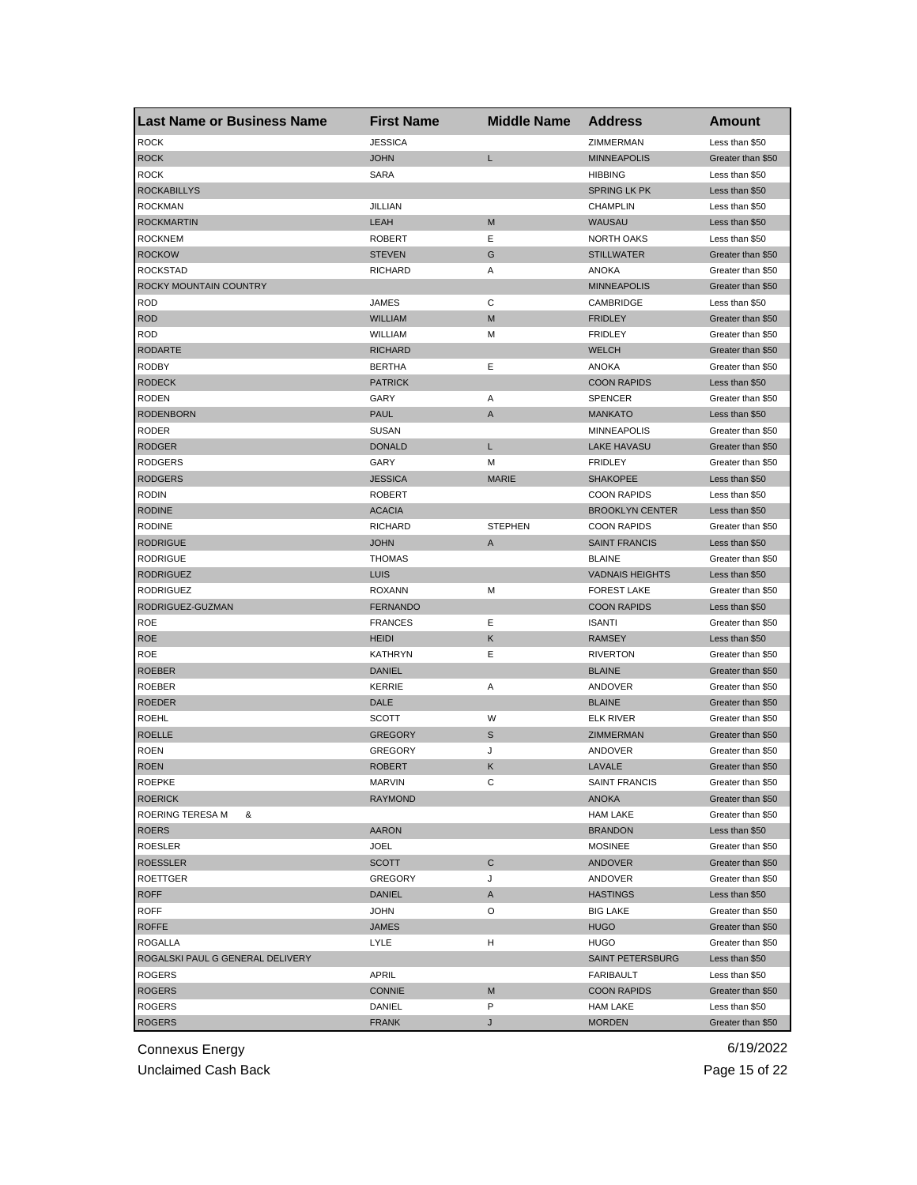| Last Name or Business Name       | <b>First Name</b> | <b>Middle Name</b> | <b>Address</b>         | Amount            |
|----------------------------------|-------------------|--------------------|------------------------|-------------------|
| <b>ROCK</b>                      | <b>JESSICA</b>    |                    | ZIMMERMAN              | Less than \$50    |
| <b>ROCK</b>                      | <b>JOHN</b>       | L                  | <b>MINNEAPOLIS</b>     | Greater than \$50 |
| <b>ROCK</b>                      | <b>SARA</b>       |                    | <b>HIBBING</b>         | Less than \$50    |
| <b>ROCKABILLYS</b>               |                   |                    | <b>SPRING LK PK</b>    | Less than \$50    |
| <b>ROCKMAN</b>                   | <b>JILLIAN</b>    |                    | <b>CHAMPLIN</b>        | Less than \$50    |
| <b>ROCKMARTIN</b>                | LEAH              | M                  | WAUSAU                 | Less than \$50    |
| <b>ROCKNEM</b>                   | <b>ROBERT</b>     | Ε                  | <b>NORTH OAKS</b>      | Less than \$50    |
| <b>ROCKOW</b>                    | <b>STEVEN</b>     | G                  | <b>STILLWATER</b>      | Greater than \$50 |
| <b>ROCKSTAD</b>                  | <b>RICHARD</b>    | Α                  | ANOKA                  | Greater than \$50 |
| ROCKY MOUNTAIN COUNTRY           |                   |                    | <b>MINNEAPOLIS</b>     | Greater than \$50 |
| <b>ROD</b>                       | JAMES             | С                  | CAMBRIDGE              | Less than \$50    |
| <b>ROD</b>                       | <b>WILLIAM</b>    | М                  | <b>FRIDLEY</b>         | Greater than \$50 |
| <b>ROD</b>                       | WILLIAM           | М                  | <b>FRIDLEY</b>         | Greater than \$50 |
| <b>RODARTE</b>                   | <b>RICHARD</b>    |                    | <b>WELCH</b>           | Greater than \$50 |
| <b>RODBY</b>                     | <b>BERTHA</b>     | Ε                  | <b>ANOKA</b>           | Greater than \$50 |
| <b>RODECK</b>                    | <b>PATRICK</b>    |                    | <b>COON RAPIDS</b>     | Less than \$50    |
| <b>RODEN</b>                     | GARY              | Α                  | <b>SPENCER</b>         | Greater than \$50 |
| <b>RODENBORN</b>                 | <b>PAUL</b>       | Α                  | <b>MANKATO</b>         | Less than \$50    |
| RODER                            | <b>SUSAN</b>      |                    | <b>MINNEAPOLIS</b>     | Greater than \$50 |
| <b>RODGER</b>                    | <b>DONALD</b>     | L                  | <b>LAKE HAVASU</b>     | Greater than \$50 |
| <b>RODGERS</b>                   | GARY              | м                  | <b>FRIDLEY</b>         | Greater than \$50 |
| <b>RODGERS</b>                   | <b>JESSICA</b>    | <b>MARIE</b>       | <b>SHAKOPEE</b>        | Less than \$50    |
| <b>RODIN</b>                     | <b>ROBERT</b>     |                    | <b>COON RAPIDS</b>     | Less than \$50    |
| <b>RODINE</b>                    | <b>ACACIA</b>     |                    | <b>BROOKLYN CENTER</b> | Less than \$50    |
| <b>RODINE</b>                    | <b>RICHARD</b>    | <b>STEPHEN</b>     | <b>COON RAPIDS</b>     | Greater than \$50 |
| <b>RODRIGUE</b>                  | <b>JOHN</b>       | Α                  | <b>SAINT FRANCIS</b>   | Less than \$50    |
| <b>RODRIGUE</b>                  | <b>THOMAS</b>     |                    | <b>BLAINE</b>          | Greater than \$50 |
| <b>RODRIGUEZ</b>                 | LUIS              |                    | <b>VADNAIS HEIGHTS</b> | Less than \$50    |
| <b>RODRIGUEZ</b>                 | <b>ROXANN</b>     | М                  | <b>FOREST LAKE</b>     | Greater than \$50 |
| RODRIGUEZ-GUZMAN                 | <b>FERNANDO</b>   |                    | <b>COON RAPIDS</b>     | Less than \$50    |
| <b>ROE</b>                       | <b>FRANCES</b>    | Ε                  | <b>ISANTI</b>          | Greater than \$50 |
| <b>ROE</b>                       | <b>HEIDI</b>      | κ                  | <b>RAMSEY</b>          | Less than \$50    |
| ROE                              | <b>KATHRYN</b>    | Ε                  | <b>RIVERTON</b>        | Greater than \$50 |
| <b>ROEBER</b>                    | <b>DANIEL</b>     |                    | <b>BLAINE</b>          | Greater than \$50 |
| <b>ROEBER</b>                    | <b>KERRIE</b>     | Α                  | ANDOVER                | Greater than \$50 |
| <b>ROEDER</b>                    | DALE              |                    | <b>BLAINE</b>          | Greater than \$50 |
| <b>ROEHL</b>                     | <b>SCOTT</b>      | W                  | ELK RIVER              | Greater than \$50 |
| <b>ROELLE</b>                    | <b>GREGORY</b>    | S                  | ZIMMERMAN              | Greater than \$50 |
| <b>ROEN</b>                      | <b>GREGORY</b>    | J                  | ANDOVER                | Greater than \$50 |
| <b>ROEN</b>                      | <b>ROBERT</b>     | Κ                  | LAVALE                 | Greater than \$50 |
| <b>ROFFKE</b>                    | MARVIN            | C                  | SAINT FRANCIS          | Greater than \$50 |
| <b>ROERICK</b>                   | <b>RAYMOND</b>    |                    | <b>ANOKA</b>           | Greater than \$50 |
| ROERING TERESA M<br>&            |                   |                    | <b>HAM LAKE</b>        | Greater than \$50 |
| <b>ROERS</b>                     | <b>AARON</b>      |                    | <b>BRANDON</b>         | Less than \$50    |
| ROESLER                          | <b>JOEL</b>       |                    | <b>MOSINEE</b>         | Greater than \$50 |
| <b>ROESSLER</b>                  | <b>SCOTT</b>      | C                  | <b>ANDOVER</b>         | Greater than \$50 |
| <b>ROETTGER</b>                  | <b>GREGORY</b>    | J                  | ANDOVER                | Greater than \$50 |
| <b>ROFF</b>                      | <b>DANIEL</b>     | Α                  | <b>HASTINGS</b>        | Less than \$50    |
| <b>ROFF</b>                      | <b>JOHN</b>       | O                  | <b>BIG LAKE</b>        | Greater than \$50 |
| <b>ROFFE</b>                     | <b>JAMES</b>      |                    | <b>HUGO</b>            | Greater than \$50 |
| <b>ROGALLA</b>                   | <b>LYLE</b>       | н                  | <b>HUGO</b>            | Greater than \$50 |
| ROGALSKI PAUL G GENERAL DELIVERY |                   |                    | SAINT PETERSBURG       | Less than \$50    |
| ROGERS                           | APRIL             |                    | <b>FARIBAULT</b>       | Less than \$50    |
| <b>ROGERS</b>                    | <b>CONNIE</b>     | M                  | <b>COON RAPIDS</b>     | Greater than \$50 |
| ROGERS                           | DANIEL            | P                  | <b>HAM LAKE</b>        | Less than \$50    |
| <b>ROGERS</b>                    | <b>FRANK</b>      | J                  | <b>MORDEN</b>          | Greater than \$50 |

Unclaimed Cash Back **Page 15 of 22**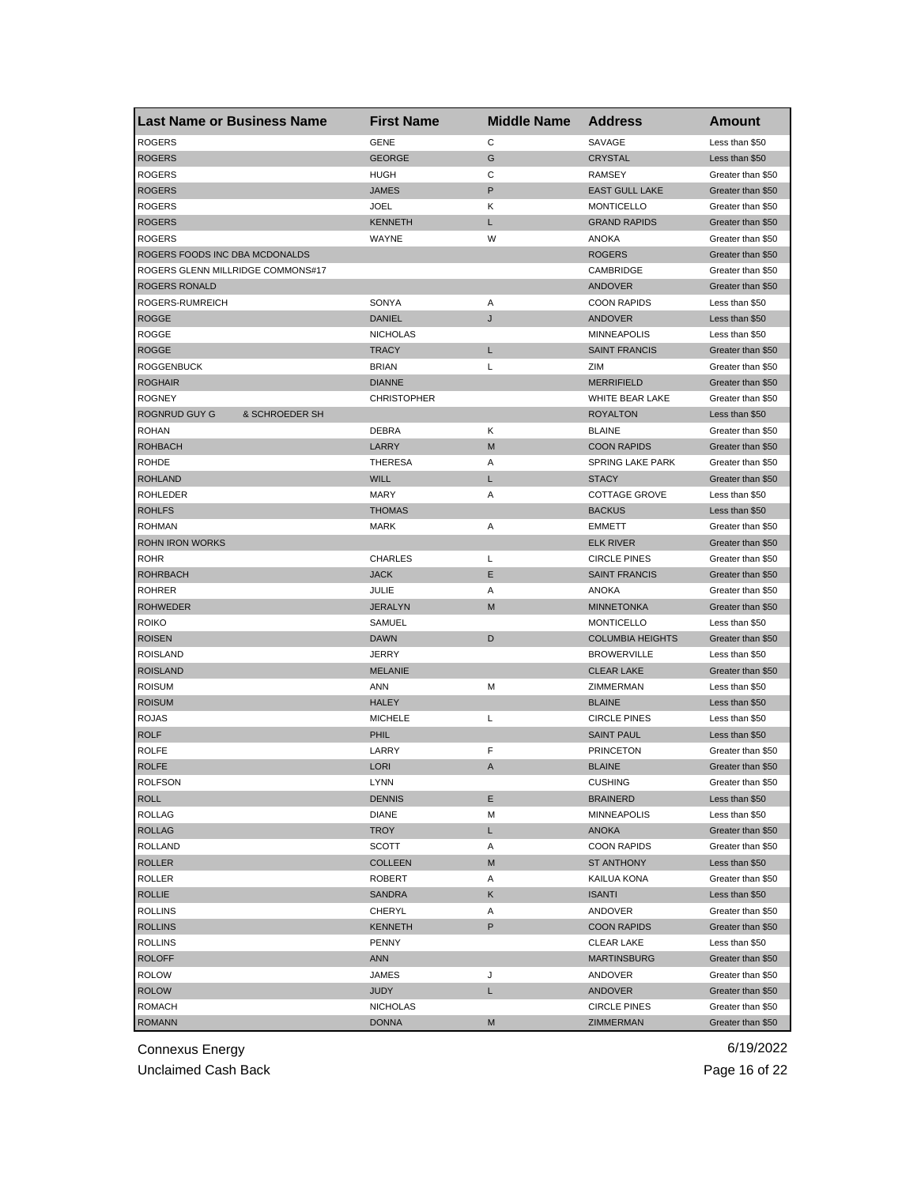| <b>Last Name or Business Name</b>      | <b>First Name</b>  | <b>Middle Name</b> | <b>Address</b>          | Amount                              |
|----------------------------------------|--------------------|--------------------|-------------------------|-------------------------------------|
| <b>ROGERS</b>                          | <b>GENE</b>        | C                  | SAVAGE                  | Less than \$50                      |
| <b>ROGERS</b>                          | <b>GEORGE</b>      | G                  | <b>CRYSTAL</b>          | Less than \$50                      |
| <b>ROGERS</b>                          | <b>HUGH</b>        | С                  | <b>RAMSEY</b>           | Greater than \$50                   |
| <b>ROGERS</b>                          | JAMES              | P                  | <b>EAST GULL LAKE</b>   | Greater than \$50                   |
| <b>ROGERS</b>                          | <b>JOEL</b>        | Κ                  | <b>MONTICELLO</b>       | Greater than \$50                   |
| <b>ROGERS</b>                          | <b>KENNETH</b>     | L                  | <b>GRAND RAPIDS</b>     | Greater than \$50                   |
| <b>ROGERS</b>                          | WAYNE              | W                  | <b>ANOKA</b>            | Greater than \$50                   |
| ROGERS FOODS INC DBA MCDONALDS         |                    |                    | <b>ROGERS</b>           | Greater than \$50                   |
| ROGERS GLENN MILLRIDGE COMMONS#17      |                    |                    | CAMBRIDGE               | Greater than \$50                   |
| ROGERS RONALD                          |                    |                    | ANDOVER                 | Greater than \$50                   |
| ROGERS-RUMREICH                        | SONYA              | Α                  | <b>COON RAPIDS</b>      | Less than \$50                      |
| <b>ROGGE</b>                           | <b>DANIEL</b>      | J                  | ANDOVER                 | Less than \$50                      |
| <b>ROGGE</b>                           | <b>NICHOLAS</b>    |                    | <b>MINNEAPOLIS</b>      | Less than \$50                      |
| <b>ROGGE</b>                           | <b>TRACY</b>       | L                  | <b>SAINT FRANCIS</b>    | Greater than \$50                   |
| <b>ROGGENBUCK</b>                      | <b>BRIAN</b>       | L                  | ZIM                     | Greater than \$50                   |
| <b>ROGHAIR</b>                         | <b>DIANNE</b>      |                    | <b>MERRIFIELD</b>       | Greater than \$50                   |
| <b>ROGNEY</b>                          | <b>CHRISTOPHER</b> |                    | WHITE BEAR LAKE         | Greater than \$50                   |
| <b>ROGNRUD GUY G</b><br>& SCHROEDER SH |                    |                    | <b>ROYALTON</b>         | Less than \$50                      |
| <b>ROHAN</b>                           | <b>DEBRA</b>       | Κ                  | <b>BLAINE</b>           | Greater than \$50                   |
| <b>ROHBACH</b>                         | LARRY              | M                  | <b>COON RAPIDS</b>      | Greater than \$50                   |
| <b>ROHDE</b>                           | <b>THERESA</b>     | Α                  | <b>SPRING LAKE PARK</b> | Greater than \$50                   |
| <b>ROHLAND</b>                         | <b>WILL</b>        | L                  | <b>STACY</b>            | Greater than \$50                   |
| <b>ROHLEDER</b>                        | <b>MARY</b>        | Α                  | <b>COTTAGE GROVE</b>    | Less than \$50                      |
| <b>ROHLFS</b>                          | <b>THOMAS</b>      |                    | <b>BACKUS</b>           | Less than \$50                      |
| <b>ROHMAN</b>                          | <b>MARK</b>        | Α                  | <b>EMMETT</b>           | Greater than \$50                   |
| <b>ROHN IRON WORKS</b>                 |                    |                    | <b>ELK RIVER</b>        | Greater than \$50                   |
| <b>ROHR</b>                            | <b>CHARLES</b>     | L                  | <b>CIRCLE PINES</b>     | Greater than \$50                   |
| <b>ROHRBACH</b>                        | <b>JACK</b>        | Ε                  | <b>SAINT FRANCIS</b>    | Greater than \$50                   |
| ROHRER                                 | JULIE              | Α                  | <b>ANOKA</b>            | Greater than \$50                   |
| <b>ROHWEDER</b>                        | <b>JERALYN</b>     | M                  | <b>MINNETONKA</b>       | Greater than \$50                   |
| <b>ROIKO</b>                           | SAMUEL             |                    | <b>MONTICELLO</b>       | Less than \$50                      |
| <b>ROISEN</b>                          | <b>DAWN</b>        | D                  | <b>COLUMBIA HEIGHTS</b> | Greater than \$50                   |
| <b>ROISLAND</b>                        | <b>JERRY</b>       |                    | <b>BROWERVILLE</b>      | Less than \$50                      |
| <b>ROISLAND</b>                        | <b>MELANIE</b>     |                    | <b>CLEAR LAKE</b>       | Greater than \$50                   |
| <b>ROISUM</b>                          | ANN                | M                  | ZIMMERMAN               | Less than \$50                      |
| <b>ROISUM</b>                          | <b>HALEY</b>       |                    | <b>BLAINE</b>           | Less than \$50                      |
| <b>ROJAS</b>                           | <b>MICHELE</b>     | Г                  | <b>CIRCLE PINES</b>     | Less than \$50                      |
| <b>ROLF</b>                            | PHIL               |                    | <b>SAINT PAUL</b>       |                                     |
|                                        |                    | F                  |                         | Less than \$50<br>Greater than \$50 |
| <b>ROLFE</b><br><b>ROLFE</b>           | LARRY              |                    | <b>PRINCETON</b>        | Greater than \$50                   |
|                                        | <b>LORI</b>        | A                  | <b>BLAINE</b>           |                                     |
| ROLFSON                                | LYNN               |                    | <b>CUSHING</b>          | Greater than \$50                   |
| <b>ROLL</b>                            | <b>DENNIS</b>      | Е                  | <b>BRAINERD</b>         | Less than \$50                      |
| <b>ROLLAG</b>                          | <b>DIANE</b>       | M                  | <b>MINNEAPOLIS</b>      | Less than \$50                      |
| ROLLAG                                 | TROY               | L                  | ANOKA                   | Greater than \$50                   |
| <b>ROLLAND</b>                         | SCOTT              | Α                  | <b>COON RAPIDS</b>      | Greater than \$50                   |
| <b>ROLLER</b>                          | <b>COLLEEN</b>     | M                  | ST ANTHONY              | Less than \$50                      |
| ROLLER                                 | ROBERT             | Α                  | KAILUA KONA             | Greater than \$50                   |
| <b>ROLLIE</b>                          | SANDRA             | Κ                  | <b>ISANTI</b>           | Less than \$50                      |
| <b>ROLLINS</b>                         | CHERYL             | Α                  | ANDOVER                 | Greater than \$50                   |
| <b>ROLLINS</b>                         | <b>KENNETH</b>     | P                  | <b>COON RAPIDS</b>      | Greater than \$50                   |
| <b>ROLLINS</b>                         | <b>PENNY</b>       |                    | <b>CLEAR LAKE</b>       | Less than \$50                      |
| <b>ROLOFF</b>                          | <b>ANN</b>         |                    | <b>MARTINSBURG</b>      | Greater than \$50                   |
| <b>ROLOW</b>                           | JAMES              | J                  | ANDOVER                 | Greater than \$50                   |
| <b>ROLOW</b>                           | <b>JUDY</b>        | L                  | <b>ANDOVER</b>          | Greater than \$50                   |
| <b>ROMACH</b>                          | <b>NICHOLAS</b>    |                    | <b>CIRCLE PINES</b>     | Greater than \$50                   |
| <b>ROMANN</b>                          | <b>DONNA</b>       | М                  | ZIMMERMAN               | Greater than \$50                   |

Unclaimed Cash Back **Page 16 of 22**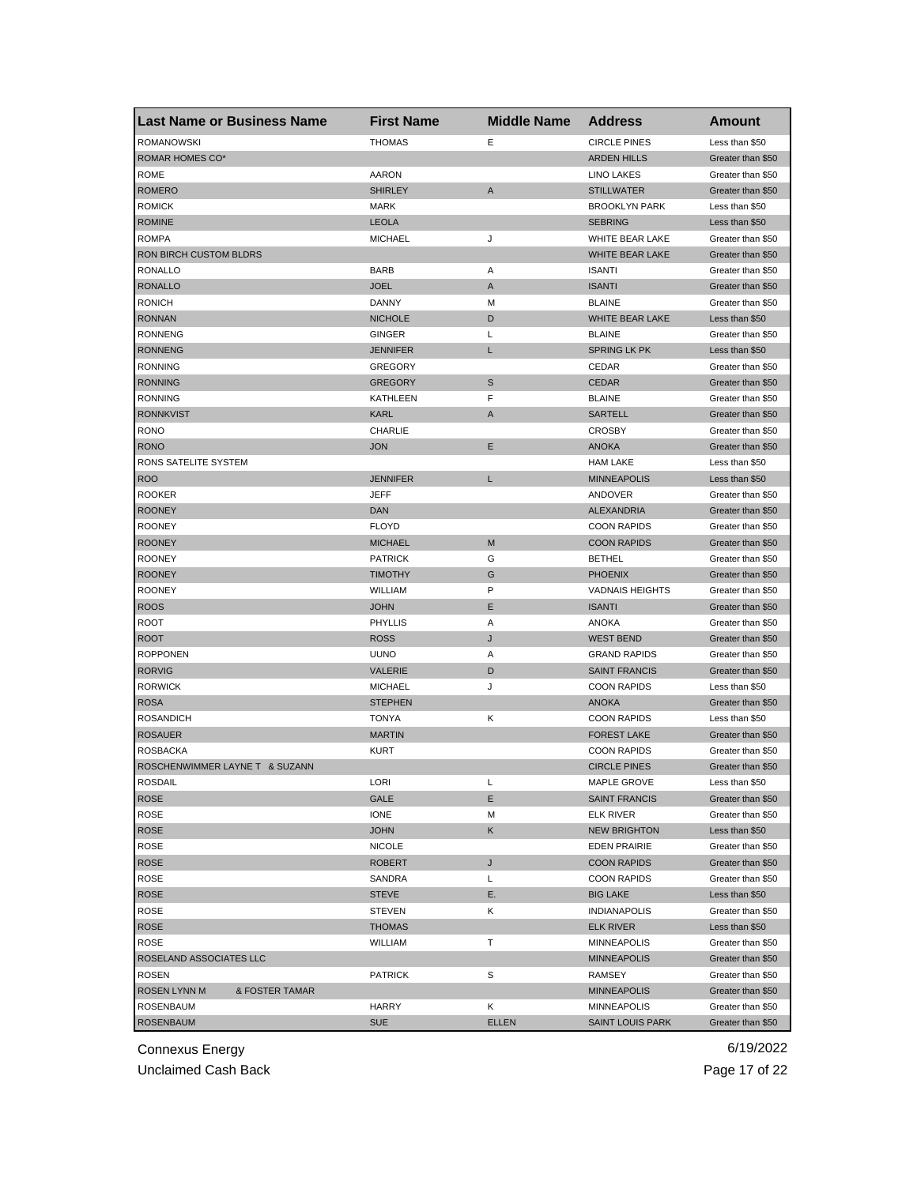| <b>Last Name or Business Name</b> | <b>First Name</b> | <b>Middle Name</b> | <b>Address</b>          | Amount            |
|-----------------------------------|-------------------|--------------------|-------------------------|-------------------|
| <b>ROMANOWSKI</b>                 | <b>THOMAS</b>     | Е                  | <b>CIRCLE PINES</b>     | Less than \$50    |
| ROMAR HOMES CO*                   |                   |                    | <b>ARDEN HILLS</b>      | Greater than \$50 |
| <b>ROME</b>                       | <b>AARON</b>      |                    | <b>LINO LAKES</b>       | Greater than \$50 |
| <b>ROMERO</b>                     | <b>SHIRLEY</b>    | A                  | <b>STILLWATER</b>       | Greater than \$50 |
| <b>ROMICK</b>                     | <b>MARK</b>       |                    | <b>BROOKLYN PARK</b>    | Less than \$50    |
| <b>ROMINE</b>                     | <b>LEOLA</b>      |                    | <b>SEBRING</b>          | Less than \$50    |
| <b>ROMPA</b>                      | <b>MICHAEL</b>    | J                  | WHITE BEAR LAKE         | Greater than \$50 |
| RON BIRCH CUSTOM BLDRS            |                   |                    | WHITE BEAR LAKE         | Greater than \$50 |
| <b>RONALLO</b>                    | <b>BARB</b>       | Α                  | <b>ISANTI</b>           | Greater than \$50 |
| <b>RONALLO</b>                    | <b>JOEL</b>       | A                  | <b>ISANTI</b>           | Greater than \$50 |
| <b>RONICH</b>                     | DANNY             | М                  | <b>BLAINE</b>           | Greater than \$50 |
| <b>RONNAN</b>                     | <b>NICHOLE</b>    | D                  | WHITE BEAR LAKE         | Less than \$50    |
| <b>RONNENG</b>                    | <b>GINGER</b>     | Г                  | <b>BLAINE</b>           | Greater than \$50 |
| <b>RONNENG</b>                    | <b>JENNIFER</b>   | Г                  | <b>SPRING LK PK</b>     | Less than \$50    |
| <b>RONNING</b>                    | <b>GREGORY</b>    |                    | CEDAR                   | Greater than \$50 |
| <b>RONNING</b>                    | <b>GREGORY</b>    | S                  | <b>CEDAR</b>            | Greater than \$50 |
| <b>RONNING</b>                    | KATHLEEN          | F                  | <b>BLAINE</b>           | Greater than \$50 |
| <b>RONNKVIST</b>                  | KARL              | A                  | <b>SARTELL</b>          | Greater than \$50 |
| <b>RONO</b>                       | <b>CHARLIE</b>    |                    | <b>CROSBY</b>           | Greater than \$50 |
| <b>RONO</b>                       | <b>JON</b>        | Ε                  | <b>ANOKA</b>            | Greater than \$50 |
| RONS SATELITE SYSTEM              |                   |                    | <b>HAM LAKE</b>         | Less than \$50    |
| <b>ROO</b>                        | <b>JENNIFER</b>   | L                  | <b>MINNEAPOLIS</b>      | Less than \$50    |
| <b>ROOKER</b>                     | <b>JEFF</b>       |                    | <b>ANDOVER</b>          | Greater than \$50 |
| <b>ROONEY</b>                     | <b>DAN</b>        |                    | <b>ALEXANDRIA</b>       | Greater than \$50 |
| <b>ROONEY</b>                     | <b>FLOYD</b>      |                    | <b>COON RAPIDS</b>      | Greater than \$50 |
| <b>ROONEY</b>                     | <b>MICHAEL</b>    | M                  | <b>COON RAPIDS</b>      | Greater than \$50 |
| <b>ROONEY</b>                     | <b>PATRICK</b>    | G                  | <b>BETHEL</b>           | Greater than \$50 |
| <b>ROONEY</b>                     | <b>TIMOTHY</b>    | G                  | <b>PHOENIX</b>          | Greater than \$50 |
| <b>ROONEY</b>                     | WILLIAM           | P                  | <b>VADNAIS HEIGHTS</b>  | Greater than \$50 |
| <b>ROOS</b>                       | <b>JOHN</b>       | Ε                  | <b>ISANTI</b>           | Greater than \$50 |
| <b>ROOT</b>                       | <b>PHYLLIS</b>    | Α                  | ANOKA                   | Greater than \$50 |
| <b>ROOT</b>                       | <b>ROSS</b>       | J                  | <b>WEST BEND</b>        | Greater than \$50 |
| <b>ROPPONEN</b>                   | <b>UUNO</b>       | Α                  | <b>GRAND RAPIDS</b>     | Greater than \$50 |
| <b>RORVIG</b>                     | <b>VALERIE</b>    | D                  | <b>SAINT FRANCIS</b>    | Greater than \$50 |
| <b>RORWICK</b>                    | <b>MICHAEL</b>    | J                  | <b>COON RAPIDS</b>      | Less than \$50    |
| <b>ROSA</b>                       | <b>STEPHEN</b>    |                    | <b>ANOKA</b>            | Greater than \$50 |
| <b>ROSANDICH</b>                  | <b>TONYA</b>      | Κ                  | <b>COON RAPIDS</b>      | Less than \$50    |
| <b>ROSAUER</b>                    | <b>MARTIN</b>     |                    | <b>FOREST LAKE</b>      | Greater than \$50 |
| ROSBACKA                          | <b>KURT</b>       |                    | <b>COON RAPIDS</b>      | Greater than \$50 |
| ROSCHENWIMMER LAYNE T & SUZANN    |                   |                    | <b>CIRCLE PINES</b>     | Greater than \$50 |
| ROSDAIL                           | LORI              | L                  | MAPLE GROVE             | Less than \$50    |
| ROSE                              | GALE              | E                  | <b>SAINT FRANCIS</b>    | Greater than \$50 |
| ROSE                              | <b>IONE</b>       | М                  | ELK RIVER               | Greater than \$50 |
| ROSE                              | <b>JOHN</b>       | Κ                  | <b>NEW BRIGHTON</b>     | Less than \$50    |
| ROSE                              | <b>NICOLE</b>     |                    | <b>EDEN PRAIRIE</b>     | Greater than \$50 |
| <b>ROSE</b>                       | <b>ROBERT</b>     | J                  | <b>COON RAPIDS</b>      | Greater than \$50 |
| <b>ROSE</b>                       | SANDRA            | Г                  | <b>COON RAPIDS</b>      | Greater than \$50 |
| <b>ROSE</b>                       | <b>STEVE</b>      | Е.                 | <b>BIG LAKE</b>         | Less than \$50    |
| ROSE                              | <b>STEVEN</b>     | Κ                  | <b>INDIANAPOLIS</b>     | Greater than \$50 |
| <b>ROSE</b>                       | <b>THOMAS</b>     |                    | <b>ELK RIVER</b>        | Less than \$50    |
| ROSE                              | <b>WILLIAM</b>    | т                  | MINNEAPOLIS             | Greater than \$50 |
|                                   |                   |                    |                         |                   |
| ROSELAND ASSOCIATES LLC           |                   |                    | <b>MINNEAPOLIS</b>      | Greater than \$50 |
| ROSEN                             | <b>PATRICK</b>    | S                  | RAMSEY                  | Greater than \$50 |
| ROSEN LYNN M<br>& FOSTER TAMAR    |                   |                    | <b>MINNEAPOLIS</b>      | Greater than \$50 |
| <b>ROSENBAUM</b>                  | <b>HARRY</b>      | Κ                  | <b>MINNEAPOLIS</b>      | Greater than \$50 |
| <b>ROSENBAUM</b>                  | <b>SUE</b>        | <b>ELLEN</b>       | <b>SAINT LOUIS PARK</b> | Greater than \$50 |

Unclaimed Cash Back **Page 17 of 22**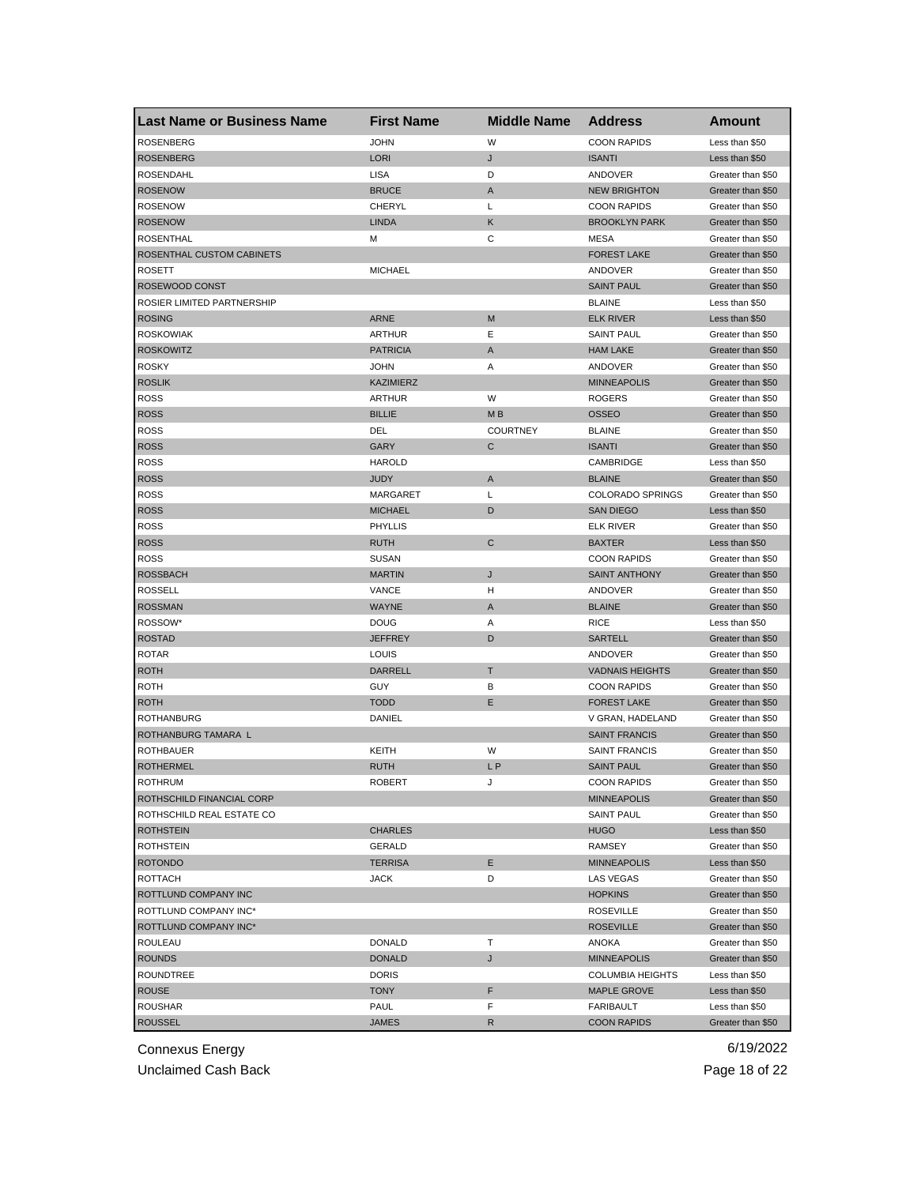| <b>Last Name or Business Name</b> | <b>First Name</b> | <b>Middle Name</b> | <b>Address</b>          | Amount                                 |
|-----------------------------------|-------------------|--------------------|-------------------------|----------------------------------------|
| <b>ROSENBERG</b>                  | <b>JOHN</b>       | W                  | <b>COON RAPIDS</b>      | Less than \$50                         |
| <b>ROSENBERG</b>                  | <b>LORI</b>       | J                  | <b>ISANTI</b>           | Less than \$50                         |
| <b>ROSENDAHL</b>                  | LISA              | D                  | ANDOVER                 | Greater than \$50                      |
| <b>ROSENOW</b>                    | <b>BRUCE</b>      | A                  | <b>NEW BRIGHTON</b>     | Greater than \$50                      |
| <b>ROSENOW</b>                    | CHERYL            | Г                  | <b>COON RAPIDS</b>      | Greater than \$50                      |
| <b>ROSENOW</b>                    | <b>LINDA</b>      | Κ                  | <b>BROOKLYN PARK</b>    | Greater than \$50                      |
| ROSENTHAL                         | M                 | С                  | MESA                    | Greater than \$50                      |
| ROSENTHAL CUSTOM CABINETS         |                   |                    | <b>FOREST LAKE</b>      | Greater than \$50                      |
| ROSETT                            | <b>MICHAEL</b>    |                    | ANDOVER                 | Greater than \$50                      |
| ROSEWOOD CONST                    |                   |                    | <b>SAINT PAUL</b>       | Greater than \$50                      |
| ROSIER LIMITED PARTNERSHIP        |                   |                    | <b>BLAINE</b>           | Less than \$50                         |
| <b>ROSING</b>                     | <b>ARNE</b>       | M                  | <b>ELK RIVER</b>        | Less than \$50                         |
| <b>ROSKOWIAK</b>                  | <b>ARTHUR</b>     | Ε                  | <b>SAINT PAUL</b>       | Greater than \$50                      |
| <b>ROSKOWITZ</b>                  | <b>PATRICIA</b>   | A                  | <b>HAM LAKE</b>         | Greater than \$50                      |
| <b>ROSKY</b>                      | <b>JOHN</b>       | Α                  | ANDOVER                 | Greater than \$50                      |
| <b>ROSLIK</b>                     | <b>KAZIMIERZ</b>  |                    | <b>MINNEAPOLIS</b>      | Greater than \$50                      |
| <b>ROSS</b>                       | ARTHUR            | W                  | <b>ROGERS</b>           | Greater than \$50                      |
| <b>ROSS</b>                       | <b>BILLIE</b>     | M <sub>B</sub>     | <b>OSSEO</b>            | Greater than \$50                      |
| <b>ROSS</b>                       | DEL               | <b>COURTNEY</b>    | <b>BLAINE</b>           | Greater than \$50                      |
| <b>ROSS</b>                       | <b>GARY</b>       | C                  | <b>ISANTI</b>           | Greater than \$50                      |
| <b>ROSS</b>                       | <b>HAROLD</b>     |                    | CAMBRIDGE               | Less than \$50                         |
| <b>ROSS</b>                       | <b>JUDY</b>       | A                  | <b>BLAINE</b>           | Greater than \$50                      |
| ROSS                              | <b>MARGARET</b>   | L                  | <b>COLORADO SPRINGS</b> | Greater than \$50                      |
| <b>ROSS</b>                       | <b>MICHAEL</b>    | D                  | <b>SAN DIEGO</b>        | Less than \$50                         |
| <b>ROSS</b>                       | <b>PHYLLIS</b>    |                    | ELK RIVER               | Greater than \$50                      |
| <b>ROSS</b>                       | <b>RUTH</b>       | $\mathsf{C}$       | <b>BAXTER</b>           | Less than \$50                         |
| <b>ROSS</b>                       | SUSAN             |                    | <b>COON RAPIDS</b>      | Greater than \$50                      |
| <b>ROSSBACH</b>                   | <b>MARTIN</b>     | J                  | <b>SAINT ANTHONY</b>    | Greater than \$50                      |
| <b>ROSSELL</b>                    | VANCE             | н                  | ANDOVER                 | Greater than \$50                      |
| <b>ROSSMAN</b>                    | <b>WAYNE</b>      | A                  | <b>BLAINE</b>           | Greater than \$50                      |
| ROSSOW*                           | <b>DOUG</b>       | Α                  | <b>RICE</b>             | Less than \$50                         |
| <b>ROSTAD</b>                     | <b>JEFFREY</b>    | D                  | <b>SARTELL</b>          | Greater than \$50                      |
| <b>ROTAR</b>                      | LOUIS             |                    | ANDOVER                 | Greater than \$50                      |
| <b>ROTH</b>                       | <b>DARRELL</b>    | Τ                  | <b>VADNAIS HEIGHTS</b>  | Greater than \$50                      |
| ROTH                              | GUY               | в                  | <b>COON RAPIDS</b>      | Greater than \$50                      |
| <b>ROTH</b>                       | <b>TODD</b>       | E                  | <b>FOREST LAKE</b>      | Greater than \$50                      |
| <b>ROTHANBURG</b>                 | DANIEL            |                    | V GRAN, HADELAND        | Greater than \$50                      |
| ROTHANBURG TAMARA L               |                   |                    | <b>SAINT FRANCIS</b>    | Greater than \$50                      |
| ROTHBAUER                         | KEITH             | W                  | <b>SAINT FRANCIS</b>    | Greater than \$50                      |
| <b>ROTHERMEL</b>                  | <b>RUTH</b>       | L P                | <b>SAINT PAUL</b>       | Greater than \$50                      |
| ROTHRUM                           | ROBERT            |                    | <b>COON RAPIDS</b>      |                                        |
| ROTHSCHILD FINANCIAL CORP         |                   |                    | <b>MINNEAPOLIS</b>      | Greater than \$50<br>Greater than \$50 |
| ROTHSCHILD REAL ESTATE CO         |                   |                    | <b>SAINT PAUL</b>       | Greater than \$50                      |
| <b>ROTHSTEIN</b>                  | <b>CHARLES</b>    |                    | <b>HUGO</b>             | Less than \$50                         |
| <b>ROTHSTEIN</b>                  | GERALD            |                    | RAMSEY                  | Greater than \$50                      |
| <b>ROTONDO</b>                    | <b>TERRISA</b>    | Е                  | <b>MINNEAPOLIS</b>      | Less than \$50                         |
| <b>ROTTACH</b>                    | <b>JACK</b>       | D                  | LAS VEGAS               |                                        |
|                                   |                   |                    |                         | Greater than \$50                      |
| ROTTLUND COMPANY INC              |                   |                    | <b>HOPKINS</b>          | Greater than \$50<br>Greater than \$50 |
| ROTTLUND COMPANY INC*             |                   |                    | <b>ROSEVILLE</b>        |                                        |
| ROTTLUND COMPANY INC*             |                   |                    | <b>ROSEVILLE</b>        | Greater than \$50                      |
| ROULEAU                           | <b>DONALD</b>     | т                  | <b>ANOKA</b>            | Greater than \$50                      |
| <b>ROUNDS</b>                     | <b>DONALD</b>     | J                  | <b>MINNEAPOLIS</b>      | Greater than \$50                      |
| ROUNDTREE                         | <b>DORIS</b>      |                    | <b>COLUMBIA HEIGHTS</b> | Less than \$50                         |
| <b>ROUSE</b>                      | <b>TONY</b>       | F                  | <b>MAPLE GROVE</b>      | Less than \$50                         |
| <b>ROUSHAR</b>                    | PAUL              | F                  | FARIBAULT               | Less than \$50                         |
| <b>ROUSSEL</b>                    | JAMES             | R                  | <b>COON RAPIDS</b>      | Greater than \$50                      |

Unclaimed Cash Back **Page 18 of 22**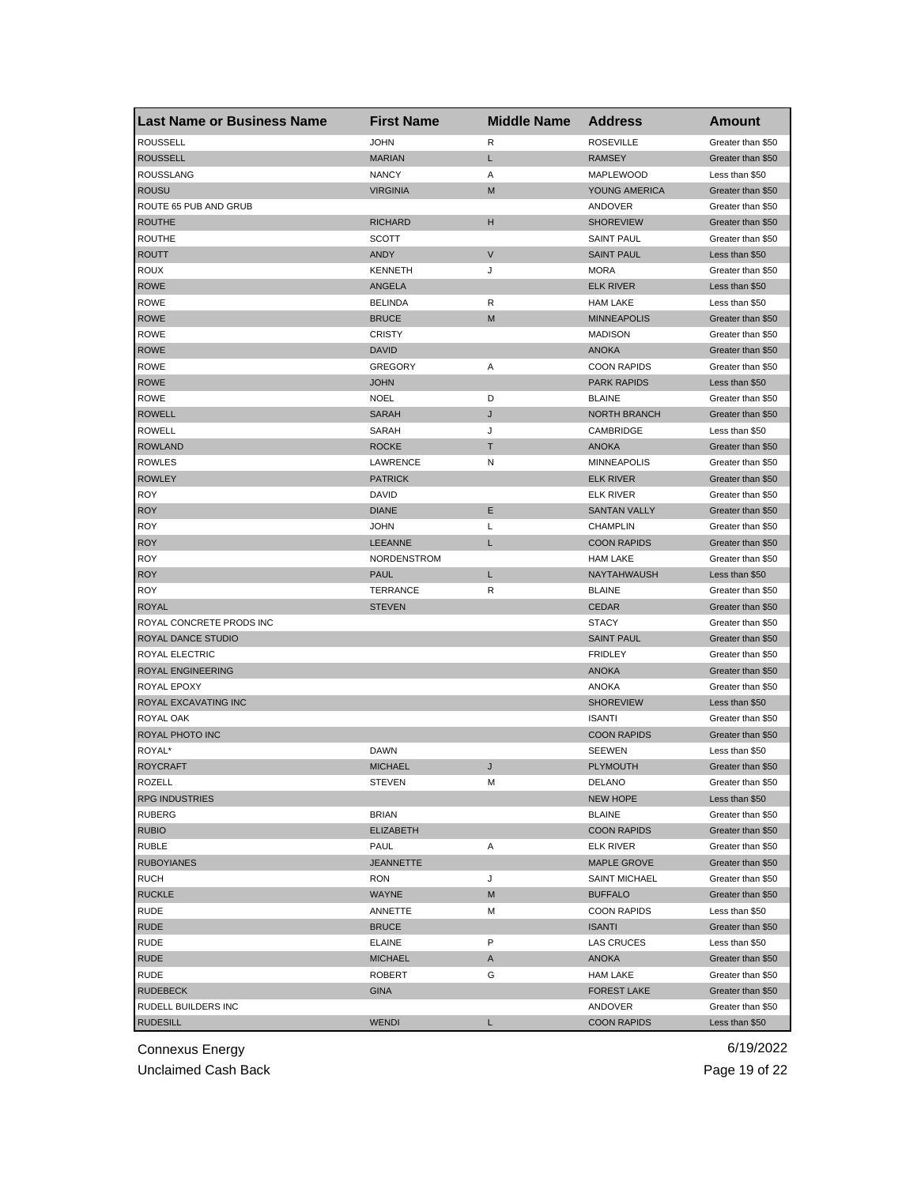| <b>Last Name or Business Name</b> | <b>First Name</b> | <b>Middle Name</b> | <b>Address</b>                | Amount            |
|-----------------------------------|-------------------|--------------------|-------------------------------|-------------------|
| <b>ROUSSELL</b>                   | <b>JOHN</b>       | R                  | <b>ROSEVILLE</b>              | Greater than \$50 |
| <b>ROUSSELL</b>                   | <b>MARIAN</b>     | L                  | <b>RAMSEY</b>                 | Greater than \$50 |
| <b>ROUSSLANG</b>                  | <b>NANCY</b>      | Α                  | MAPLEWOOD                     | Less than \$50    |
| <b>ROUSU</b>                      | <b>VIRGINIA</b>   | M                  | YOUNG AMERICA                 | Greater than \$50 |
| ROUTE 65 PUB AND GRUB             |                   |                    | ANDOVER                       | Greater than \$50 |
| <b>ROUTHE</b>                     | <b>RICHARD</b>    | н                  | <b>SHOREVIEW</b>              | Greater than \$50 |
| ROUTHE                            | <b>SCOTT</b>      |                    | <b>SAINT PAUL</b>             | Greater than \$50 |
| <b>ROUTT</b>                      | <b>ANDY</b>       | V                  | <b>SAINT PAUL</b>             | Less than \$50    |
| ROUX                              | <b>KENNETH</b>    | J                  | MORA                          | Greater than \$50 |
| <b>ROWE</b>                       | ANGELA            |                    | <b>ELK RIVER</b>              | Less than \$50    |
| ROWE                              | <b>BELINDA</b>    | R                  | <b>HAM LAKE</b>               | Less than \$50    |
| <b>ROWE</b>                       | <b>BRUCE</b>      | M                  | <b>MINNEAPOLIS</b>            | Greater than \$50 |
| ROWE                              | <b>CRISTY</b>     |                    | <b>MADISON</b>                | Greater than \$50 |
| <b>ROWE</b>                       | <b>DAVID</b>      |                    | <b>ANOKA</b>                  | Greater than \$50 |
| <b>ROWE</b>                       | <b>GREGORY</b>    | Α                  | <b>COON RAPIDS</b>            | Greater than \$50 |
| <b>ROWE</b>                       | <b>JOHN</b>       |                    | <b>PARK RAPIDS</b>            | Less than \$50    |
| <b>ROWE</b>                       | <b>NOEL</b>       | D                  | <b>BLAINE</b>                 | Greater than \$50 |
| <b>ROWELL</b>                     | <b>SARAH</b>      | J                  | <b>NORTH BRANCH</b>           | Greater than \$50 |
| <b>ROWELL</b>                     | SARAH             | J                  | CAMBRIDGE                     | Less than \$50    |
| <b>ROWLAND</b>                    | <b>ROCKE</b>      | т                  | <b>ANOKA</b>                  | Greater than \$50 |
| <b>ROWLES</b>                     | <b>LAWRENCE</b>   | Ν                  | <b>MINNEAPOLIS</b>            | Greater than \$50 |
| <b>ROWLEY</b>                     | <b>PATRICK</b>    |                    | <b>ELK RIVER</b>              | Greater than \$50 |
| <b>ROY</b>                        | DAVID             |                    | <b>ELK RIVER</b>              | Greater than \$50 |
| <b>ROY</b>                        | <b>DIANE</b>      | Ε                  | <b>SANTAN VALLY</b>           | Greater than \$50 |
| <b>ROY</b>                        | JOHN              | Г                  | <b>CHAMPLIN</b>               | Greater than \$50 |
| <b>ROY</b>                        | LEEANNE           | L                  | <b>COON RAPIDS</b>            | Greater than \$50 |
| <b>ROY</b>                        | NORDENSTROM       |                    | <b>HAM LAKE</b>               | Greater than \$50 |
| <b>ROY</b>                        | <b>PAUL</b>       | Г                  | NAYTAHWAUSH                   | Less than \$50    |
| <b>ROY</b>                        | TERRANCE          | R                  | <b>BLAINE</b>                 | Greater than \$50 |
| <b>ROYAL</b>                      | <b>STEVEN</b>     |                    | <b>CEDAR</b>                  | Greater than \$50 |
| ROYAL CONCRETE PRODS INC          |                   |                    | <b>STACY</b>                  | Greater than \$50 |
| ROYAL DANCE STUDIO                |                   |                    | <b>SAINT PAUL</b>             | Greater than \$50 |
| ROYAL ELECTRIC                    |                   |                    | <b>FRIDLEY</b>                | Greater than \$50 |
| ROYAL ENGINEERING                 |                   |                    | <b>ANOKA</b>                  | Greater than \$50 |
| ROYAL EPOXY                       |                   |                    | <b>ANOKA</b>                  | Greater than \$50 |
| ROYAL EXCAVATING INC              |                   |                    | <b>SHOREVIEW</b>              | Less than \$50    |
| ROYAL OAK                         |                   |                    | <b>ISANTI</b>                 | Greater than \$50 |
| ROYAL PHOTO INC                   |                   |                    | <b>COON RAPIDS</b>            | Greater than \$50 |
| ROYAL*                            | DAWN              |                    | <b>SEEWEN</b>                 | Less than \$50    |
| <b>ROYCRAFT</b>                   | <b>MICHAEL</b>    | J                  | <b>PLYMOUTH</b>               | Greater than \$50 |
| ROZELL                            | STEVEN            | м                  | DELANO                        | Greater than \$50 |
| <b>RPG INDUSTRIES</b>             |                   |                    | NEW HOPE                      | Less than \$50    |
| <b>RUBERG</b>                     | <b>BRIAN</b>      |                    | <b>BLAINE</b>                 | Greater than \$50 |
| <b>RUBIO</b>                      | <b>ELIZABETH</b>  |                    | <b>COON RAPIDS</b>            | Greater than \$50 |
| <b>RUBLE</b>                      | PAUL              | Α                  | <b>ELK RIVER</b>              | Greater than \$50 |
| <b>RUBOYIANES</b>                 | <b>JEANNETTE</b>  |                    | MAPLE GROVE                   | Greater than \$50 |
| <b>RUCH</b>                       | RON               | J                  | <b>SAINT MICHAEL</b>          | Greater than \$50 |
| <b>RUCKLE</b>                     | <b>WAYNE</b>      | M                  | <b>BUFFALO</b>                | Greater than \$50 |
| <b>RUDE</b>                       | ANNETTE           | Μ                  | <b>COON RAPIDS</b>            | Less than \$50    |
| <b>RUDE</b>                       | <b>BRUCE</b>      |                    | <b>ISANTI</b>                 | Greater than \$50 |
| RUDE                              | <b>ELAINE</b>     | P                  | LAS CRUCES                    | Less than \$50    |
| <b>RUDE</b>                       | <b>MICHAEL</b>    |                    | <b>ANOKA</b>                  | Greater than \$50 |
| RUDE                              | ROBERT            | A<br>G             | <b>HAM LAKE</b>               | Greater than \$50 |
| <b>RUDEBECK</b>                   |                   |                    |                               | Greater than \$50 |
| RUDELL BUILDERS INC               | GINA              |                    | <b>FOREST LAKE</b><br>ANDOVER | Greater than \$50 |
| <b>RUDESILL</b>                   | <b>WENDI</b>      |                    | <b>COON RAPIDS</b>            |                   |
|                                   |                   | L                  |                               | Less than \$50    |

Unclaimed Cash Back **Page 19 of 22**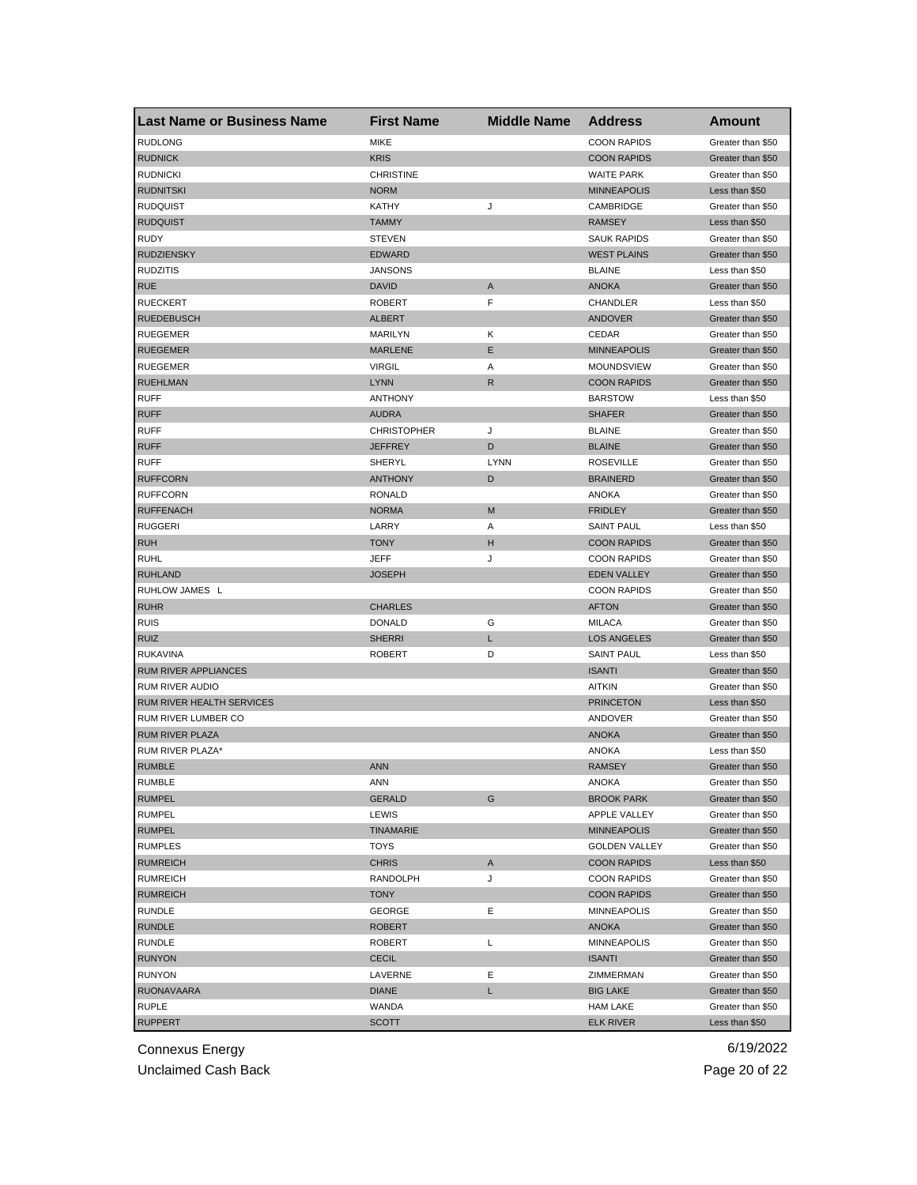| Last Name or Business Name       | <b>First Name</b>  | <b>Middle Name</b> | <b>Address</b>       | Amount            |
|----------------------------------|--------------------|--------------------|----------------------|-------------------|
| <b>RUDLONG</b>                   | <b>MIKE</b>        |                    | <b>COON RAPIDS</b>   | Greater than \$50 |
| <b>RUDNICK</b>                   | <b>KRIS</b>        |                    | <b>COON RAPIDS</b>   | Greater than \$50 |
| <b>RUDNICKI</b>                  | <b>CHRISTINE</b>   |                    | <b>WAITE PARK</b>    | Greater than \$50 |
| <b>RUDNITSKI</b>                 | <b>NORM</b>        |                    | <b>MINNEAPOLIS</b>   | Less than \$50    |
| <b>RUDQUIST</b>                  | <b>KATHY</b>       | J                  | CAMBRIDGE            | Greater than \$50 |
| <b>RUDQUIST</b>                  | <b>TAMMY</b>       |                    | <b>RAMSEY</b>        | Less than \$50    |
| RUDY                             | <b>STEVEN</b>      |                    | <b>SAUK RAPIDS</b>   | Greater than \$50 |
| <b>RUDZIENSKY</b>                | <b>EDWARD</b>      |                    | <b>WEST PLAINS</b>   | Greater than \$50 |
| <b>RUDZITIS</b>                  | <b>JANSONS</b>     |                    | <b>BLAINE</b>        | Less than \$50    |
| <b>RUE</b>                       | <b>DAVID</b>       | A                  | <b>ANOKA</b>         | Greater than \$50 |
| <b>RUECKERT</b>                  | <b>ROBERT</b>      | F                  | CHANDLER             | Less than \$50    |
| <b>RUEDEBUSCH</b>                | <b>ALBERT</b>      |                    | <b>ANDOVER</b>       | Greater than \$50 |
| <b>RUEGEMER</b>                  | MARILYN            | κ                  | CEDAR                | Greater than \$50 |
| <b>RUEGEMER</b>                  | <b>MARLENE</b>     | Ε                  | <b>MINNEAPOLIS</b>   | Greater than \$50 |
| <b>RUEGEMER</b>                  | <b>VIRGIL</b>      | Α                  | MOUNDSVIEW           | Greater than \$50 |
| <b>RUEHLMAN</b>                  | <b>LYNN</b>        | R                  | <b>COON RAPIDS</b>   | Greater than \$50 |
| <b>RUFF</b>                      | <b>ANTHONY</b>     |                    | <b>BARSTOW</b>       | Less than \$50    |
| <b>RUFF</b>                      | <b>AUDRA</b>       |                    | <b>SHAFER</b>        | Greater than \$50 |
| <b>RUFF</b>                      | <b>CHRISTOPHER</b> | J                  | <b>BLAINE</b>        | Greater than \$50 |
| <b>RUFF</b>                      | <b>JEFFREY</b>     | D                  | <b>BLAINE</b>        | Greater than \$50 |
| <b>RUFF</b>                      | SHERYL             | <b>LYNN</b>        | <b>ROSEVILLE</b>     | Greater than \$50 |
| <b>RUFFCORN</b>                  | <b>ANTHONY</b>     | D                  | <b>BRAINERD</b>      | Greater than \$50 |
| <b>RUFFCORN</b>                  | <b>RONALD</b>      |                    | <b>ANOKA</b>         | Greater than \$50 |
| <b>RUFFENACH</b>                 | <b>NORMA</b>       | M                  | <b>FRIDLEY</b>       | Greater than \$50 |
| <b>RUGGERI</b>                   | LARRY              | Α                  | <b>SAINT PAUL</b>    | Less than \$50    |
| <b>RUH</b>                       | <b>TONY</b>        | н                  | <b>COON RAPIDS</b>   | Greater than \$50 |
| <b>RUHL</b>                      | JEFF               | J                  | <b>COON RAPIDS</b>   | Greater than \$50 |
| <b>RUHLAND</b>                   | <b>JOSEPH</b>      |                    | <b>EDEN VALLEY</b>   | Greater than \$50 |
| RUHLOW JAMES L                   |                    |                    | <b>COON RAPIDS</b>   | Greater than \$50 |
| <b>RUHR</b>                      | <b>CHARLES</b>     |                    | <b>AFTON</b>         | Greater than \$50 |
| <b>RUIS</b>                      | <b>DONALD</b>      | G                  | <b>MILACA</b>        | Greater than \$50 |
| <b>RUIZ</b>                      | <b>SHERRI</b>      | Г                  | <b>LOS ANGELES</b>   | Greater than \$50 |
| <b>RUKAVINA</b>                  | <b>ROBERT</b>      | D                  | <b>SAINT PAUL</b>    | Less than \$50    |
| <b>RUM RIVER APPLIANCES</b>      |                    |                    | <b>ISANTI</b>        | Greater than \$50 |
| <b>RUM RIVER AUDIO</b>           |                    |                    | <b>AITKIN</b>        | Greater than \$50 |
| <b>RUM RIVER HEALTH SERVICES</b> |                    |                    | <b>PRINCETON</b>     | Less than \$50    |
| RUM RIVER LUMBER CO              |                    |                    | ANDOVER              | Greater than \$50 |
| RUM RIVER PLAZA                  |                    |                    | <b>ANOKA</b>         | Greater than \$50 |
| RUM RIVER PLAZA*                 |                    |                    | ANOKA                | Less than \$50    |
| <b>RUMBLE</b>                    | <b>ANN</b>         |                    | <b>RAMSEY</b>        | Greater than \$50 |
| RUMBLE                           | ANN                |                    | ANOKA                | Greater than \$50 |
| <b>RUMPEL</b>                    | <b>GERALD</b>      | G                  | <b>BROOK PARK</b>    | Greater than \$50 |
| <b>RUMPEL</b>                    | LEWIS              |                    | APPLE VALLEY         | Greater than \$50 |
| <b>RUMPEL</b>                    | <b>TINAMARIE</b>   |                    | <b>MINNEAPOLIS</b>   | Greater than \$50 |
| <b>RUMPLES</b>                   | TOYS               |                    | <b>GOLDEN VALLEY</b> | Greater than \$50 |
| <b>RUMREICH</b>                  | <b>CHRIS</b>       | A                  | <b>COON RAPIDS</b>   | Less than \$50    |
| <b>RUMREICH</b>                  | RANDOLPH           | J                  | <b>COON RAPIDS</b>   | Greater than \$50 |
| <b>RUMREICH</b>                  | <b>TONY</b>        |                    | <b>COON RAPIDS</b>   | Greater than \$50 |
| RUNDLE                           | GEORGE             | Ε                  | <b>MINNEAPOLIS</b>   | Greater than \$50 |
| <b>RUNDLE</b>                    | <b>ROBERT</b>      |                    | <b>ANOKA</b>         | Greater than \$50 |
| RUNDLE                           | <b>ROBERT</b>      | L                  | <b>MINNEAPOLIS</b>   | Greater than \$50 |
| <b>RUNYON</b>                    | <b>CECIL</b>       |                    | <b>ISANTI</b>        | Greater than \$50 |
| <b>RUNYON</b>                    | LAVERNE            | Е                  | ZIMMERMAN            | Greater than \$50 |
| <b>RUONAVAARA</b>                | <b>DIANE</b>       | L                  | <b>BIG LAKE</b>      | Greater than \$50 |
| RUPLE                            | WANDA              |                    | HAM LAKE             | Greater than \$50 |
| <b>RUPPERT</b>                   | <b>SCOTT</b>       |                    | <b>ELK RIVER</b>     | Less than \$50    |

Unclaimed Cash Back **Page 20 of 22**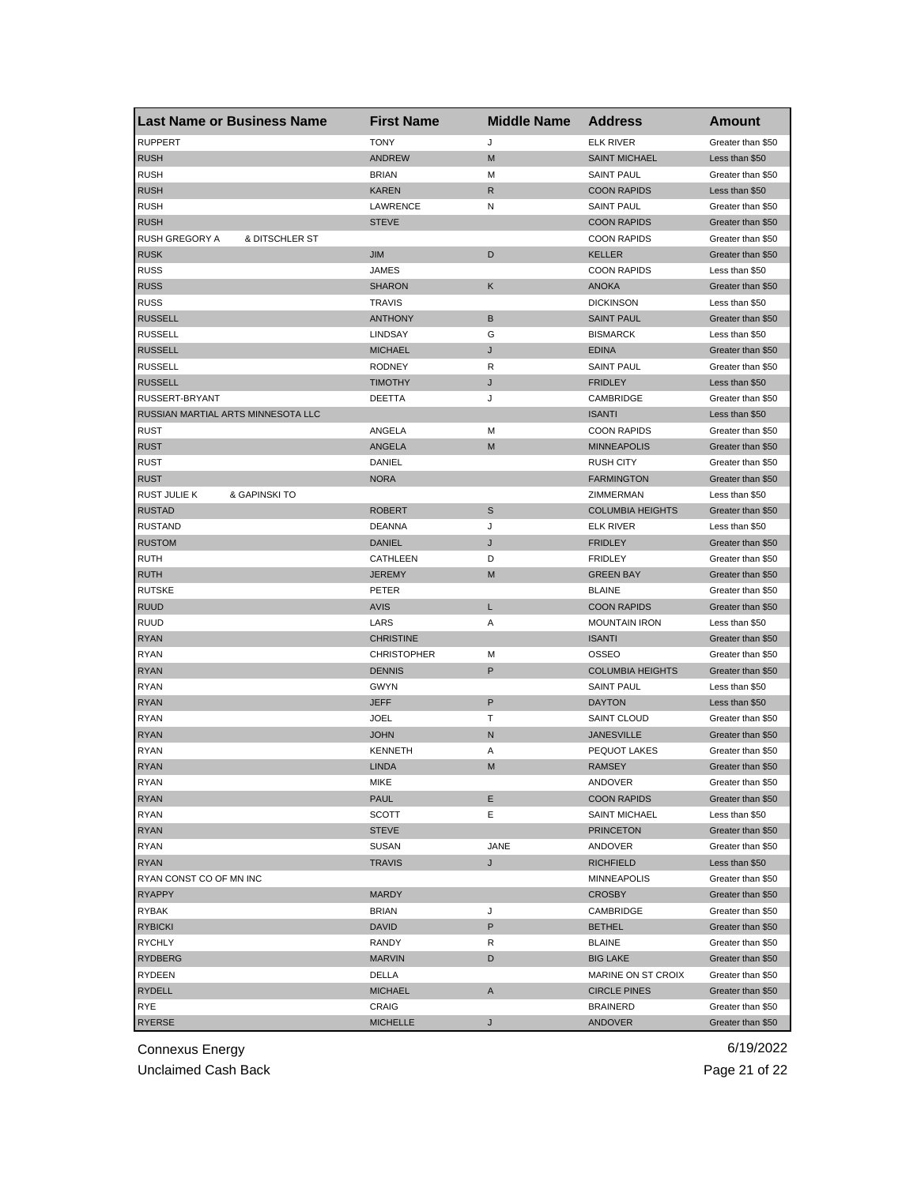| <b>Last Name or Business Name</b>    | <b>First Name</b>  | <b>Middle Name</b> | <b>Address</b>          | <b>Amount</b>     |
|--------------------------------------|--------------------|--------------------|-------------------------|-------------------|
| <b>RUPPERT</b>                       | <b>TONY</b>        | J                  | <b>ELK RIVER</b>        | Greater than \$50 |
| <b>RUSH</b>                          | <b>ANDREW</b>      | M                  | <b>SAINT MICHAEL</b>    | Less than \$50    |
| <b>RUSH</b>                          | <b>BRIAN</b>       | М                  | <b>SAINT PAUL</b>       | Greater than \$50 |
| <b>RUSH</b>                          | KAREN              | R                  | <b>COON RAPIDS</b>      | Less than \$50    |
| <b>RUSH</b>                          | LAWRENCE           | Ν                  | <b>SAINT PAUL</b>       | Greater than \$50 |
| <b>RUSH</b>                          | <b>STEVE</b>       |                    | <b>COON RAPIDS</b>      | Greater than \$50 |
| RUSH GREGORY A<br>& DITSCHLER ST     |                    |                    | <b>COON RAPIDS</b>      | Greater than \$50 |
| <b>RUSK</b>                          | <b>JIM</b>         | D                  | <b>KELLER</b>           | Greater than \$50 |
| <b>RUSS</b>                          | JAMES              |                    | <b>COON RAPIDS</b>      | Less than \$50    |
| <b>RUSS</b>                          | <b>SHARON</b>      | Κ                  | <b>ANOKA</b>            | Greater than \$50 |
| <b>RUSS</b>                          | <b>TRAVIS</b>      |                    | <b>DICKINSON</b>        | Less than \$50    |
| <b>RUSSELL</b>                       | <b>ANTHONY</b>     | В                  | <b>SAINT PAUL</b>       | Greater than \$50 |
| <b>RUSSELL</b>                       | <b>LINDSAY</b>     | G                  | <b>BISMARCK</b>         | Less than \$50    |
| <b>RUSSELL</b>                       | <b>MICHAEL</b>     | J                  | <b>EDINA</b>            | Greater than \$50 |
| <b>RUSSELL</b>                       | <b>RODNEY</b>      | R                  | <b>SAINT PAUL</b>       | Greater than \$50 |
| <b>RUSSELL</b>                       | <b>TIMOTHY</b>     | J                  | <b>FRIDLEY</b>          | Less than \$50    |
| RUSSERT-BRYANT                       | DEETTA             | J                  | CAMBRIDGE               | Greater than \$50 |
| RUSSIAN MARTIAL ARTS MINNESOTA LLC   |                    |                    | <b>ISANTI</b>           | Less than \$50    |
| <b>RUST</b>                          | ANGELA             | М                  | <b>COON RAPIDS</b>      | Greater than \$50 |
| <b>RUST</b>                          | ANGELA             | M                  | <b>MINNEAPOLIS</b>      | Greater than \$50 |
| <b>RUST</b>                          | DANIEL             |                    | <b>RUSH CITY</b>        | Greater than \$50 |
| <b>RUST</b>                          | <b>NORA</b>        |                    | <b>FARMINGTON</b>       | Greater than \$50 |
| <b>RUST JULIE K</b><br>& GAPINSKI TO |                    |                    | ZIMMERMAN               | Less than \$50    |
| <b>RUSTAD</b>                        | ROBERT             | S                  | <b>COLUMBIA HEIGHTS</b> | Greater than \$50 |
| <b>RUSTAND</b>                       | DEANNA             | J                  | ELK RIVER               | Less than \$50    |
| <b>RUSTOM</b>                        | <b>DANIEL</b>      | J                  | <b>FRIDLEY</b>          | Greater than \$50 |
| <b>RUTH</b>                          | CATHLEEN           | D                  | <b>FRIDLEY</b>          | Greater than \$50 |
| <b>RUTH</b>                          | JEREMY             | M                  | <b>GREEN BAY</b>        | Greater than \$50 |
| <b>RUTSKE</b>                        | PETER              |                    | <b>BLAINE</b>           | Greater than \$50 |
| <b>RUUD</b>                          | <b>AVIS</b>        | Г                  | <b>COON RAPIDS</b>      | Greater than \$50 |
| <b>RUUD</b>                          | LARS               | Α                  | <b>MOUNTAIN IRON</b>    | Less than \$50    |
| <b>RYAN</b>                          | <b>CHRISTINE</b>   |                    | <b>ISANTI</b>           | Greater than \$50 |
| <b>RYAN</b>                          | <b>CHRISTOPHER</b> | м                  | OSSEO                   | Greater than \$50 |
| <b>RYAN</b>                          | <b>DENNIS</b>      | P                  | <b>COLUMBIA HEIGHTS</b> | Greater than \$50 |
| <b>RYAN</b>                          | <b>GWYN</b>        |                    | <b>SAINT PAUL</b>       | Less than \$50    |
| <b>RYAN</b>                          | <b>JEFF</b>        | P                  | <b>DAYTON</b>           | Less than \$50    |
| <b>RYAN</b>                          | JOEL               | Т                  | <b>SAINT CLOUD</b>      | Greater than \$50 |
| <b>RYAN</b>                          | <b>JOHN</b>        | N                  | <b>JANESVILLE</b>       | Greater than \$50 |
| <b>RYAN</b>                          | <b>KENNETH</b>     | Α                  | <b>PEQUOT LAKES</b>     | Greater than \$50 |
| <b>RYAN</b>                          | <b>LINDA</b>       | M                  | <b>RAMSEY</b>           | Greater than \$50 |
| RYAN                                 | MIKE               |                    | ANDOVER                 | Greater than \$50 |
| <b>RYAN</b>                          | PAUL               | Е                  | <b>COON RAPIDS</b>      | Greater than \$50 |
| <b>RYAN</b>                          | <b>SCOTT</b>       | Е                  | <b>SAINT MICHAEL</b>    | Less than \$50    |
| <b>RYAN</b>                          | <b>STEVE</b>       |                    | <b>PRINCETON</b>        | Greater than \$50 |
| RYAN                                 | <b>SUSAN</b>       | JANE               | ANDOVER                 | Greater than \$50 |
| <b>RYAN</b>                          | <b>TRAVIS</b>      | J                  | <b>RICHFIELD</b>        | Less than \$50    |
| RYAN CONST CO OF MN INC              |                    |                    | <b>MINNEAPOLIS</b>      | Greater than \$50 |
| <b>RYAPPY</b>                        | <b>MARDY</b>       |                    | <b>CROSBY</b>           | Greater than \$50 |
| RYBAK                                | <b>BRIAN</b>       | J                  | CAMBRIDGE               | Greater than \$50 |
| <b>RYBICKI</b>                       | <b>DAVID</b>       | P                  | <b>BETHEL</b>           | Greater than \$50 |
| RYCHLY                               | RANDY              | R                  | <b>BLAINE</b>           | Greater than \$50 |
| <b>RYDBERG</b>                       | <b>MARVIN</b>      | D                  | <b>BIG LAKE</b>         | Greater than \$50 |
| RYDEEN                               | DELLA              |                    | MARINE ON ST CROIX      | Greater than \$50 |
| RYDELL                               | <b>MICHAEL</b>     | A                  | <b>CIRCLE PINES</b>     | Greater than \$50 |
| RYE                                  | CRAIG              |                    | <b>BRAINERD</b>         | Greater than \$50 |
| RYERSE                               | <b>MICHELLE</b>    | J                  | ANDOVER                 | Greater than \$50 |
|                                      |                    |                    |                         |                   |

Unclaimed Cash Back **Page 21 of 22**